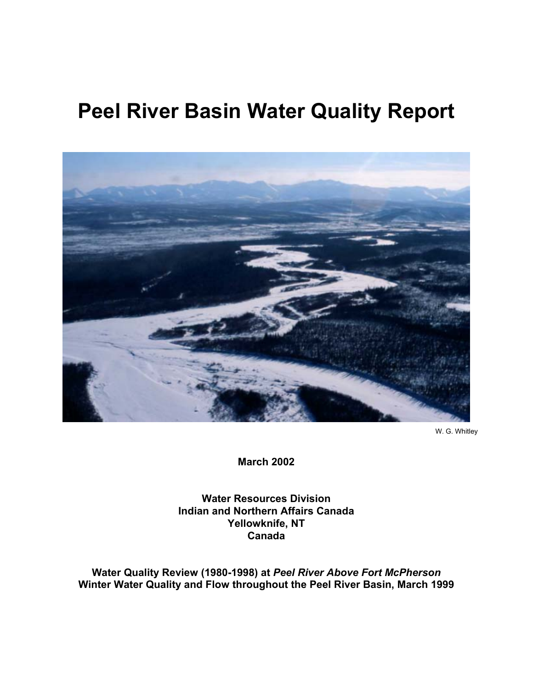# **Peel River Basin Water Quality Report**



W. G. Whitley

**March 2002** 

**Water Resources Division Indian and Northern Affairs Canada Yellowknife, NT Canada** 

**Water Quality Review (1980-1998) at** *Peel River Above Fort McPherson*  **Winter Water Quality and Flow throughout the Peel River Basin, March 1999**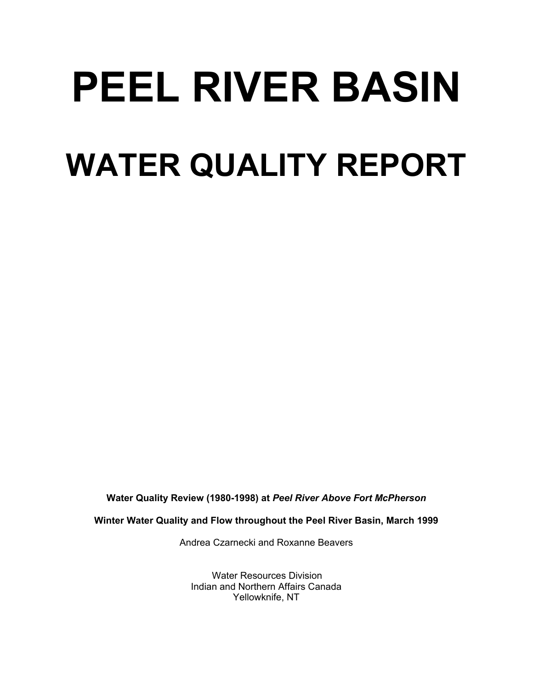# **PEEL RIVER BASIN WATER QUALITY REPORT**

**Water Quality Review (1980-1998) at** *Peel River Above Fort McPherson* 

**Winter Water Quality and Flow throughout the Peel River Basin, March 1999** 

Andrea Czarnecki and Roxanne Beavers

Water Resources Division Indian and Northern Affairs Canada Yellowknife, NT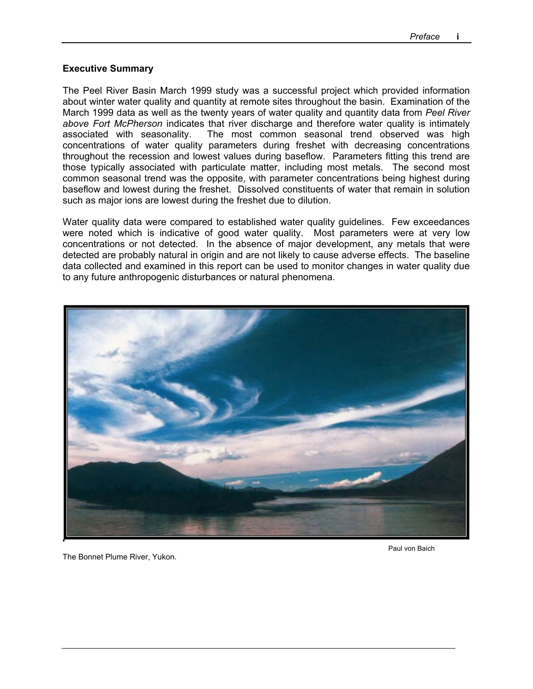#### **Executive Summary**

The Peel River Basin March 1999 study was a successful project which provided information about winter water quality and quantity at remote sites throughout the basin. Examination of the March 1999 data as well as the twenty years of water quality and quantity data from *Peel River above Fort McPherson* indicates that river discharge and therefore water quality is intimately associated with seasonality. The most common seasonal trend observed was high concentrations of water quality parameters during freshet with decreasing concentrations throughout the recession and lowest values during baseflow. Parameters fitting this trend are those typically associated with particulate matter, including most metals. The second most common seasonal trend was the opposite, with parameter concentrations being highest during baseflow and lowest during the freshet. Dissolved constituents of water that remain in solution such as major ions are lowest during the freshet due to dilution.

Water quality data were compared to established water quality guidelines. Few exceedances were noted which is indicative of good water quality. Most parameters were at very low concentrations or not detected. In the absence of major development, any metals that were detected are probably natural in origin and are not likely to cause adverse effects. The baseline data collected and examined in this report can be used to monitor changes in water quality due to any future anthropogenic disturbances or natural phenomena.



The Bonnet Plume River, Yukon.

Paul von Baich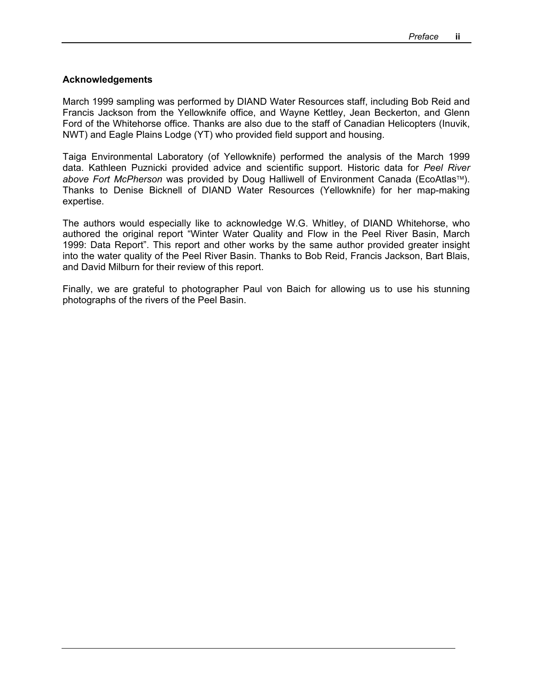#### **Acknowledgements**

March 1999 sampling was performed by DIAND Water Resources staff, including Bob Reid and Francis Jackson from the Yellowknife office, and Wayne Kettley, Jean Beckerton, and Glenn Ford of the Whitehorse office. Thanks are also due to the staff of Canadian Helicopters (Inuvik, NWT) and Eagle Plains Lodge (YT) who provided field support and housing.

Taiga Environmental Laboratory (of Yellowknife) performed the analysis of the March 1999 data. Kathleen Puznicki provided advice and scientific support. Historic data for *Peel River above Fort McPherson* was provided by Doug Halliwell of Environment Canada (EcoAtlas™). Thanks to Denise Bicknell of DIAND Water Resources (Yellowknife) for her map-making expertise.

The authors would especially like to acknowledge W.G. Whitley, of DIAND Whitehorse, who authored the original report "Winter Water Quality and Flow in the Peel River Basin, March 1999: Data Report". This report and other works by the same author provided greater insight into the water quality of the Peel River Basin. Thanks to Bob Reid, Francis Jackson, Bart Blais, and David Milburn for their review of this report.

Finally, we are grateful to photographer Paul von Baich for allowing us to use his stunning photographs of the rivers of the Peel Basin.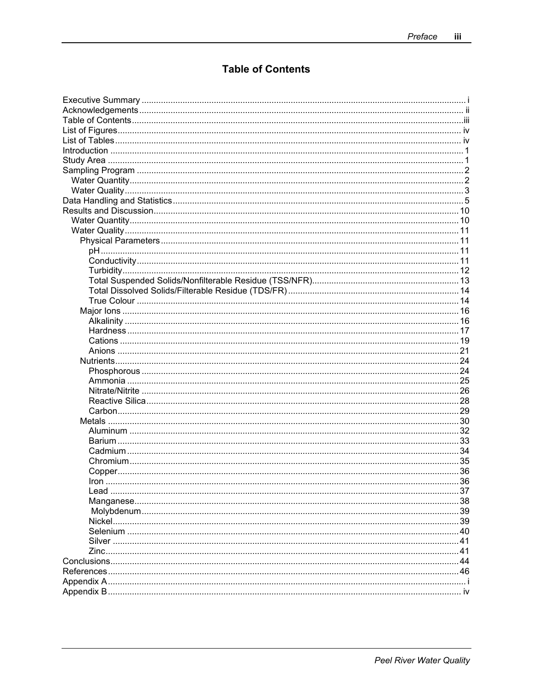## **Table of Contents**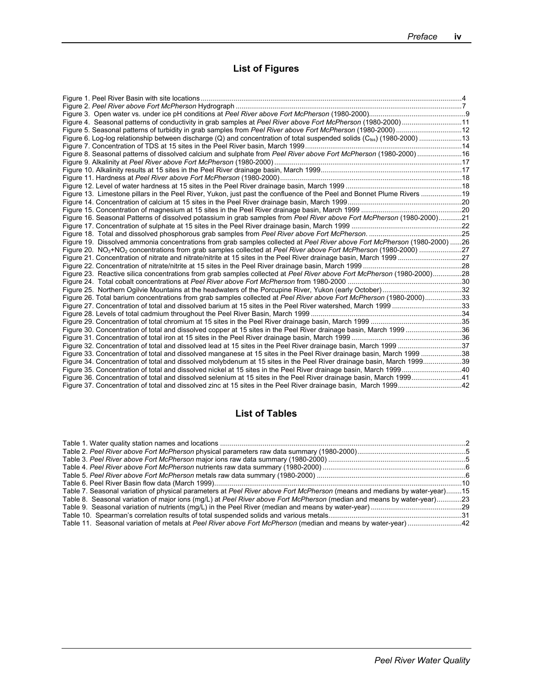# **List of Figures**

| Figure 4. Seasonal patterns of conductivity in grab samples at Peel River above Fort McPherson (1980-2000)11                             |  |
|------------------------------------------------------------------------------------------------------------------------------------------|--|
|                                                                                                                                          |  |
| Figure 6. Log-log relationship between discharge (Q) and concentration of total suspended solids (C <sub>tss</sub> ) (1980-2000) 13      |  |
|                                                                                                                                          |  |
| Figure 8. Seasonal patterns of dissolved calcium and sulphate from Peel River above Fort McPherson (1980-2000) 16                        |  |
|                                                                                                                                          |  |
|                                                                                                                                          |  |
|                                                                                                                                          |  |
|                                                                                                                                          |  |
| Figure 13. Limestone pillars in the Peel River, Yukon, just past the confluence of the Peel and Bonnet Plume Rivers 19                   |  |
|                                                                                                                                          |  |
|                                                                                                                                          |  |
| Figure 16. Seasonal Patterns of dissolved potassium in grab samples from Peel River above Fort McPherson (1980-2000)21                   |  |
|                                                                                                                                          |  |
|                                                                                                                                          |  |
| Figure 19. Dissolved ammonia concentrations from grab samples collected at Peel River above Fort McPherson (1980-2000) 26                |  |
| Figure 20. NO <sub>3</sub> +NO <sub>2</sub> concentrations from grab samples collected at Peel River above Fort McPherson (1980-2000) 27 |  |
|                                                                                                                                          |  |
|                                                                                                                                          |  |
| Figure 23. Reactive silica concentrations from grab samples collected at Peel River above Fort McPherson (1980-2000)28                   |  |
|                                                                                                                                          |  |
|                                                                                                                                          |  |
| Figure 26. Total barium concentrations from grab samples collected at Peel River above Fort McPherson (1980-2000)33                      |  |
| Figure 27. Concentration of total and dissolved barium at 15 sites in the Peel River watershed, March 199933                             |  |
|                                                                                                                                          |  |
|                                                                                                                                          |  |
| Figure 30. Concentration of total and dissolved copper at 15 sites in the Peel River drainage basin, March 199936                        |  |
|                                                                                                                                          |  |
| Figure 32. Concentration of total and dissolved lead at 15 sites in the Peel River drainage basin, March 1999 37                         |  |
| Figure 33. Concentration of total and dissolved manganese at 15 sites in the Peel River drainage basin, March 1999 38                    |  |
| Figure 34. Concentration of total and dissolved molybdenum at 15 sites in the Peel River drainage basin, March 199939                    |  |
|                                                                                                                                          |  |
| Figure 36. Concentration of total and dissolved selenium at 15 sites in the Peel River drainage basin, March 199941                      |  |
|                                                                                                                                          |  |

### **List of Tables**

| Table 7. Seasonal variation of physical parameters at Peel River above Fort McPherson (means and medians by water-year)15 |  |
|---------------------------------------------------------------------------------------------------------------------------|--|
| Table 8. Seasonal variation of major ions (mg/L) at Peel River above Fort McPherson (median and means by water-year)23    |  |
|                                                                                                                           |  |
|                                                                                                                           |  |
| Table 11. Seasonal variation of metals at Peel River above Fort McPherson (median and means by water-year)42              |  |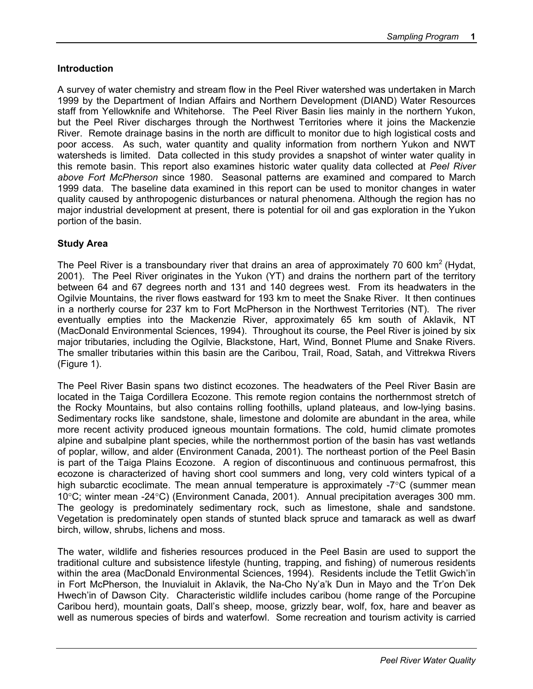#### **Introduction**

A survey of water chemistry and stream flow in the Peel River watershed was undertaken in March 1999 by the Department of Indian Affairs and Northern Development (DIAND) Water Resources staff from Yellowknife and Whitehorse. The Peel River Basin lies mainly in the northern Yukon, but the Peel River discharges through the Northwest Territories where it joins the Mackenzie River. Remote drainage basins in the north are difficult to monitor due to high logistical costs and poor access. As such, water quantity and quality information from northern Yukon and NWT watersheds is limited. Data collected in this study provides a snapshot of winter water quality in this remote basin. This report also examines historic water quality data collected at *Peel River above Fort McPherson* since 1980. Seasonal patterns are examined and compared to March 1999 data. The baseline data examined in this report can be used to monitor changes in water quality caused by anthropogenic disturbances or natural phenomena. Although the region has no major industrial development at present, there is potential for oil and gas exploration in the Yukon portion of the basin.

#### **Study Area**

The Peel River is a transboundary river that drains an area of approximately 70 600 km<sup>2</sup> (Hydat, 2001). The Peel River originates in the Yukon (YT) and drains the northern part of the territory between 64 and 67 degrees north and 131 and 140 degrees west. From its headwaters in the Ogilvie Mountains, the river flows eastward for 193 km to meet the Snake River. It then continues in a northerly course for 237 km to Fort McPherson in the Northwest Territories (NT). The river eventually empties into the Mackenzie River, approximately 65 km south of Aklavik, NT (MacDonald Environmental Sciences, 1994). Throughout its course, the Peel River is joined by six major tributaries, including the Ogilvie, Blackstone, Hart, Wind, Bonnet Plume and Snake Rivers. The smaller tributaries within this basin are the Caribou, Trail, Road, Satah, and Vittrekwa Rivers (Figure 1).

The Peel River Basin spans two distinct ecozones. The headwaters of the Peel River Basin are located in the Taiga Cordillera Ecozone. This remote region contains the northernmost stretch of the Rocky Mountains, but also contains rolling foothills, upland plateaus, and low-lying basins. Sedimentary rocks like sandstone, shale, limestone and dolomite are abundant in the area, while more recent activity produced igneous mountain formations. The cold, humid climate promotes alpine and subalpine plant species, while the northernmost portion of the basin has vast wetlands of poplar, willow, and alder (Environment Canada, 2001). The northeast portion of the Peel Basin is part of the Taiga Plains Ecozone. A region of discontinuous and continuous permafrost, this ecozone is characterized of having short cool summers and long, very cold winters typical of a high subarctic ecoclimate. The mean annual temperature is approximately -7<sup>o</sup>C (summer mean 10°C; winter mean -24°C) (Environment Canada, 2001). Annual precipitation averages 300 mm. The geology is predominately sedimentary rock, such as limestone, shale and sandstone. Vegetation is predominately open stands of stunted black spruce and tamarack as well as dwarf birch, willow, shrubs, lichens and moss.

The water, wildlife and fisheries resources produced in the Peel Basin are used to support the traditional culture and subsistence lifestyle (hunting, trapping, and fishing) of numerous residents within the area (MacDonald Environmental Sciences, 1994). Residents include the Tetlit Gwich'in in Fort McPherson, the Inuvialuit in Aklavik, the Na-Cho Ny'a'k Dun in Mayo and the Tr'on Dek Hwech'in of Dawson City. Characteristic wildlife includes caribou (home range of the Porcupine Caribou herd), mountain goats, Dall's sheep, moose, grizzly bear, wolf, fox, hare and beaver as well as numerous species of birds and waterfowl. Some recreation and tourism activity is carried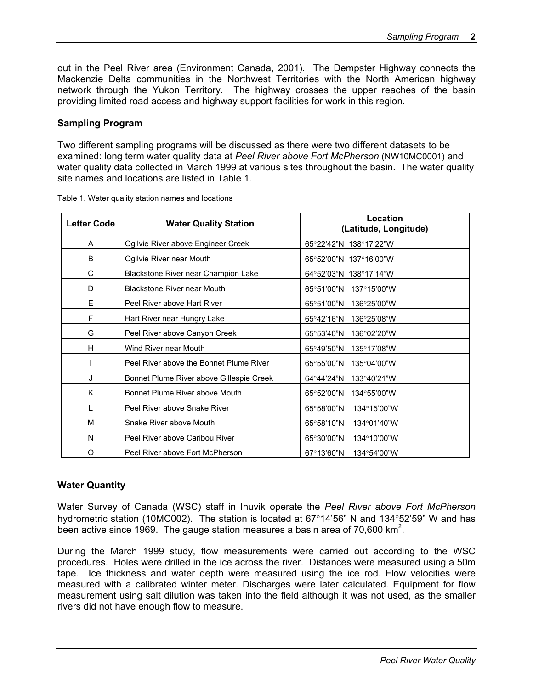out in the Peel River area (Environment Canada, 2001). The Dempster Highway connects the Mackenzie Delta communities in the Northwest Territories with the North American highway network through the Yukon Territory. The highway crosses the upper reaches of the basin providing limited road access and highway support facilities for work in this region.

#### **Sampling Program**

Two different sampling programs will be discussed as there were two different datasets to be examined: long term water quality data at *Peel River above Fort McPherson* (NW10MC0001) and water quality data collected in March 1999 at various sites throughout the basin. The water quality site names and locations are listed in Table 1.

| <b>Letter Code</b> | <b>Water Quality Station</b>             | Location<br>(Latitude, Longitude) |
|--------------------|------------------------------------------|-----------------------------------|
| A                  | Ogilvie River above Engineer Creek       | 65°22'42"N 138°17'22"W            |
| B                  | Ogilvie River near Mouth                 | 65°52'00"N 137°16'00"W            |
| C                  | Blackstone River near Champion Lake      | 64°52'03"N 138°17'14"W            |
| D                  | <b>Blackstone River near Mouth</b>       | 65°51'00"N 137°15'00"W            |
| E                  | Peel River above Hart River              | 65°51'00"N<br>136°25'00"W         |
| F                  | Hart River near Hungry Lake              | 65°42'16"N<br>136°25'08"W         |
| G                  | Peel River above Canyon Creek            | 65°53'40"N<br>136°02'20"W         |
| H                  | Wind River near Mouth                    | 65°49'50"N 135°17'08"W            |
|                    | Peel River above the Bonnet Plume River  | 65°55'00"N<br>135°04'00"W         |
| J                  | Bonnet Plume River above Gillespie Creek | 64°44'24"N<br>133°40'21"W         |
| K                  | Bonnet Plume River above Mouth           | 65°52'00"N<br>134°55'00"W         |
| L                  | Peel River above Snake River             | 65°58'00"N<br>134°15'00"W         |
| M                  | Snake River above Mouth                  | 65°58'10"N<br>134°01'40"W         |
| N                  | Peel River above Caribou River           | 65°30'00"N<br>134°10'00"W         |
| O                  | Peel River above Fort McPherson          | 67°13'60"N<br>134°54'00"W         |

Table 1. Water quality station names and locations

#### **Water Quantity**

Water Survey of Canada (WSC) staff in Inuvik operate the *Peel River above Fort McPherson* hydrometric station (10MC002). The station is located at 67°14'56" N and 134°52'59" W and has been active since 1969. The gauge station measures a basin area of 70,600 km<sup>2</sup>.

During the March 1999 study, flow measurements were carried out according to the WSC procedures. Holes were drilled in the ice across the river. Distances were measured using a 50m tape. Ice thickness and water depth were measured using the ice rod. Flow velocities were measured with a calibrated winter meter. Discharges were later calculated. Equipment for flow measurement using salt dilution was taken into the field although it was not used, as the smaller rivers did not have enough flow to measure.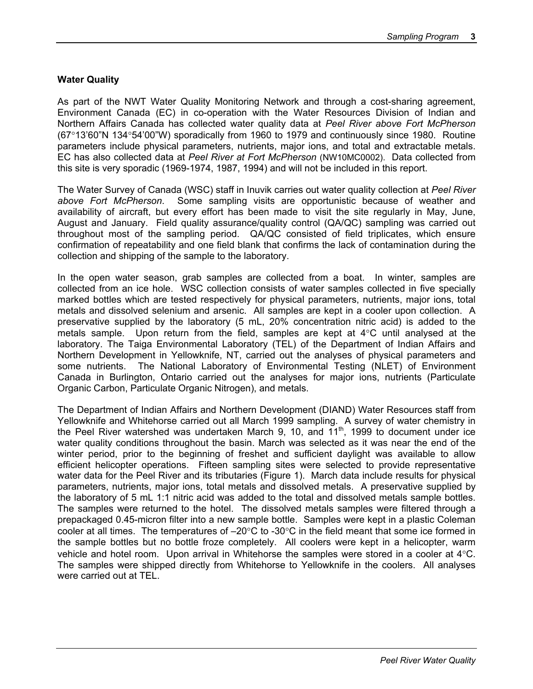#### **Water Quality**

As part of the NWT Water Quality Monitoring Network and through a cost-sharing agreement, Environment Canada (EC) in co-operation with the Water Resources Division of Indian and Northern Affairs Canada has collected water quality data at *Peel River above Fort McPherson* (67°13'60"N 134°54'00"W) sporadically from 1960 to 1979 and continuously since 1980. Routine parameters include physical parameters, nutrients, major ions, and total and extractable metals. EC has also collected data at *Peel River at Fort McPherson* (NW10MC0002). Data collected from this site is very sporadic (1969-1974, 1987, 1994) and will not be included in this report.

The Water Survey of Canada (WSC) staff in Inuvik carries out water quality collection at *Peel River above Fort McPherson*. Some sampling visits are opportunistic because of weather and availability of aircraft, but every effort has been made to visit the site regularly in May, June, August and January. Field quality assurance/quality control (QA/QC) sampling was carried out throughout most of the sampling period. QA/QC consisted of field triplicates, which ensure confirmation of repeatability and one field blank that confirms the lack of contamination during the collection and shipping of the sample to the laboratory.

In the open water season, grab samples are collected from a boat. In winter, samples are collected from an ice hole. WSC collection consists of water samples collected in five specially marked bottles which are tested respectively for physical parameters, nutrients, major ions, total metals and dissolved selenium and arsenic. All samples are kept in a cooler upon collection. A preservative supplied by the laboratory (5 mL, 20% concentration nitric acid) is added to the metals sample. Upon return from the field, samples are kept at 4°C until analysed at the laboratory. The Taiga Environmental Laboratory (TEL) of the Department of Indian Affairs and Northern Development in Yellowknife, NT, carried out the analyses of physical parameters and some nutrients. The National Laboratory of Environmental Testing (NLET) of Environment Canada in Burlington, Ontario carried out the analyses for major ions, nutrients (Particulate Organic Carbon, Particulate Organic Nitrogen), and metals.

The Department of Indian Affairs and Northern Development (DIAND) Water Resources staff from Yellowknife and Whitehorse carried out all March 1999 sampling. A survey of water chemistry in the Peel River watershed was undertaken March 9, 10, and  $11<sup>th</sup>$ , 1999 to document under ice water quality conditions throughout the basin. March was selected as it was near the end of the winter period, prior to the beginning of freshet and sufficient daylight was available to allow efficient helicopter operations. Fifteen sampling sites were selected to provide representative water data for the Peel River and its tributaries (Figure 1). March data include results for physical parameters, nutrients, major ions, total metals and dissolved metals. A preservative supplied by the laboratory of 5 mL 1:1 nitric acid was added to the total and dissolved metals sample bottles. The samples were returned to the hotel. The dissolved metals samples were filtered through a prepackaged 0.45-micron filter into a new sample bottle. Samples were kept in a plastic Coleman cooler at all times. The temperatures of –20°C to -30°C in the field meant that some ice formed in the sample bottles but no bottle froze completely. All coolers were kept in a helicopter, warm vehicle and hotel room. Upon arrival in Whitehorse the samples were stored in a cooler at 4°C. The samples were shipped directly from Whitehorse to Yellowknife in the coolers. All analyses were carried out at TEL.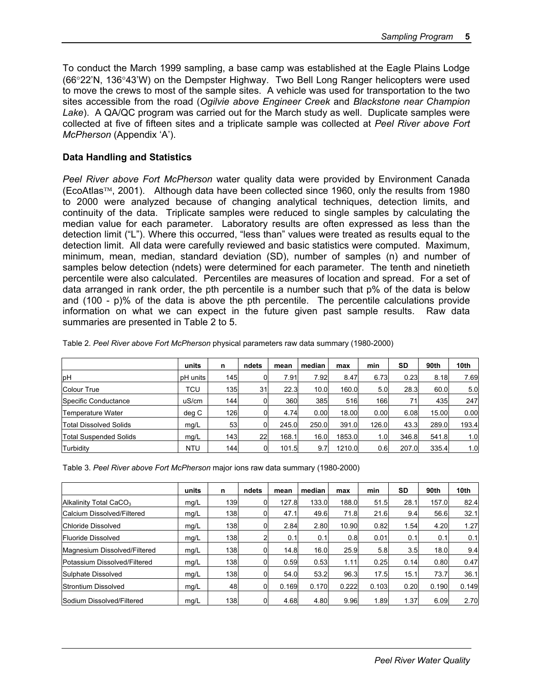To conduct the March 1999 sampling, a base camp was established at the Eagle Plains Lodge (66°22'N, 136°43'W) on the Dempster Highway. Two Bell Long Ranger helicopters were used to move the crews to most of the sample sites. A vehicle was used for transportation to the two sites accessible from the road (*Ogilvie above Engineer Creek* and *Blackstone near Champion Lake*). A QA/QC program was carried out for the March study as well. Duplicate samples were collected at five of fifteen sites and a triplicate sample was collected at *Peel River above Fort McPherson* (Appendix 'A').

#### **Data Handling and Statistics**

*Peel River above Fort McPherson* water quality data were provided by Environment Canada  $(EcoAtlas<sup>TM</sup>, 2001)$ . Although data have been collected since 1960, only the results from 1980 to 2000 were analyzed because of changing analytical techniques, detection limits, and continuity of the data. Triplicate samples were reduced to single samples by calculating the median value for each parameter. Laboratory results are often expressed as less than the detection limit ("L"). Where this occurred, "less than" values were treated as results equal to the detection limit. All data were carefully reviewed and basic statistics were computed. Maximum, minimum, mean, median, standard deviation (SD), number of samples (n) and number of samples below detection (ndets) were determined for each parameter. The tenth and ninetieth percentile were also calculated. Percentiles are measures of location and spread. For a set of data arranged in rank order, the pth percentile is a number such that p% of the data is below and (100 - p)% of the data is above the pth percentile. The percentile calculations provide information on what we can expect in the future given past sample results. Raw data summaries are presented in Table 2 to 5.

|                               | units      | n   | ndets | mean  | median | max    | min   | <b>SD</b> | 90th  | 10th  |
|-------------------------------|------------|-----|-------|-------|--------|--------|-------|-----------|-------|-------|
| <b>pH</b>                     | pH units   | 145 |       | 7.91  | 7.92   | 8.47   | 6.73  | 0.23      | 8.18  | 7.69  |
| <b>Colour True</b>            | TCU        | 135 | 31    | 22.3  | 10.0   | 160.0  | 5.0   | 28.3      | 60.0  | 5.0   |
| Specific Conductance          | uS/cm      | 144 |       | 360   | 385    | 516    | 166   | 71        | 435   | 247   |
| Temperature Water             | deg C      | 126 |       | 4.74  | 0.00   | 18.00  | 0.00  | 6.08      | 15.00 | 0.00  |
| Total Dissolved Solids        | mq/L       | 53  |       | 245.0 | 250.0  | 391.0  | 126.0 | 43.3      | 289.0 | 193.4 |
| <b>Total Suspended Solids</b> | mg/L       | 143 | 22    | 168.1 | 16.0   | 1853.0 | 1.0   | 346.8     | 541.8 | 1.0   |
| Turbidity                     | <b>NTU</b> | 144 | 0     | 101.5 | 9.7    | 1210.0 | 0.6   | 207.0     | 335.4 | 1.0   |

Table 2. *Peel River above Fort McPherson* physical parameters raw data summary (1980-2000)

Table 3. *Peel River above Fort McPherson* major ions raw data summary (1980-2000)

|                                    | units | n    | ndets | mean  | median | max   | min   | <b>SD</b> | 90th  | 10th  |
|------------------------------------|-------|------|-------|-------|--------|-------|-------|-----------|-------|-------|
| Alkalinity Total CaCO <sub>3</sub> | mq/L  | 139  | 0     | 127.8 | 133.0  | 188.0 | 51.5  | 28.1      | 157.0 | 82.4  |
| Calcium Dissolved/Filtered         | mg/L  | 138  | 0     | 47.1  | 49.6   | 71.8  | 21.6  | 9.4       | 56.6  | 32.1  |
| Chloride Dissolved                 | mq/L  | 138  | 0     | 2.84  | 2.80   | 10.90 | 0.82  | 1.54      | 4.20  | 1.27  |
| <b>Fluoride Dissolved</b>          | mq/L  | 138  |       | 0.1   | 0.1    | 0.8   | 0.01  | 0.1       | 0.1   | 0.1   |
| Magnesium Dissolved/Filtered       | mg/L  | 138  | 0     | 14.8  | 16.0   | 25.9  | 5.8   | 3.5       | 18.0  | 9.4   |
| Potassium Dissolved/Filtered       | mq/L  | 1381 |       | 0.59  | 0.53   | 1.11  | 0.25  | 0.14      | 0.80  | 0.47  |
| Sulphate Dissolved                 | mq/L  | 138  |       | 54.0  | 53.2   | 96.3  | 17.5  | 15.1      | 73.7  | 36.1  |
| Strontium Dissolved                | mg/L  | 48   | 0     | 0.169 | 0.170  | 0.222 | 0.103 | 0.20      | 0.190 | 0.149 |
| Sodium Dissolved/Filtered          | mq/L  | 138  |       | 4.68  | 4.80   | 9.96  | 1.89  | 1.37      | 6.09  | 2.70  |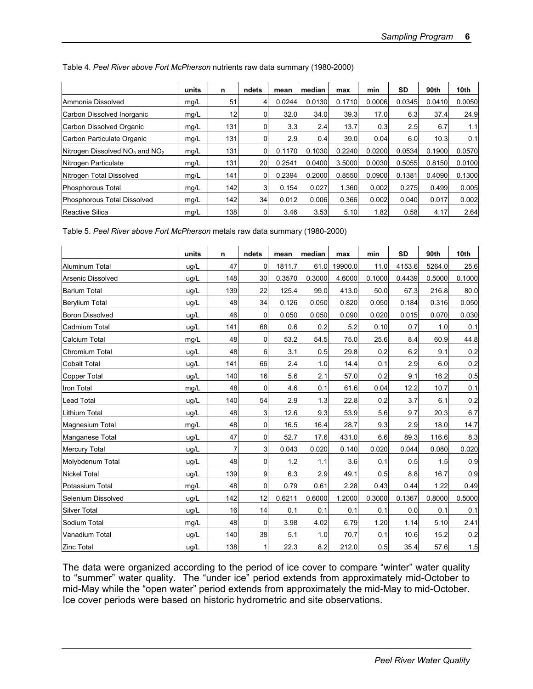|                                    | units | n   | ndets | mean   | median | max    | min    | SD     | 90th   | 10th   |
|------------------------------------|-------|-----|-------|--------|--------|--------|--------|--------|--------|--------|
| Ammonia Dissolved                  | mg/L  | 51  | 4     | 0.0244 | 0.0130 | 0.1710 | 0.0006 | 0.0345 | 0.0410 | 0.0050 |
| Carbon Dissolved Inorganic         | mg/L  | 12  | 0     | 32.0   | 34.0   | 39.3   | 17.0   | 6.3    | 37.4   | 24.9   |
| Carbon Dissolved Organic           | mg/L  | 131 | 0     | 3.3    | 2.4    | 13.7   | 0.3    | 2.5    | 6.7    | 1.1    |
| Carbon Particulate Organic         | mg/L  | 131 |       | 2.9    | 0.4    | 39.0   | 0.04   | 6.0    | 10.3   | 0.1    |
| Nitrogen Dissolved $NO3$ and $NO2$ | mg/L  | 131 | 0     | 0.1170 | 0.1030 | 0.2240 | 0.0200 | 0.0534 | 0.1900 | 0.0570 |
| Nitrogen Particulate               | mg/L  | 131 | 20    | 0.2541 | 0.0400 | 3.5000 | 0.0030 | 0.5055 | 0.8150 | 0.0100 |
| Nitrogen Total Dissolved           | mg/L  | 141 | 0     | 0.2394 | 0.2000 | 0.8550 | 0.0900 | 0.1381 | 0.4090 | 0.1300 |
| Phosphorous Total                  | mg/L  | 142 | 31    | 0.154  | 0.027  | 1.360  | 0.002  | 0.275  | 0.499  | 0.005  |
| Phosphorous Total Dissolved        | mg/L  | 142 | 34    | 0.012  | 0.006  | 0.366  | 0.002  | 0.040  | 0.017  | 0.002  |
| Reactive Silica                    | mg/L  | 138 | 0     | 3.46   | 3.53   | 5.10   | 1.82   | 0.58   | 4.17   | 2.64   |

Table 4. *Peel River above Fort McPherson* nutrients raw data summary (1980-2000)

Table 5. *Peel River above Fort McPherson* metals raw data summary (1980-2000)

|                          | units | $\mathsf{n}$ | ndets          | mean   | median | max     | min    | <b>SD</b> | 90th   | 10th   |
|--------------------------|-------|--------------|----------------|--------|--------|---------|--------|-----------|--------|--------|
| <b>Aluminum Total</b>    | ug/L  | 47           | $\overline{0}$ | 1811.7 | 61.0   | 19900.0 | 11.0   | 4153.6    | 5264.0 | 25.6   |
| <b>Arsenic Dissolved</b> | ug/L  | 148          | 30             | 0.3570 | 0.3000 | 4.6000  | 0.1000 | 0.4439    | 0.5000 | 0.1000 |
| <b>Barium Total</b>      | ug/L  | 139          | 22             | 125.4  | 99.0   | 413.0   | 50.0   | 67.3      | 216.8  | 80.0   |
| Berylium Total           | ug/L  | 48           | 34             | 0.126  | 0.050  | 0.820   | 0.050  | 0.184     | 0.316  | 0.050  |
| <b>Boron Dissolved</b>   | ug/L  | 46           | $\overline{0}$ | 0.050  | 0.050  | 0.090   | 0.020  | 0.015     | 0.070  | 0.030  |
| Cadmium Total            | ug/L  | 141          | 68             | 0.6    | 0.2    | 5.2     | 0.10   | 0.7       | 1.0    | 0.1    |
| <b>Calcium Total</b>     | mg/L  | 48           | $\mathbf 0$    | 53.2   | 54.5   | 75.0    | 25.6   | 8.4       | 60.9   | 44.8   |
| Chromium Total           | ug/L  | 48           | 6              | 3.1    | 0.5    | 29.8    | 0.2    | 6.2       | 9.1    | 0.2    |
| <b>Cobalt Total</b>      | ug/L  | 141          | 66             | 2.4    | 1.0    | 14.4    | 0.1    | 2.9       | 6.0    | 0.2    |
| <b>Copper Total</b>      | ug/L  | 140          | 16             | 5.6    | 2.1    | 57.0    | 0.2    | 9.1       | 16.2   | 0.5    |
| Iron Total               | mg/L  | 48           | $\overline{0}$ | 4.6    | 0.1    | 61.6    | 0.04   | 12.2      | 10.7   | 0.1    |
| <b>Lead Total</b>        | ug/L  | 140          | 54             | 2.9    | 1.3    | 22.8    | 0.2    | 3.7       | 6.1    | 0.2    |
| Lithium Total            | uq/L  | 48           | 3              | 12.6   | 9.3    | 53.9    | 5.6    | 9.7       | 20.3   | 6.7    |
| Magnesium Total          | mg/L  | 48           | $\mathbf 0$    | 16.5   | 16.4   | 28.7    | 9.3    | 2.9       | 18.0   | 14.7   |
| Manganese Total          | uq/L  | 47           | 0              | 52.7   | 17.6   | 431.0   | 6.6    | 89.3      | 116.6  | 8.3    |
| <b>Mercury Total</b>     | ug/L  | 7            | 3              | 0.043  | 0.020  | 0.140   | 0.020  | 0.044     | 0.080  | 0.020  |
| Molybdenum Total         | ug/L  | 48           | 0              | 1.2    | 1.1    | 3.6     | 0.1    | 0.5       | 1.5    | 0.9    |
| <b>Nickel Total</b>      | ug/L  | 139          | 9              | 6.3    | 2.9    | 49.1    | 0.5    | 8.8       | 16.7   | 0.9    |
| Potassium Total          | mg/L  | 48           | $\mathbf 0$    | 0.79   | 0.61   | 2.28    | 0.43   | 0.44      | 1.22   | 0.49   |
| Selenium Dissolved       | ug/L  | 142          | 12             | 0.6211 | 0.6000 | 1.2000  | 0.3000 | 0.1367    | 0.8000 | 0.5000 |
| <b>Silver Total</b>      | uq/L  | 16           | 14             | 0.1    | 0.1    | 0.1     | 0.1    | 0.0       | 0.1    | 0.1    |
| Sodium Total             | mg/L  | 48           | $\overline{0}$ | 3.98   | 4.02   | 6.79    | 1.20   | 1.14      | 5.10   | 2.41   |
| Vanadium Total           | ug/L  | 140          | 38             | 5.1    | 1.0    | 70.7    | 0.1    | 10.6      | 15.2   | 0.2    |
| Zinc Total               | uq/L  | 138          | 1              | 22.3   | 8.2    | 212.0   | 0.5    | 35.4      | 57.6   | 1.5    |

The data were organized according to the period of ice cover to compare "winter" water quality to "summer" water quality. The "under ice" period extends from approximately mid-October to mid-May while the "open water" period extends from approximately the mid-May to mid-October. Ice cover periods were based on historic hydrometric and site observations.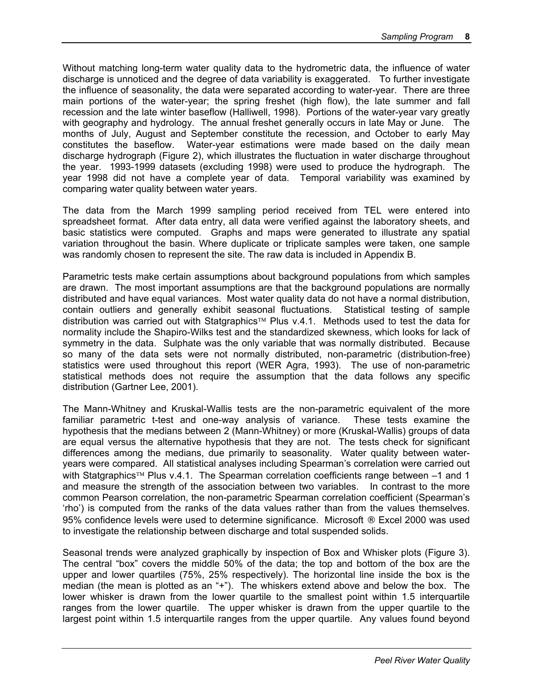Without matching long-term water quality data to the hydrometric data, the influence of water discharge is unnoticed and the degree of data variability is exaggerated. To further investigate the influence of seasonality, the data were separated according to water-year. There are three main portions of the water-year; the spring freshet (high flow), the late summer and fall recession and the late winter baseflow (Halliwell, 1998). Portions of the water-year vary greatly with geography and hydrology. The annual freshet generally occurs in late May or June. The months of July, August and September constitute the recession, and October to early May constitutes the baseflow. Water-year estimations were made based on the daily mean discharge hydrograph (Figure 2), which illustrates the fluctuation in water discharge throughout the year. 1993-1999 datasets (excluding 1998) were used to produce the hydrograph. The year 1998 did not have a complete year of data. Temporal variability was examined by comparing water quality between water years.

The data from the March 1999 sampling period received from TEL were entered into spreadsheet format. After data entry, all data were verified against the laboratory sheets, and basic statistics were computed. Graphs and maps were generated to illustrate any spatial variation throughout the basin. Where duplicate or triplicate samples were taken, one sample was randomly chosen to represent the site. The raw data is included in Appendix B.

Parametric tests make certain assumptions about background populations from which samples are drawn. The most important assumptions are that the background populations are normally distributed and have equal variances. Most water quality data do not have a normal distribution, contain outliers and generally exhibit seasonal fluctuations. Statistical testing of sample distribution was carried out with Statgraphics<sup> $TM$ </sup> Plus v.4.1. Methods used to test the data for normality include the Shapiro-Wilks test and the standardized skewness, which looks for lack of symmetry in the data. Sulphate was the only variable that was normally distributed. Because so many of the data sets were not normally distributed, non-parametric (distribution-free) statistics were used throughout this report (WER Agra, 1993). The use of non-parametric statistical methods does not require the assumption that the data follows any specific distribution (Gartner Lee, 2001).

The Mann-Whitney and Kruskal-Wallis tests are the non-parametric equivalent of the more familiar parametric t-test and one-way analysis of variance. These tests examine the hypothesis that the medians between 2 (Mann-Whitney) or more (Kruskal-Wallis) groups of data are equal versus the alternative hypothesis that they are not. The tests check for significant differences among the medians, due primarily to seasonality. Water quality between wateryears were compared. All statistical analyses including Spearman's correlation were carried out with Statgraphics<sup> $TM$ </sup> Plus v.4.1. The Spearman correlation coefficients range between  $-1$  and 1 and measure the strength of the association between two variables. In contrast to the more common Pearson correlation, the non-parametric Spearman correlation coefficient (Spearman's 'rho') is computed from the ranks of the data values rather than from the values themselves. 95% confidence levels were used to determine significance. Microsoft ® Excel 2000 was used to investigate the relationship between discharge and total suspended solids.

Seasonal trends were analyzed graphically by inspection of Box and Whisker plots (Figure 3). The central "box" covers the middle 50% of the data; the top and bottom of the box are the upper and lower quartiles (75%, 25% respectively). The horizontal line inside the box is the median (the mean is plotted as an "+"). The whiskers extend above and below the box. The lower whisker is drawn from the lower quartile to the smallest point within 1.5 interquartile ranges from the lower quartile. The upper whisker is drawn from the upper quartile to the largest point within 1.5 interquartile ranges from the upper quartile. Any values found beyond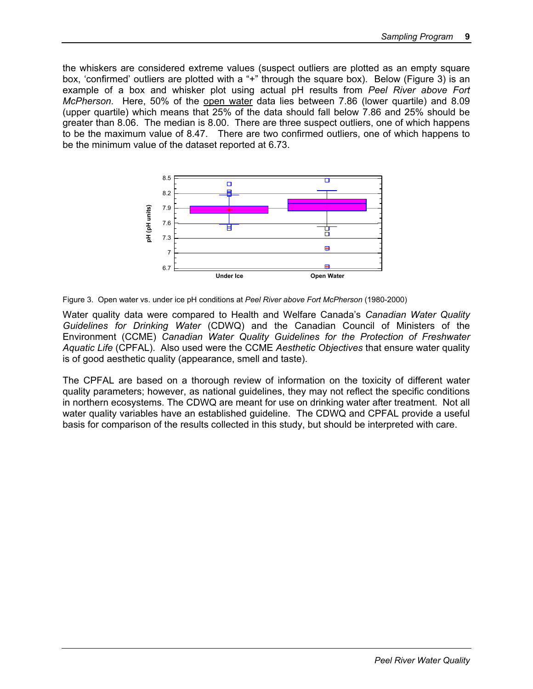the whiskers are considered extreme values (suspect outliers are plotted as an empty square box, 'confirmed' outliers are plotted with a "+" through the square box). Below (Figure 3) is an example of a box and whisker plot using actual pH results from *Peel River above Fort McPherson*. Here, 50% of the open water data lies between 7.86 (lower quartile) and 8.09 (upper quartile) which means that 25% of the data should fall below 7.86 and 25% should be greater than 8.06. The median is 8.00. There are three suspect outliers, one of which happens to be the maximum value of 8.47. There are two confirmed outliers, one of which happens to be the minimum value of the dataset reported at 6.73.



Figure 3. Open water vs. under ice pH conditions at *Peel River above Fort McPherson* (1980-2000)

Water quality data were compared to Health and Welfare Canada's *Canadian Water Quality Guidelines for Drinking Water* (CDWQ) and the Canadian Council of Ministers of the Environment (CCME) *Canadian Water Quality Guidelines for the Protection of Freshwater Aquatic Life* (CPFAL). Also used were the CCME *Aesthetic Objectives* that ensure water quality is of good aesthetic quality (appearance, smell and taste).

The CPFAL are based on a thorough review of information on the toxicity of different water quality parameters; however, as national guidelines, they may not reflect the specific conditions in northern ecosystems. The CDWQ are meant for use on drinking water after treatment. Not all water quality variables have an established guideline. The CDWQ and CPFAL provide a useful basis for comparison of the results collected in this study, but should be interpreted with care.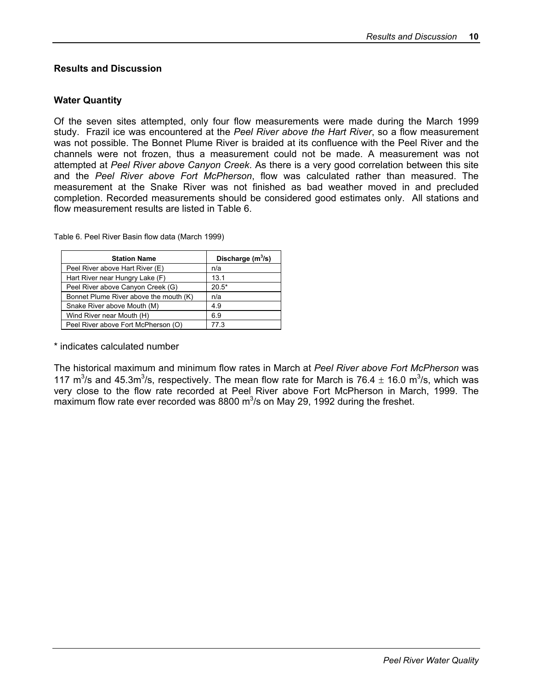#### **Results and Discussion**

#### **Water Quantity**

Of the seven sites attempted, only four flow measurements were made during the March 1999 study. Frazil ice was encountered at the *Peel River above the Hart River*, so a flow measurement was not possible. The Bonnet Plume River is braided at its confluence with the Peel River and the channels were not frozen, thus a measurement could not be made. A measurement was not attempted at *Peel River above Canyon Creek*. As there is a very good correlation between this site and the *Peel River above Fort McPherson*, flow was calculated rather than measured. The measurement at the Snake River was not finished as bad weather moved in and precluded completion. Recorded measurements should be considered good estimates only. All stations and flow measurement results are listed in Table 6.

| <b>Station Name</b>                    | Discharge $(m^3/s)$ |
|----------------------------------------|---------------------|
| Peel River above Hart River (E)        | n/a                 |
| Hart River near Hungry Lake (F)        | 13.1                |
| Peel River above Canyon Creek (G)      | $20.5*$             |
| Bonnet Plume River above the mouth (K) | n/a                 |
| Snake River above Mouth (M)            | 4.9                 |
| Wind River near Mouth (H)              | 6.9                 |
| Peel River above Fort McPherson (O)    | 77.3                |

Table 6. Peel River Basin flow data (March 1999)

\* indicates calculated number

The historical maximum and minimum flow rates in March at *Peel River above Fort McPherson* was 117 m<sup>3</sup>/s and 45.3m<sup>3</sup>/s, respectively. The mean flow rate for March is 76.4  $\pm$  16.0 m<sup>3</sup>/s, which was very close to the flow rate recorded at Peel River above Fort McPherson in March, 1999. The maximum flow rate ever recorded was 8800  $\mathrm{m}^3$ /s on May 29, 1992 during the freshet.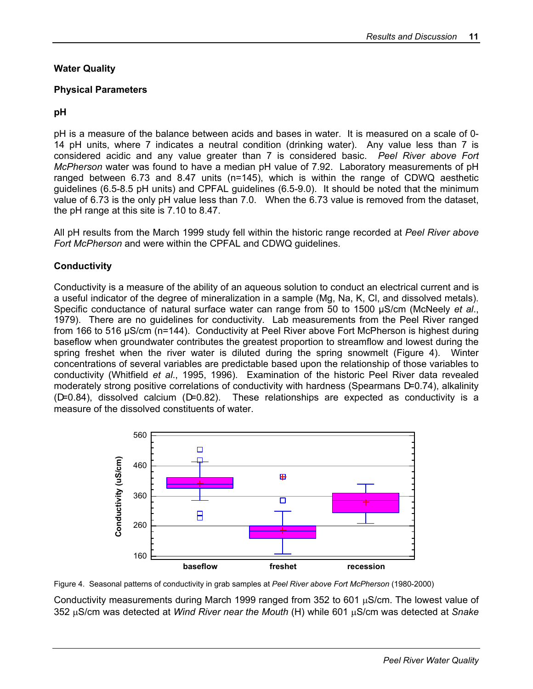#### **Water Quality**

#### **Physical Parameters**

#### **pH**

pH is a measure of the balance between acids and bases in water. It is measured on a scale of 0- 14 pH units, where 7 indicates a neutral condition (drinking water). Any value less than 7 is considered acidic and any value greater than 7 is considered basic. *Peel River above Fort McPherson* water was found to have a median pH value of 7.92. Laboratory measurements of pH ranged between 6.73 and 8.47 units (n=145), which is within the range of CDWQ aesthetic guidelines (6.5-8.5 pH units) and CPFAL guidelines (6.5-9.0). It should be noted that the minimum value of 6.73 is the only pH value less than 7.0. When the 6.73 value is removed from the dataset, the pH range at this site is 7.10 to 8.47.

All pH results from the March 1999 study fell within the historic range recorded at *Peel River above Fort McPherson* and were within the CPFAL and CDWQ guidelines.

#### **Conductivity**

Conductivity is a measure of the ability of an aqueous solution to conduct an electrical current and is a useful indicator of the degree of mineralization in a sample (Mg, Na, K, Cl, and dissolved metals). Specific conductance of natural surface water can range from 50 to 1500 µS/cm (McNeely *et al*., 1979). There are no guidelines for conductivity. Lab measurements from the Peel River ranged from 166 to 516 µS/cm (n=144). Conductivity at Peel River above Fort McPherson is highest during baseflow when groundwater contributes the greatest proportion to streamflow and lowest during the spring freshet when the river water is diluted during the spring snowmelt (Figure 4). Winter concentrations of several variables are predictable based upon the relationship of those variables to conductivity (Whitfield *et al*., 1995, 1996). Examination of the historic Peel River data revealed moderately strong positive correlations of conductivity with hardness (Spearmans D=0.74), alkalinity (D=0.84), dissolved calcium (D=0.82). These relationships are expected as conductivity is a measure of the dissolved constituents of water.



Figure 4. Seasonal patterns of conductivity in grab samples at *Peel River above Fort McPherson* (1980-2000)

Conductivity measurements during March 1999 ranged from 352 to 601 µS/cm. The lowest value of 352 µS/cm was detected at *Wind River near the Mouth* (H) while 601 µS/cm was detected at *Snake*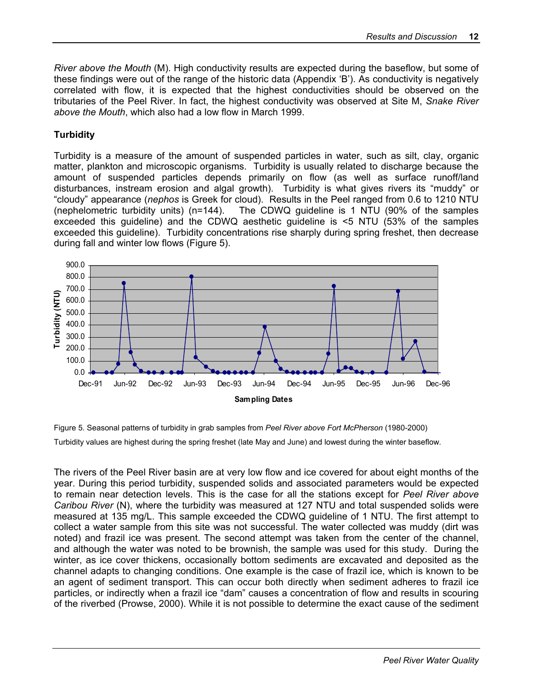*River above the Mouth* (M). High conductivity results are expected during the baseflow, but some of these findings were out of the range of the historic data (Appendix 'B'). As conductivity is negatively correlated with flow, it is expected that the highest conductivities should be observed on the tributaries of the Peel River. In fact, the highest conductivity was observed at Site M, *Snake River above the Mouth*, which also had a low flow in March 1999.

#### **Turbidity**

Turbidity is a measure of the amount of suspended particles in water, such as silt, clay, organic matter, plankton and microscopic organisms. Turbidity is usually related to discharge because the amount of suspended particles depends primarily on flow (as well as surface runoff/land disturbances, instream erosion and algal growth). Turbidity is what gives rivers its "muddy" or "cloudy" appearance (*nephos* is Greek for cloud). Results in the Peel ranged from 0.6 to 1210 NTU (nephelometric turbidity units) (n=144). The CDWQ guideline is 1 NTU (90% of the samples exceeded this guideline) and the CDWQ aesthetic guideline is <5 NTU (53% of the samples exceeded this guideline). Turbidity concentrations rise sharply during spring freshet, then decrease during fall and winter low flows (Figure 5).





The rivers of the Peel River basin are at very low flow and ice covered for about eight months of the year. During this period turbidity, suspended solids and associated parameters would be expected to remain near detection levels. This is the case for all the stations except for *Peel River above Caribou River* (N), where the turbidity was measured at 127 NTU and total suspended solids were measured at 135 mg/L. This sample exceeded the CDWQ guideline of 1 NTU. The first attempt to collect a water sample from this site was not successful. The water collected was muddy (dirt was noted) and frazil ice was present. The second attempt was taken from the center of the channel, and although the water was noted to be brownish, the sample was used for this study. During the winter, as ice cover thickens, occasionally bottom sediments are excavated and deposited as the channel adapts to changing conditions. One example is the case of frazil ice, which is known to be an agent of sediment transport. This can occur both directly when sediment adheres to frazil ice particles, or indirectly when a frazil ice "dam" causes a concentration of flow and results in scouring of the riverbed (Prowse, 2000). While it is not possible to determine the exact cause of the sediment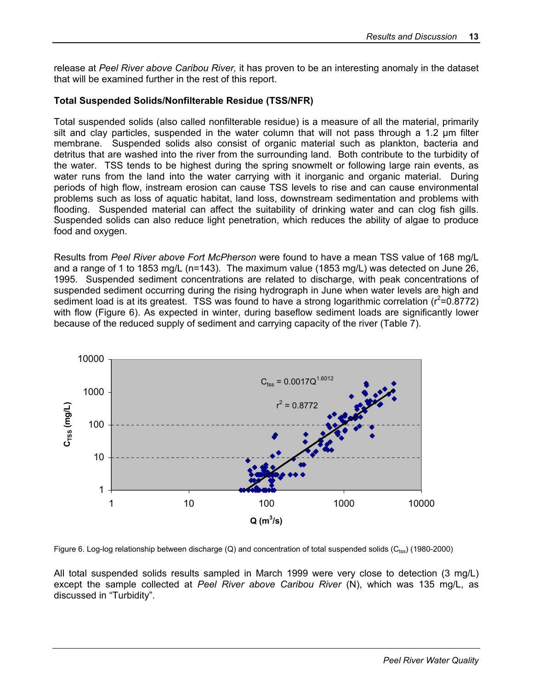release at *Peel River above Caribou River,* it has proven to be an interesting anomaly in the dataset that will be examined further in the rest of this report.

#### **Total Suspended Solids/Nonfilterable Residue (TSS/NFR)**

Total suspended solids (also called nonfilterable residue) is a measure of all the material, primarily silt and clay particles, suspended in the water column that will not pass through a 1.2 um filter membrane. Suspended solids also consist of organic material such as plankton, bacteria and detritus that are washed into the river from the surrounding land. Both contribute to the turbidity of the water. TSS tends to be highest during the spring snowmelt or following large rain events, as water runs from the land into the water carrying with it inorganic and organic material. During periods of high flow, instream erosion can cause TSS levels to rise and can cause environmental problems such as loss of aquatic habitat, land loss, downstream sedimentation and problems with flooding. Suspended material can affect the suitability of drinking water and can clog fish gills. Suspended solids can also reduce light penetration, which reduces the ability of algae to produce food and oxygen.

Results from *Peel River above Fort McPherson* were found to have a mean TSS value of 168 mg/L and a range of 1 to 1853 mg/L (n=143). The maximum value (1853 mg/L) was detected on June 26, 1995. Suspended sediment concentrations are related to discharge, with peak concentrations of suspended sediment occurring during the rising hydrograph in June when water levels are high and sediment load is at its greatest. TSS was found to have a strong logarithmic correlation ( $r^2$ =0.8772) with flow (Figure 6). As expected in winter, during baseflow sediment loads are significantly lower because of the reduced supply of sediment and carrying capacity of the river (Table 7).



Figure 6. Log-log relationship between discharge (Q) and concentration of total suspended solids ( $C_{\text{rss}}$ ) (1980-2000)

All total suspended solids results sampled in March 1999 were very close to detection (3 mg/L) except the sample collected at *Peel River above Caribou River* (N), which was 135 mg/L, as discussed in "Turbidity".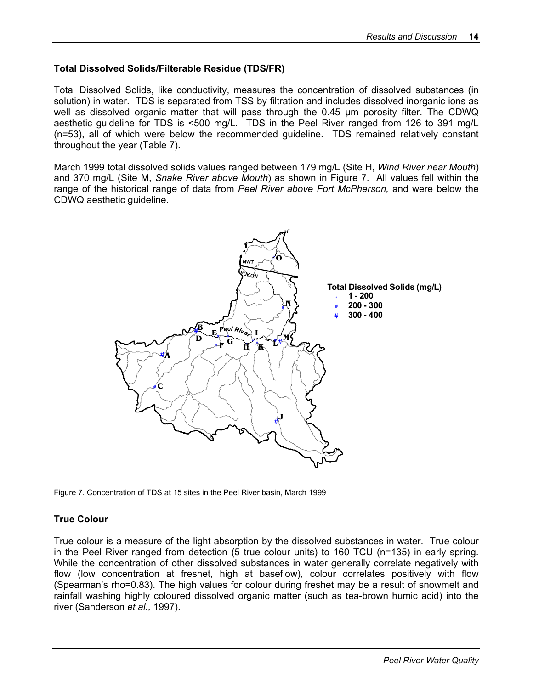#### **Total Dissolved Solids/Filterable Residue (TDS/FR)**

Total Dissolved Solids, like conductivity, measures the concentration of dissolved substances (in solution) in water. TDS is separated from TSS by filtration and includes dissolved inorganic ions as well as dissolved organic matter that will pass through the 0.45 µm porosity filter. The CDWQ aesthetic guideline for TDS is <500 mg/L. TDS in the Peel River ranged from 126 to 391 mg/L (n=53), all of which were below the recommended guideline. TDS remained relatively constant throughout the year (Table 7).

March 1999 total dissolved solids values ranged between 179 mg/L (Site H, *Wind River near Mouth*) and 370 mg/L (Site M, *Snake River above Mouth*) as shown in Figure 7. All values fell within the range of the historical range of data from *Peel River above Fort McPherson,* and were below the CDWQ aesthetic guideline.



Figure 7. Concentration of TDS at 15 sites in the Peel River basin, March 1999

#### **True Colour**

True colour is a measure of the light absorption by the dissolved substances in water. True colour in the Peel River ranged from detection (5 true colour units) to 160 TCU (n=135) in early spring. While the concentration of other dissolved substances in water generally correlate negatively with flow (low concentration at freshet, high at baseflow), colour correlates positively with flow (Spearman's rho=0.83). The high values for colour during freshet may be a result of snowmelt and rainfall washing highly coloured dissolved organic matter (such as tea-brown humic acid) into the river (Sanderson *et al.,* 1997).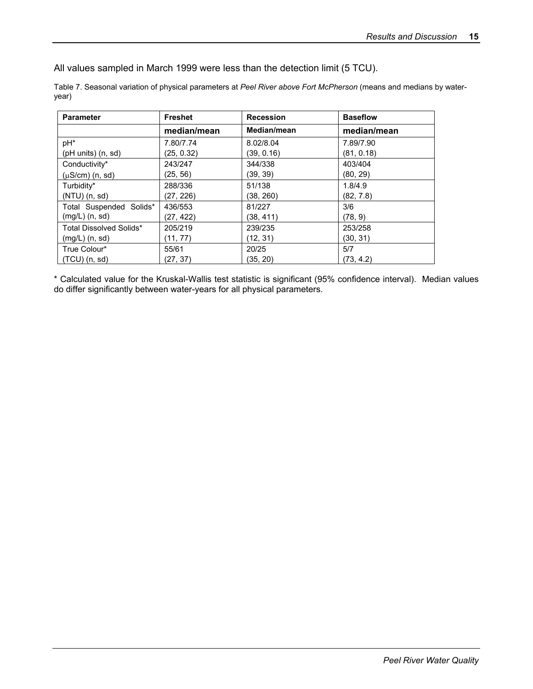All values sampled in March 1999 were less than the detection limit (5 TCU).

Table 7. Seasonal variation of physical parameters at *Peel River above Fort McPherson* (means and medians by wateryear)

| <b>Parameter</b>           | <b>Freshet</b> | <b>Recession</b> | <b>Baseflow</b> |
|----------------------------|----------------|------------------|-----------------|
|                            | median/mean    | Median/mean      | median/mean     |
| pH*                        | 7.80/7.74      | 8.02/8.04        | 7.89/7.90       |
| $($ pH units $)$ $(n, sd)$ | (25, 0.32)     | (39, 0.16)       | (81, 0.18)      |
| Conductivity*              | 243/247        | 344/338          | 403/404         |
| $(\mu S/cm)$ (n, sd)       | (25, 56)       | (39. 39)         | (80, 29)        |
| Turbidity*                 | 288/336        | 51/138           | 1.8/4.9         |
| $(NTU)$ (n, sd)            | (27, 226)      | (38, 260)        | (82, 7.8)       |
| Total Suspended Solids*    | 436/553        | 81/227           | 3/6             |
| $(mg/L)$ $(n, sd)$         | (27, 422)      | (38, 411)        | (78, 9)         |
| Total Dissolved Solids*    | 205/219        | 239/235          | 253/258         |
| $(mg/L)$ $(n, sd)$         | (11, 77)       | (12, 31)         | (30, 31)        |
| True Colour*               | 55/61          | 20/25            | 5/7             |
| $(TCU)$ (n, sd)            | (27, 37)       | (35, 20)         | (73, 4.2)       |

\* Calculated value for the Kruskal-Wallis test statistic is significant (95% confidence interval). Median values do differ significantly between water-years for all physical parameters.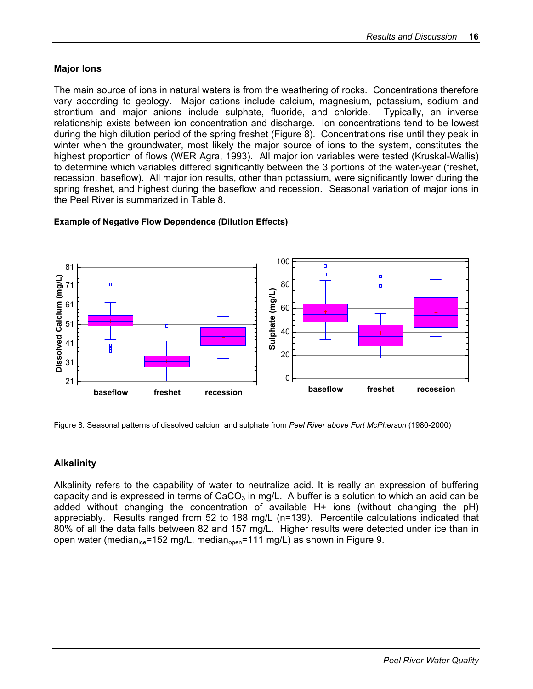#### **Major Ions**

The main source of ions in natural waters is from the weathering of rocks. Concentrations therefore vary according to geology. Major cations include calcium, magnesium, potassium, sodium and strontium and major anions include sulphate, fluoride, and chloride. Typically, an inverse relationship exists between ion concentration and discharge. Ion concentrations tend to be lowest during the high dilution period of the spring freshet (Figure 8). Concentrations rise until they peak in winter when the groundwater, most likely the major source of ions to the system, constitutes the highest proportion of flows (WER Agra, 1993). All major ion variables were tested (Kruskal-Wallis) to determine which variables differed significantly between the 3 portions of the water-year (freshet, recession, baseflow). All major ion results, other than potassium, were significantly lower during the spring freshet, and highest during the baseflow and recession. Seasonal variation of major ions in the Peel River is summarized in Table 8.



#### **Example of Negative Flow Dependence (Dilution Effects)**

Figure 8. Seasonal patterns of dissolved calcium and sulphate from *Peel River above Fort McPherson* (1980-2000)

#### **Alkalinity**

Alkalinity refers to the capability of water to neutralize acid. It is really an expression of buffering capacity and is expressed in terms of  $CaCO<sub>3</sub>$  in mg/L. A buffer is a solution to which an acid can be added without changing the concentration of available H+ ions (without changing the pH) appreciably. Results ranged from 52 to 188 mg/L (n=139). Percentile calculations indicated that 80% of all the data falls between 82 and 157 mg/L. Higher results were detected under ice than in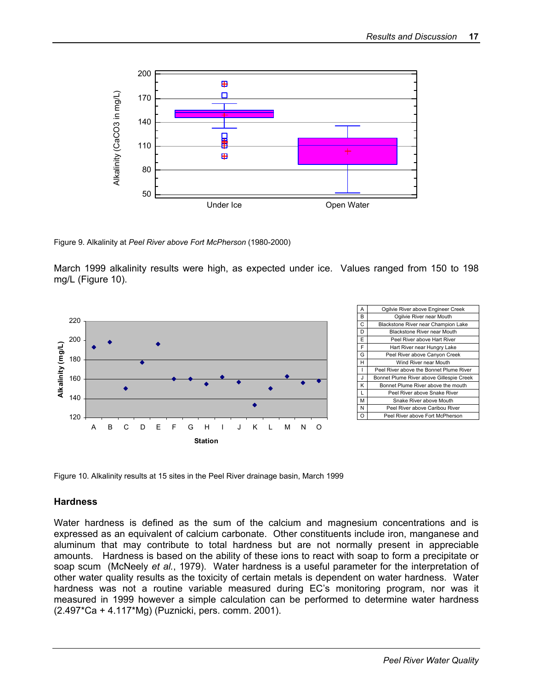

Figure 9. Alkalinity at *Peel River above Fort McPherson* (1980-2000)

March 1999 alkalinity results were high, as expected under ice. Values ranged from 150 to 198 mg/L (Figure 10).



| А  | Ogilvie River above Engineer Creek       |
|----|------------------------------------------|
| B  | Ogilvie River near Mouth                 |
| C  | Blackstone River near Champion Lake      |
| D  | <b>Blackstone River near Mouth</b>       |
| E  | Peel River above Hart River              |
| F  | Hart River near Hungry Lake              |
| G  | Peel River above Canyon Creek            |
| н  | Wind River near Mouth                    |
| ı  | Peel River above the Bonnet Plume River  |
| J. | Bonnet Plume River above Gillespie Creek |
| ĸ  | Bonnet Plume River above the mouth       |
| L  | Peel River above Snake River             |
| м  | Snake River above Mouth                  |
| N  | Peel River above Caribou River           |
| Ω  | Peel River above Fort McPherson          |

Figure 10. Alkalinity results at 15 sites in the Peel River drainage basin, March 1999

#### **Hardness**

Water hardness is defined as the sum of the calcium and magnesium concentrations and is expressed as an equivalent of calcium carbonate. Other constituents include iron, manganese and aluminum that may contribute to total hardness but are not normally present in appreciable amounts. Hardness is based on the ability of these ions to react with soap to form a precipitate or soap scum (McNeely *et al.*, 1979). Water hardness is a useful parameter for the interpretation of other water quality results as the toxicity of certain metals is dependent on water hardness. Water hardness was not a routine variable measured during EC's monitoring program, nor was it measured in 1999 however a simple calculation can be performed to determine water hardness (2.497\*Ca + 4.117\*Mg) (Puznicki, pers. comm. 2001).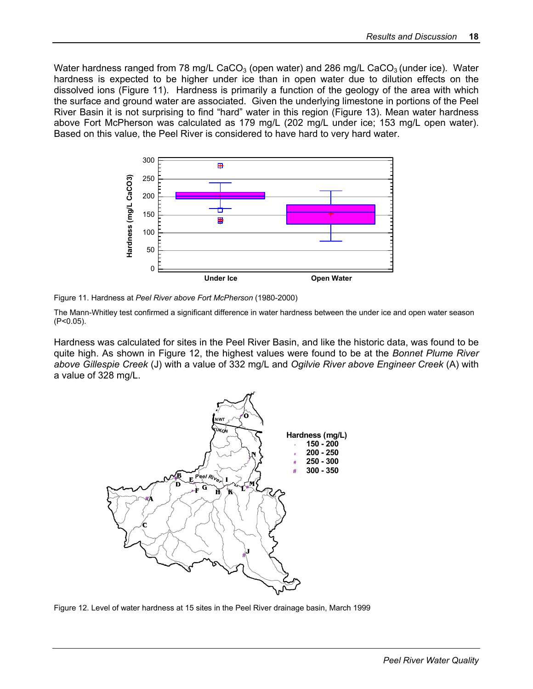Water hardness ranged from 78 mg/L CaCO<sub>3</sub> (open water) and 286 mg/L CaCO<sub>3</sub> (under ice). Water hardness is expected to be higher under ice than in open water due to dilution effects on the dissolved ions (Figure 11). Hardness is primarily a function of the geology of the area with which the surface and ground water are associated. Given the underlying limestone in portions of the Peel River Basin it is not surprising to find "hard" water in this region (Figure 13). Mean water hardness above Fort McPherson was calculated as 179 mg/L (202 mg/L under ice; 153 mg/L open water). Based on this value, the Peel River is considered to have hard to very hard water.



Figure 11. Hardness at *Peel River above Fort McPherson* (1980-2000)

The Mann-Whitley test confirmed a significant difference in water hardness between the under ice and open water season (P<0.05).

Hardness was calculated for sites in the Peel River Basin, and like the historic data, was found to be quite high. As shown in Figure 12, the highest values were found to be at the *Bonnet Plume River above Gillespie Creek* (J) with a value of 332 mg/L and *Ogilvie River above Engineer Creek* (A) with a value of 328 mg/L.



Figure 12. Level of water hardness at 15 sites in the Peel River drainage basin, March 1999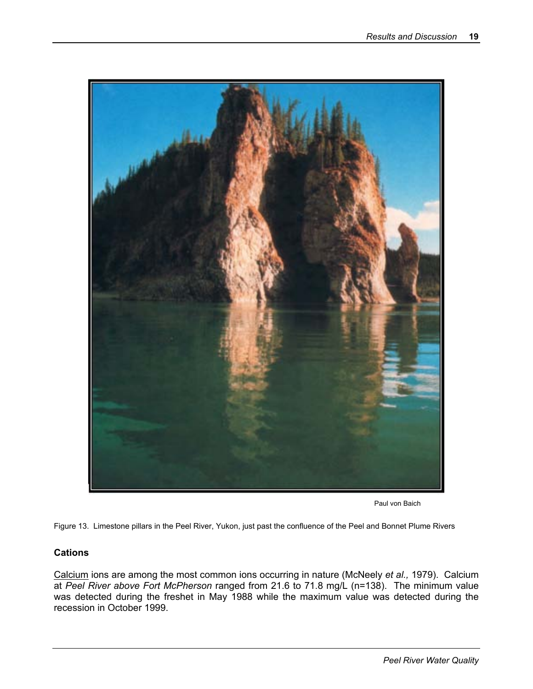

Paul von Baich

Figure 13. Limestone pillars in the Peel River, Yukon, just past the confluence of the Peel and Bonnet Plume Rivers

#### **Cations**

Calcium ions are among the most common ions occurring in nature (McNeely *et al.,* 1979). Calcium at *Peel River above Fort McPherson* ranged from 21.6 to 71.8 mg/L (n=138). The minimum value was detected during the freshet in May 1988 while the maximum value was detected during the recession in October 1999.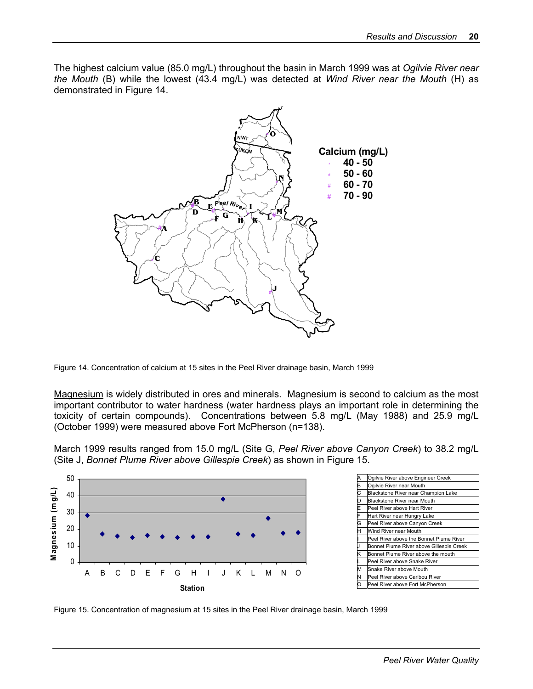The highest calcium value (85.0 mg/L) throughout the basin in March 1999 was at *Ogilvie River near the Mouth* (B) while the lowest (43.4 mg/L) was detected at *Wind River near the Mouth* (H) as demonstrated in Figure 14.



Figure 14. Concentration of calcium at 15 sites in the Peel River drainage basin, March 1999

Magnesium is widely distributed in ores and minerals. Magnesium is second to calcium as the most important contributor to water hardness (water hardness plays an important role in determining the toxicity of certain compounds). Concentrations between 5.8 mg/L (May 1988) and 25.9 mg/L (October 1999) were measured above Fort McPherson (n=138).

March 1999 results ranged from 15.0 mg/L (Site G, *Peel River above Canyon Creek*) to 38.2 mg/L (Site J, *Bonnet Plume River above Gillespie Creek*) as shown in Figure 15.





Figure 15. Concentration of magnesium at 15 sites in the Peel River drainage basin, March 1999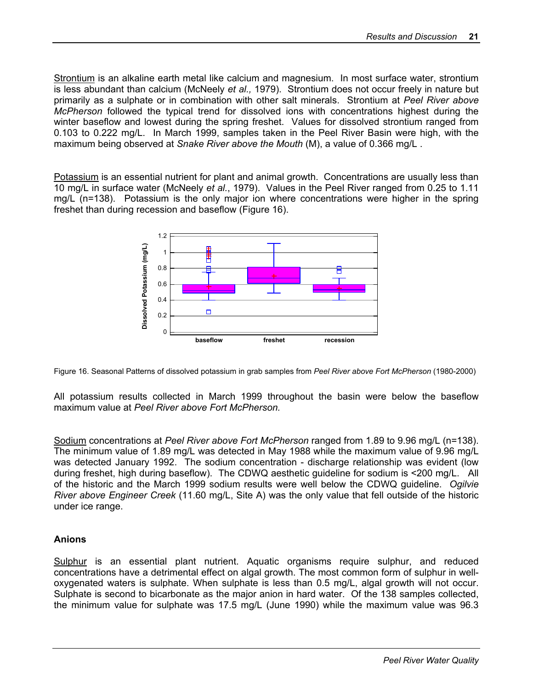Strontium is an alkaline earth metal like calcium and magnesium. In most surface water, strontium is less abundant than calcium (McNeely *et al.,* 1979). Strontium does not occur freely in nature but primarily as a sulphate or in combination with other salt minerals. Strontium at *Peel River above McPherson* followed the typical trend for dissolved ions with concentrations highest during the winter baseflow and lowest during the spring freshet. Values for dissolved strontium ranged from 0.103 to 0.222 mg/L. In March 1999, samples taken in the Peel River Basin were high, with the maximum being observed at *Snake River above the Mouth* (M), a value of 0.366 mg/L .

Potassium is an essential nutrient for plant and animal growth. Concentrations are usually less than 10 mg/L in surface water (McNeely *et al.*, 1979). Values in the Peel River ranged from 0.25 to 1.11 mg/L (n=138). Potassium is the only major ion where concentrations were higher in the spring freshet than during recession and baseflow (Figure 16).



Figure 16. Seasonal Patterns of dissolved potassium in grab samples from *Peel River above Fort McPherson* (1980-2000)

All potassium results collected in March 1999 throughout the basin were below the baseflow maximum value at *Peel River above Fort McPherson.*

Sodium concentrations at *Peel River above Fort McPherson* ranged from 1.89 to 9.96 mg/L (n=138). The minimum value of 1.89 mg/L was detected in May 1988 while the maximum value of 9.96 mg/L was detected January 1992. The sodium concentration - discharge relationship was evident (low during freshet, high during baseflow). The CDWQ aesthetic guideline for sodium is <200 mg/L. All of the historic and the March 1999 sodium results were well below the CDWQ guideline. *Ogilvie River above Engineer Creek* (11.60 mg/L, Site A) was the only value that fell outside of the historic under ice range.

#### **Anions**

Sulphur is an essential plant nutrient. Aquatic organisms require sulphur, and reduced concentrations have a detrimental effect on algal growth. The most common form of sulphur in welloxygenated waters is sulphate. When sulphate is less than 0.5 mg/L, algal growth will not occur. Sulphate is second to bicarbonate as the major anion in hard water. Of the 138 samples collected, the minimum value for sulphate was 17.5 mg/L (June 1990) while the maximum value was 96.3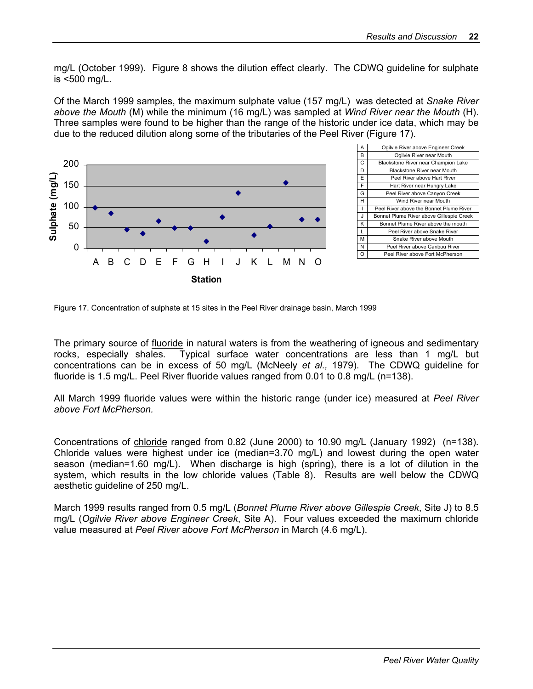mg/L (October 1999). Figure 8 shows the dilution effect clearly. The CDWQ guideline for sulphate is <500 mg/L.

Of the March 1999 samples, the maximum sulphate value (157 mg/L) was detected at *Snake River above the Mouth* (M) while the minimum (16 mg/L) was sampled at *Wind River near the Mouth* (H). Three samples were found to be higher than the range of the historic under ice data, which may be due to the reduced dilution along some of the tributaries of the Peel River (Figure 17).



| А  | Ogilvie River above Engineer Creek       |
|----|------------------------------------------|
| в  | Ogilvie River near Mouth                 |
| Ċ  | Blackstone River near Champion Lake      |
| D  | Blackstone River near Mouth              |
| E  | Peel River above Hart River              |
| F  | Hart River near Hungry Lake              |
| G  | Peel River above Canyon Creek            |
| н  | Wind River near Mouth                    |
| ı  | Peel River above the Bonnet Plume River  |
| J. | Bonnet Plume River above Gillespie Creek |
| Κ  | Bonnet Plume River above the mouth       |
| L  | Peel River above Snake River             |
| м  | Snake River above Mouth                  |
| N  | Peel River above Caribou River           |
| റ  | Peel River above Fort McPherson          |

Figure 17. Concentration of sulphate at 15 sites in the Peel River drainage basin, March 1999

The primary source of fluoride in natural waters is from the weathering of igneous and sedimentary rocks, especially shales. Typical surface water concentrations are less than 1 mg/L but concentrations can be in excess of 50 mg/L (McNeely *et al.,* 1979). The CDWQ guideline for fluoride is 1.5 mg/L. Peel River fluoride values ranged from 0.01 to 0.8 mg/L (n=138).

All March 1999 fluoride values were within the historic range (under ice) measured at *Peel River above Fort McPherson.* 

Concentrations of chloride ranged from 0.82 (June 2000) to 10.90 mg/L (January 1992) (n=138). Chloride values were highest under ice (median=3.70 mg/L) and lowest during the open water season (median=1.60 mg/L). When discharge is high (spring), there is a lot of dilution in the system, which results in the low chloride values (Table 8). Results are well below the CDWQ aesthetic guideline of 250 mg/L.

March 1999 results ranged from 0.5 mg/L (*Bonnet Plume River above Gillespie Creek*, Site J) to 8.5 mg/L (*Ogilvie River above Engineer Creek*, Site A). Four values exceeded the maximum chloride value measured at *Peel River above Fort McPherson* in March (4.6 mg/L).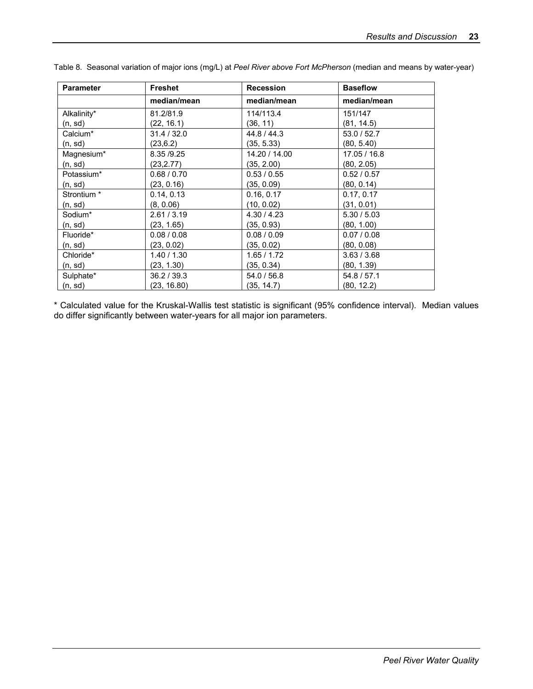| <b>Parameter</b>       | <b>Freshet</b> | <b>Recession</b> | <b>Baseflow</b> |  |  |  |
|------------------------|----------------|------------------|-----------------|--|--|--|
|                        | median/mean    | median/mean      | median/mean     |  |  |  |
| Alkalinity*            | 81.2/81.9      | 114/113.4        | 151/147         |  |  |  |
| (n, sd)                | (22, 16.1)     | (36, 11)         | (81, 14.5)      |  |  |  |
| Calcium*               | 31.4 / 32.0    | 44.8 / 44.3      | 53.0 / 52.7     |  |  |  |
| (n, sd)                | (23, 6.2)      | (35, 5.33)       | (80, 5.40)      |  |  |  |
| Magnesium*             | 8.35 / 9.25    | 14.20 / 14.00    | 17.05 / 16.8    |  |  |  |
| (n, sd)                | (23, 2.77)     | (35, 2.00)       | (80, 2.05)      |  |  |  |
| Potassium*             | 0.68 / 0.70    | 0.53 / 0.55      | 0.52 / 0.57     |  |  |  |
| (n, sd)                | (23, 0.16)     | (35, 0.09)       | (80, 0.14)      |  |  |  |
| Strontium <sup>*</sup> | 0.14, 0.13     | 0.16, 0.17       | 0.17, 0.17      |  |  |  |
| (n, sd)                | (8, 0.06)      | (10, 0.02)       | (31, 0.01)      |  |  |  |
| Sodium*                | 2.61 / 3.19    | 4.30 / 4.23      | 5.30 / 5.03     |  |  |  |
| (n, sd)                | (23, 1.65)     | (35, 0.93)       | (80, 1.00)      |  |  |  |
| Fluoride*              | 0.08 / 0.08    | 0.08 / 0.09      | 0.07 / 0.08     |  |  |  |
| (n, sd)                | (23, 0.02)     | (35, 0.02)       | (80, 0.08)      |  |  |  |
| Chloride*              | 1.40 / 1.30    | 1.65 / 1.72      | 3.63 / 3.68     |  |  |  |
| (n, sd)                | (23, 1.30)     | (35, 0.34)       | (80, 1.39)      |  |  |  |
| Sulphate*              | 36.2 / 39.3    | 54.0 / 56.8      | 54.8 / 57.1     |  |  |  |
| (n, sd)                | (23, 16.80)    | (35, 14.7)       | (80, 12.2)      |  |  |  |

Table 8. Seasonal variation of major ions (mg/L) at *Peel River above Fort McPherson* (median and means by water-year)

\* Calculated value for the Kruskal-Wallis test statistic is significant (95% confidence interval). Median values do differ significantly between water-years for all major ion parameters.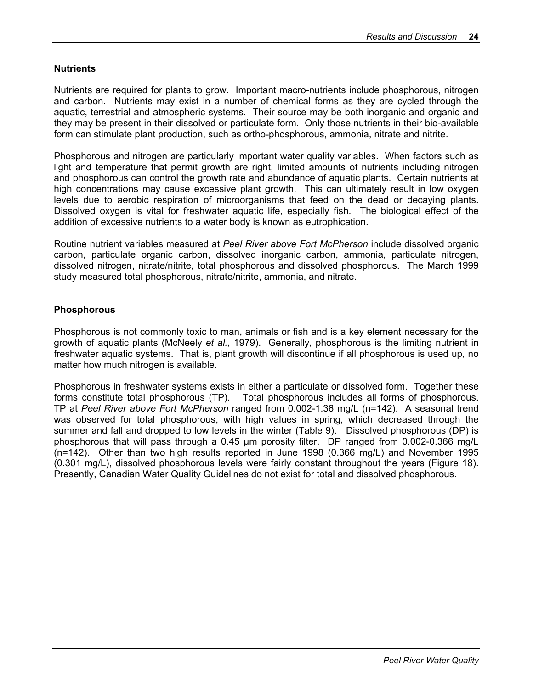#### **Nutrients**

Nutrients are required for plants to grow. Important macro-nutrients include phosphorous, nitrogen and carbon. Nutrients may exist in a number of chemical forms as they are cycled through the aquatic, terrestrial and atmospheric systems. Their source may be both inorganic and organic and they may be present in their dissolved or particulate form. Only those nutrients in their bio-available form can stimulate plant production, such as ortho-phosphorous, ammonia, nitrate and nitrite.

Phosphorous and nitrogen are particularly important water quality variables. When factors such as light and temperature that permit growth are right, limited amounts of nutrients including nitrogen and phosphorous can control the growth rate and abundance of aquatic plants. Certain nutrients at high concentrations may cause excessive plant growth. This can ultimately result in low oxygen levels due to aerobic respiration of microorganisms that feed on the dead or decaying plants. Dissolved oxygen is vital for freshwater aquatic life, especially fish. The biological effect of the addition of excessive nutrients to a water body is known as eutrophication.

Routine nutrient variables measured at *Peel River above Fort McPherson* include dissolved organic carbon, particulate organic carbon, dissolved inorganic carbon, ammonia, particulate nitrogen, dissolved nitrogen, nitrate/nitrite, total phosphorous and dissolved phosphorous. The March 1999 study measured total phosphorous, nitrate/nitrite, ammonia, and nitrate.

#### **Phosphorous**

Phosphorous is not commonly toxic to man, animals or fish and is a key element necessary for the growth of aquatic plants (McNeely *et al.*, 1979). Generally, phosphorous is the limiting nutrient in freshwater aquatic systems. That is, plant growth will discontinue if all phosphorous is used up, no matter how much nitrogen is available.

Phosphorous in freshwater systems exists in either a particulate or dissolved form. Together these forms constitute total phosphorous (TP). Total phosphorous includes all forms of phosphorous. TP at *Peel River above Fort McPherson* ranged from 0.002-1.36 mg/L (n=142). A seasonal trend was observed for total phosphorous, with high values in spring, which decreased through the summer and fall and dropped to low levels in the winter (Table 9). Dissolved phosphorous (DP) is phosphorous that will pass through a 0.45 µm porosity filter. DP ranged from 0.002-0.366 mg/L (n=142). Other than two high results reported in June 1998 (0.366 mg/L) and November 1995 (0.301 mg/L), dissolved phosphorous levels were fairly constant throughout the years (Figure 18). Presently, Canadian Water Quality Guidelines do not exist for total and dissolved phosphorous.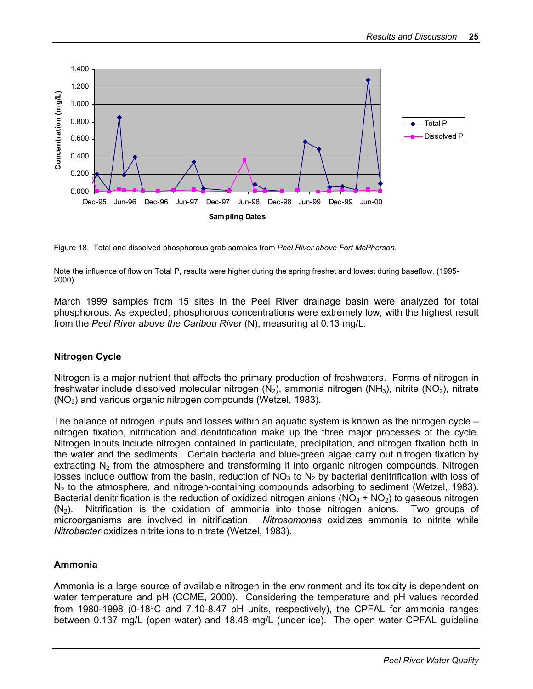

Figure 18. Total and dissolved phosphorous grab samples from *Peel River above Fort McPherson*.

Note the influence of flow on Total P, results were higher during the spring freshet and lowest during baseflow. (1995- 2000).

March 1999 samples from 15 sites in the Peel River drainage basin were analyzed for total phosphorous. As expected, phosphorous concentrations were extremely low, with the highest result from the *Peel River above the Caribou River* (N), measuring at 0.13 mg/L.

#### **Nitrogen Cycle**

Nitrogen is a major nutrient that affects the primary production of freshwaters. Forms of nitrogen in freshwater include dissolved molecular nitrogen  $(N_2)$ , ammonia nitrogen  $(NH_3)$ , nitrite  $(NO_2)$ , nitrate  $(NO<sub>3</sub>)$  and various organic nitrogen compounds (Wetzel, 1983).

The balance of nitrogen inputs and losses within an aquatic system is known as the nitrogen cycle – nitrogen fixation, nitrification and denitrification make up the three major processes of the cycle. Nitrogen inputs include nitrogen contained in particulate, precipitation, and nitrogen fixation both in the water and the sediments. Certain bacteria and blue-green algae carry out nitrogen fixation by extracting  $N<sub>2</sub>$  from the atmosphere and transforming it into organic nitrogen compounds. Nitrogen losses include outflow from the basin, reduction of  $NO<sub>3</sub>$  to  $N<sub>2</sub>$  by bacterial denitrification with loss of  $N_2$  to the atmosphere, and nitrogen-containing compounds adsorbing to sediment (Wetzel, 1983). Bacterial denitrification is the reduction of oxidized nitrogen anions  $(NO<sub>3</sub> + NO<sub>2</sub>)$  to gaseous nitrogen  $(N<sub>2</sub>)$ . Nitrification is the oxidation of ammonia into those nitrogen anions. Two groups of microorganisms are involved in nitrification. *Nitrosomonas* oxidizes ammonia to nitrite while *Nitrobacter* oxidizes nitrite ions to nitrate (Wetzel, 1983).

#### **Ammonia**

Ammonia is a large source of available nitrogen in the environment and its toxicity is dependent on water temperature and pH (CCME, 2000). Considering the temperature and pH values recorded from 1980-1998 (0-18°C and 7.10-8.47 pH units, respectively), the CPFAL for ammonia ranges between 0.137 mg/L (open water) and 18.48 mg/L (under ice). The open water CPFAL guideline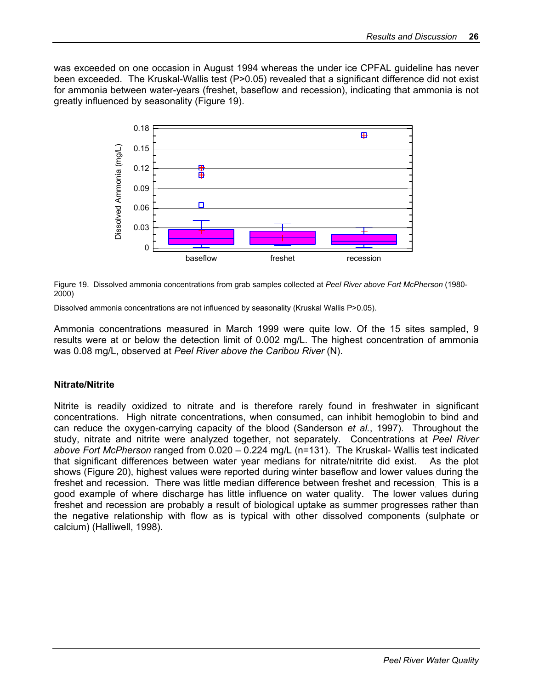was exceeded on one occasion in August 1994 whereas the under ice CPFAL guideline has never been exceeded. The Kruskal-Wallis test (P>0.05) revealed that a significant difference did not exist for ammonia between water-years (freshet, baseflow and recession), indicating that ammonia is not greatly influenced by seasonality (Figure 19).



Figure 19. Dissolved ammonia concentrations from grab samples collected at *Peel River above Fort McPherson* (1980- 2000)

Dissolved ammonia concentrations are not influenced by seasonality (Kruskal Wallis P>0.05).

Ammonia concentrations measured in March 1999 were quite low. Of the 15 sites sampled, 9 results were at or below the detection limit of 0.002 mg/L. The highest concentration of ammonia was 0.08 mg/L, observed at *Peel River above the Caribou River* (N).

#### **Nitrate/Nitrite**

Nitrite is readily oxidized to nitrate and is therefore rarely found in freshwater in significant concentrations. High nitrate concentrations, when consumed, can inhibit hemoglobin to bind and can reduce the oxygen-carrying capacity of the blood (Sanderson *et al.*, 1997). Throughout the study, nitrate and nitrite were analyzed together, not separately. Concentrations at *Peel River above Fort McPherson* ranged from 0.020 – 0.224 mg/L (n=131). The Kruskal- Wallis test indicated that significant differences between water year medians for nitrate/nitrite did exist. As the plot shows (Figure 20), highest values were reported during winter baseflow and lower values during the freshet and recession. There was little median difference between freshet and recession. This is a good example of where discharge has little influence on water quality. The lower values during freshet and recession are probably a result of biological uptake as summer progresses rather than the negative relationship with flow as is typical with other dissolved components (sulphate or calcium) (Halliwell, 1998).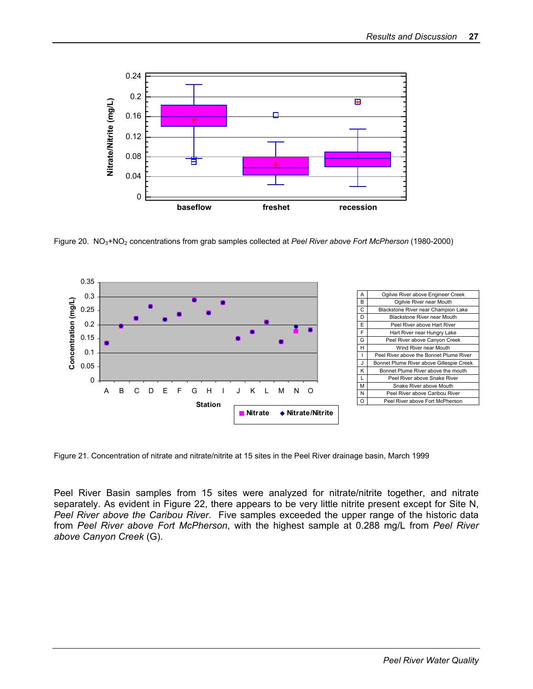

Figure 20. NO3+NO2 concentrations from grab samples collected at *Peel River above Fort McPherson* (1980-2000)



Figure 21. Concentration of nitrate and nitrate/nitrite at 15 sites in the Peel River drainage basin, March 1999

Peel River Basin samples from 15 sites were analyzed for nitrate/nitrite together, and nitrate separately. As evident in Figure 22, there appears to be very little nitrite present except for Site N, *Peel River above the Caribou River*. Five samples exceeded the upper range of the historic data from *Peel River above Fort McPherson*, with the highest sample at 0.288 mg/L from *Peel River above Canyon Creek* (G).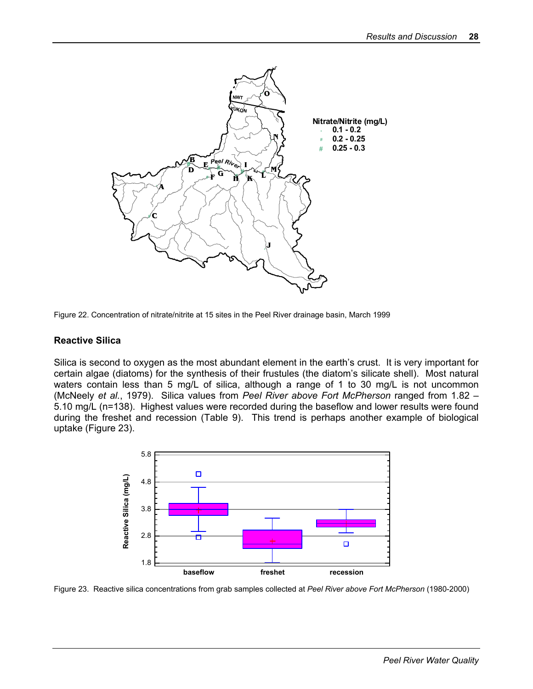



#### **Reactive Silica**

Silica is second to oxygen as the most abundant element in the earth's crust. It is very important for certain algae (diatoms) for the synthesis of their frustules (the diatom's silicate shell). Most natural waters contain less than 5 mg/L of silica, although a range of 1 to 30 mg/L is not uncommon (McNeely *et al.*, 1979). Silica values from *Peel River above Fort McPherson* ranged from 1.82 – 5.10 mg/L (n=138). Highest values were recorded during the baseflow and lower results were found during the freshet and recession (Table 9). This trend is perhaps another example of biological uptake (Figure 23).



Figure 23. Reactive silica concentrations from grab samples collected at *Peel River above Fort McPherson* (1980-2000)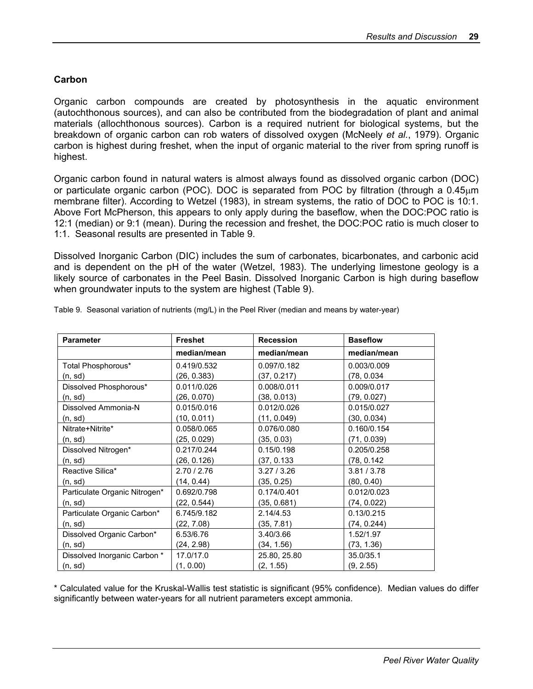#### **Carbon**

Organic carbon compounds are created by photosynthesis in the aquatic environment (autochthonous sources), and can also be contributed from the biodegradation of plant and animal materials (allochthonous sources). Carbon is a required nutrient for biological systems, but the breakdown of organic carbon can rob waters of dissolved oxygen (McNeely *et al.*, 1979). Organic carbon is highest during freshet, when the input of organic material to the river from spring runoff is highest.

Organic carbon found in natural waters is almost always found as dissolved organic carbon (DOC) or particulate organic carbon (POC). DOC is separated from POC by filtration (through a  $0.45\mu m$ membrane filter). According to Wetzel (1983), in stream systems, the ratio of DOC to POC is 10:1. Above Fort McPherson, this appears to only apply during the baseflow, when the DOC:POC ratio is 12:1 (median) or 9:1 (mean). During the recession and freshet, the DOC:POC ratio is much closer to 1:1. Seasonal results are presented in Table 9.

Dissolved Inorganic Carbon (DIC) includes the sum of carbonates, bicarbonates, and carbonic acid and is dependent on the pH of the water (Wetzel, 1983). The underlying limestone geology is a likely source of carbonates in the Peel Basin. Dissolved Inorganic Carbon is high during baseflow when groundwater inputs to the system are highest (Table 9).

| <b>Parameter</b>              | <b>Freshet</b> | <b>Recession</b> | <b>Baseflow</b> |  |  |  |
|-------------------------------|----------------|------------------|-----------------|--|--|--|
|                               | median/mean    | median/mean      | median/mean     |  |  |  |
| Total Phosphorous*            | 0.419/0.532    | 0.097/0.182      | 0.003/0.009     |  |  |  |
| (n, sd)                       | (26, 0.383)    | (37, 0.217)      | (78, 0.034)     |  |  |  |
| Dissolved Phosphorous*        | 0.011/0.026    | 0.008/0.011      | 0.009/0.017     |  |  |  |
| (n, sd)                       | (26, 0.070)    | (38, 0.013)      | (79, 0.027)     |  |  |  |
| Dissolved Ammonia-N           | 0.015/0.016    | 0.012/0.026      | 0.015/0.027     |  |  |  |
| (n, sd)                       | (10, 0.011)    | (11, 0.049)      | (30, 0.034)     |  |  |  |
| Nitrate+Nitrite*              | 0.058/0.065    | 0.076/0.080      | 0.160/0.154     |  |  |  |
| (n, sd)                       | (25, 0.029)    | (35, 0.03)       | (71, 0.039)     |  |  |  |
| Dissolved Nitrogen*           | 0.217/0.244    | 0.15/0.198       | 0.205/0.258     |  |  |  |
| (n, sd)                       | (26, 0.126)    | (37, 0.133       | (78, 0.142)     |  |  |  |
| Reactive Silica*              | 2.70 / 2.76    | 3.27/3.26        | 3.81 / 3.78     |  |  |  |
| (n, sd)                       | (14, 0.44)     | (35, 0.25)       | (80, 0.40)      |  |  |  |
| Particulate Organic Nitrogen* | 0.692/0.798    | 0.174/0.401      | 0.012/0.023     |  |  |  |
| (n, sd)                       | (22, 0.544)    | (35, 0.681)      | (74, 0.022)     |  |  |  |
| Particulate Organic Carbon*   | 6.745/9.182    | 2.14/4.53        | 0.13/0.215      |  |  |  |
| (n, sd)                       | (22, 7.08)     | (35, 7.81)       | (74, 0.244)     |  |  |  |
| Dissolved Organic Carbon*     | 6.53/6.76      | 3.40/3.66        | 1.52/1.97       |  |  |  |
| (n, sd)                       | (24, 2.98)     | (34, 1.56)       | (73, 1.36)      |  |  |  |
| Dissolved Inorganic Carbon *  | 17.0/17.0      | 25.80, 25.80     | 35.0/35.1       |  |  |  |
| (n, sd)                       | (1, 0.00)      | (2, 1.55)        | (9, 2.55)       |  |  |  |

Table 9. Seasonal variation of nutrients (mg/L) in the Peel River (median and means by water-year)

\* Calculated value for the Kruskal-Wallis test statistic is significant (95% confidence). Median values do differ significantly between water-years for all nutrient parameters except ammonia.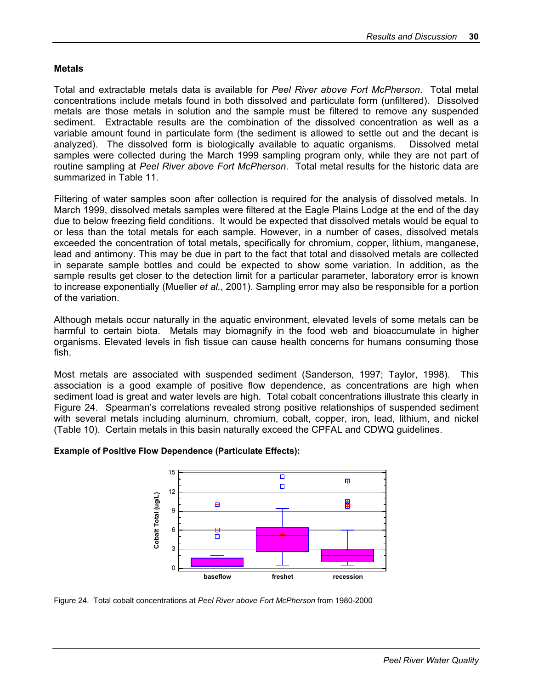#### **Metals**

Total and extractable metals data is available for *Peel River above Fort McPherson*. Total metal concentrations include metals found in both dissolved and particulate form (unfiltered). Dissolved metals are those metals in solution and the sample must be filtered to remove any suspended sediment. Extractable results are the combination of the dissolved concentration as well as a variable amount found in particulate form (the sediment is allowed to settle out and the decant is analyzed). The dissolved form is biologically available to aquatic organisms. Dissolved metal samples were collected during the March 1999 sampling program only, while they are not part of routine sampling at *Peel River above Fort McPherson*. Total metal results for the historic data are summarized in Table 11.

Filtering of water samples soon after collection is required for the analysis of dissolved metals. In March 1999, dissolved metals samples were filtered at the Eagle Plains Lodge at the end of the day due to below freezing field conditions. It would be expected that dissolved metals would be equal to or less than the total metals for each sample. However, in a number of cases, dissolved metals exceeded the concentration of total metals, specifically for chromium, copper, lithium, manganese, lead and antimony. This may be due in part to the fact that total and dissolved metals are collected in separate sample bottles and could be expected to show some variation. In addition, as the sample results get closer to the detection limit for a particular parameter, laboratory error is known to increase exponentially (Mueller *et al.*, 2001). Sampling error may also be responsible for a portion of the variation.

Although metals occur naturally in the aquatic environment, elevated levels of some metals can be harmful to certain biota. Metals may biomagnify in the food web and bioaccumulate in higher organisms. Elevated levels in fish tissue can cause health concerns for humans consuming those fish.

Most metals are associated with suspended sediment (Sanderson, 1997; Taylor, 1998). This association is a good example of positive flow dependence, as concentrations are high when sediment load is great and water levels are high. Total cobalt concentrations illustrate this clearly in Figure 24. Spearman's correlations revealed strong positive relationships of suspended sediment with several metals including aluminum, chromium, cobalt, copper, iron, lead, lithium, and nickel (Table 10). Certain metals in this basin naturally exceed the CPFAL and CDWQ guidelines.

#### 15  $\overline{\blacksquare}$ ⊞  $\Box$ 12 ⊞

**Example of Positive Flow Dependence (Particulate Effects):** 



Figure 24. Total cobalt concentrations at *Peel River above Fort McPherson* from 1980-2000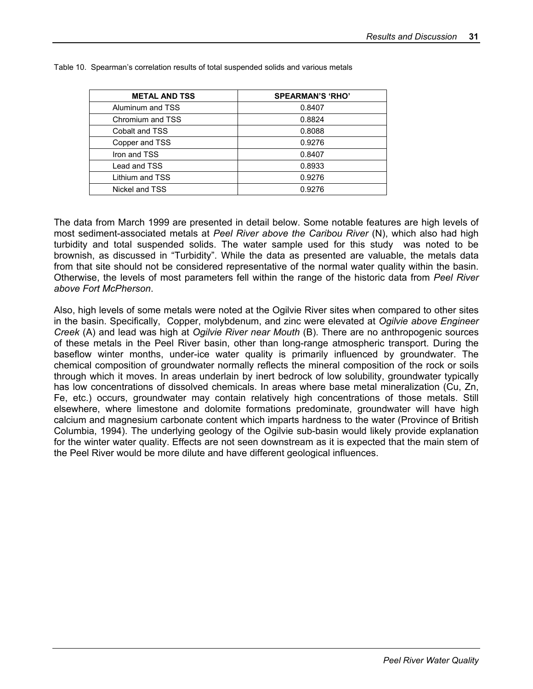| <b>METAL AND TSS</b> | <b>SPEARMAN'S 'RHO'</b> |
|----------------------|-------------------------|
| Aluminum and TSS     | 0.8407                  |
| Chromium and TSS     | 0.8824                  |
| Cobalt and TSS       | 0.8088                  |
| Copper and TSS       | 0.9276                  |
| Iron and TSS         | 0.8407                  |
| Lead and TSS         | 0.8933                  |
| Lithium and TSS      | 0.9276                  |
| Nickel and TSS       | 0.9276                  |

Table 10. Spearman's correlation results of total suspended solids and various metals

The data from March 1999 are presented in detail below. Some notable features are high levels of most sediment-associated metals at *Peel River above the Caribou River* (N), which also had high turbidity and total suspended solids. The water sample used for this study was noted to be brownish, as discussed in "Turbidity". While the data as presented are valuable, the metals data from that site should not be considered representative of the normal water quality within the basin. Otherwise, the levels of most parameters fell within the range of the historic data from *Peel River above Fort McPherson*.

Also, high levels of some metals were noted at the Ogilvie River sites when compared to other sites in the basin. Specifically, Copper, molybdenum, and zinc were elevated at *Ogilvie above Engineer Creek* (A) and lead was high at *Ogilvie River near Mouth* (B). There are no anthropogenic sources of these metals in the Peel River basin, other than long-range atmospheric transport. During the baseflow winter months, under-ice water quality is primarily influenced by groundwater. The chemical composition of groundwater normally reflects the mineral composition of the rock or soils through which it moves. In areas underlain by inert bedrock of low solubility, groundwater typically has low concentrations of dissolved chemicals. In areas where base metal mineralization (Cu, Zn, Fe, etc.) occurs, groundwater may contain relatively high concentrations of those metals. Still elsewhere, where limestone and dolomite formations predominate, groundwater will have high calcium and magnesium carbonate content which imparts hardness to the water (Province of British Columbia, 1994). The underlying geology of the Ogilvie sub-basin would likely provide explanation for the winter water quality. Effects are not seen downstream as it is expected that the main stem of the Peel River would be more dilute and have different geological influences.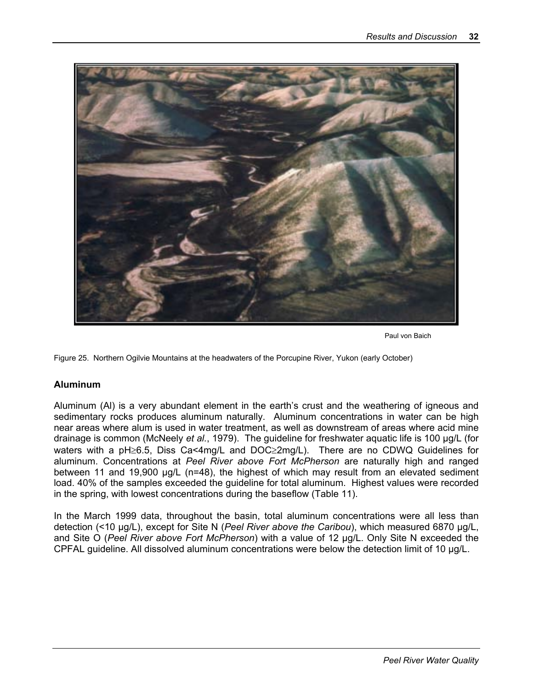

Paul von Baich

Figure 25. Northern Ogilvie Mountains at the headwaters of the Porcupine River, Yukon (early October)

#### **Aluminum**

Aluminum (Al) is a very abundant element in the earth's crust and the weathering of igneous and sedimentary rocks produces aluminum naturally. Aluminum concentrations in water can be high near areas where alum is used in water treatment, as well as downstream of areas where acid mine drainage is common (McNeely *et al.*, 1979). The guideline for freshwater aquatic life is 100 µg/L (for waters with a pH≥6.5, Diss Ca<4mg/L and DOC≥2mg/L). There are no CDWQ Guidelines for aluminum. Concentrations at *Peel River above Fort McPherson* are naturally high and ranged between 11 and 19,900 µg/L (n=48), the highest of which may result from an elevated sediment load. 40% of the samples exceeded the guideline for total aluminum. Highest values were recorded in the spring, with lowest concentrations during the baseflow (Table 11).

In the March 1999 data, throughout the basin, total aluminum concentrations were all less than detection (<10 µg/L), except for Site N (*Peel River above the Caribou*), which measured 6870 µg/L, and Site O (*Peel River above Fort McPherson*) with a value of 12 µg/L. Only Site N exceeded the CPFAL guideline. All dissolved aluminum concentrations were below the detection limit of 10 µg/L.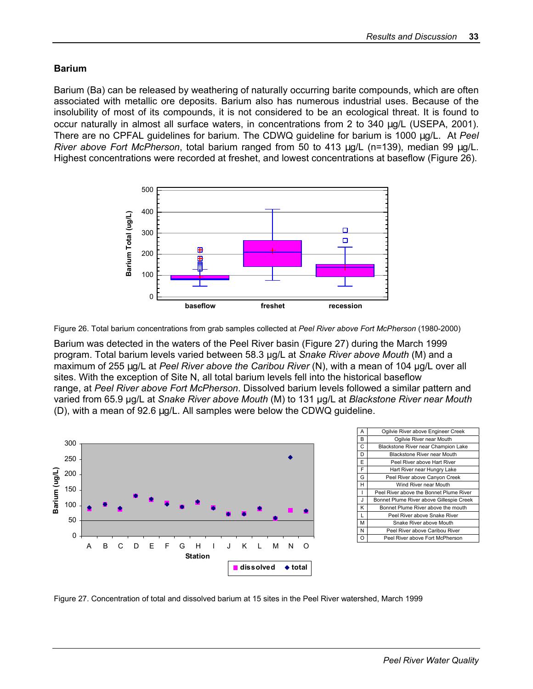#### **Barium**

Barium (Ba) can be released by weathering of naturally occurring barite compounds, which are often associated with metallic ore deposits. Barium also has numerous industrial uses. Because of the insolubility of most of its compounds, it is not considered to be an ecological threat. It is found to occur naturally in almost all surface waters, in concentrations from 2 to 340 µg/L (USEPA, 2001). There are no CPFAL guidelines for barium. The CDWQ guideline for barium is 1000 µg/L. At *Peel River above Fort McPherson*, total barium ranged from 50 to 413 µg/L (n=139), median 99 µg/L. Highest concentrations were recorded at freshet, and lowest concentrations at baseflow (Figure 26).



Figure 26. Total barium concentrations from grab samples collected at *Peel River above Fort McPherson* (1980-2000)

Barium was detected in the waters of the Peel River basin (Figure 27) during the March 1999 program. Total barium levels varied between 58.3 µg/L at *Snake River above Mouth* (M) and a maximum of 255 µg/L at *Peel River above the Caribou River* (N), with a mean of 104 µg/L over all sites. With the exception of Site N, all total barium levels fell into the historical baseflow range, at *Peel River above Fort McPherson*. Dissolved barium levels followed a similar pattern and varied from 65.9 µg/L at *Snake River above Mouth* (M) to 131 µg/L at *Blackstone River near Mouth* (D), with a mean of 92.6 µg/L. All samples were below the CDWQ guideline.



| А  | Ogilvie River above Engineer Creek       |
|----|------------------------------------------|
| В  | Ogilvie River near Mouth                 |
| Ċ  | Blackstone River near Champion Lake      |
| D  | <b>Blackstone River near Mouth</b>       |
| E  | Peel River above Hart River              |
| F  | Hart River near Hungry Lake              |
| G  | Peel River above Canyon Creek            |
| н  | Wind River near Mouth                    |
|    | Peel River above the Bonnet Plume River  |
| J. | Bonnet Plume River above Gillespie Creek |
| ĸ  | Bonnet Plume River above the mouth       |
| L  | Peel River above Snake River             |
| м  | Snake River above Mouth                  |
| Ν  | Peel River above Caribou River           |
|    | Peel River above Fort McPherson          |

Figure 27. Concentration of total and dissolved barium at 15 sites in the Peel River watershed, March 1999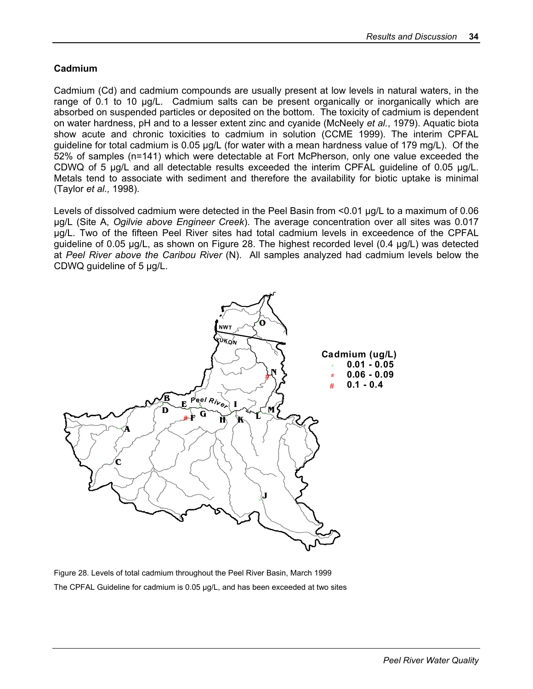#### **Cadmium**

Cadmium (Cd) and cadmium compounds are usually present at low levels in natural waters, in the range of 0.1 to 10 µg/L. Cadmium salts can be present organically or inorganically which are absorbed on suspended particles or deposited on the bottom. The toxicity of cadmium is dependent on water hardness, pH and to a lesser extent zinc and cyanide (McNeely *et al.*, 1979). Aquatic biota show acute and chronic toxicities to cadmium in solution (CCME 1999). The interim CPFAL guideline for total cadmium is 0.05 µg/L (for water with a mean hardness value of 179 mg/L). Of the 52% of samples (n=141) which were detectable at Fort McPherson, only one value exceeded the CDWQ of 5 µg/L and all detectable results exceeded the interim CPFAL guideline of 0.05 µg/L. Metals tend to associate with sediment and therefore the availability for biotic uptake is minimal (Taylor *et al.,* 1998).

Levels of dissolved cadmium were detected in the Peel Basin from <0.01 µg/L to a maximum of 0.06 µg/L (Site A, *Ogilvie above Engineer Creek*). The average concentration over all sites was 0.017 µg/L. Two of the fifteen Peel River sites had total cadmium levels in exceedence of the CPFAL guideline of 0.05 µg/L, as shown on Figure 28. The highest recorded level (0.4 µg/L) was detected at *Peel River above the Caribou River* (N). All samples analyzed had cadmium levels below the CDWQ guideline of 5 µg/L.



Figure 28. Levels of total cadmium throughout the Peel River Basin, March 1999 The CPFAL Guideline for cadmium is 0.05 µg/L, and has been exceeded at two sites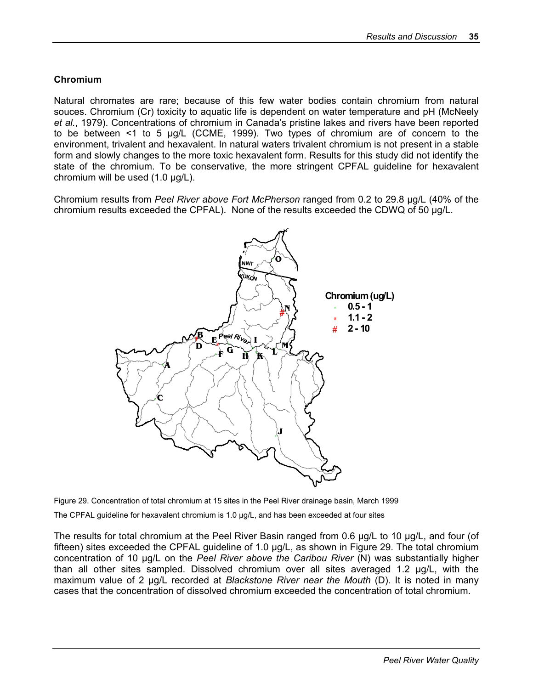#### **Chromium**

Natural chromates are rare; because of this few water bodies contain chromium from natural souces. Chromium (Cr) toxicity to aquatic life is dependent on water temperature and pH (McNeely *et al.*, 1979). Concentrations of chromium in Canada's pristine lakes and rivers have been reported to be between <1 to 5 µg/L (CCME, 1999). Two types of chromium are of concern to the environment, trivalent and hexavalent. In natural waters trivalent chromium is not present in a stable form and slowly changes to the more toxic hexavalent form. Results for this study did not identify the state of the chromium. To be conservative, the more stringent CPFAL guideline for hexavalent chromium will be used (1.0 µg/L).

Chromium results from *Peel River above Fort McPherson* ranged from 0.2 to 29.8 µg/L (40% of the chromium results exceeded the CPFAL). None of the results exceeded the CDWQ of 50 µg/L.



Figure 29. Concentration of total chromium at 15 sites in the Peel River drainage basin, March 1999

The CPFAL guideline for hexavalent chromium is 1.0 µg/L, and has been exceeded at four sites

The results for total chromium at the Peel River Basin ranged from 0.6 µg/L to 10 µg/L, and four (of fifteen) sites exceeded the CPFAL guideline of 1.0 µg/L, as shown in Figure 29. The total chromium concentration of 10 µg/L on the *Peel River above the Caribou River* (N) was substantially higher than all other sites sampled. Dissolved chromium over all sites averaged 1.2 µg/L, with the maximum value of 2 µg/L recorded at *Blackstone River near the Mouth* (D). It is noted in many cases that the concentration of dissolved chromium exceeded the concentration of total chromium.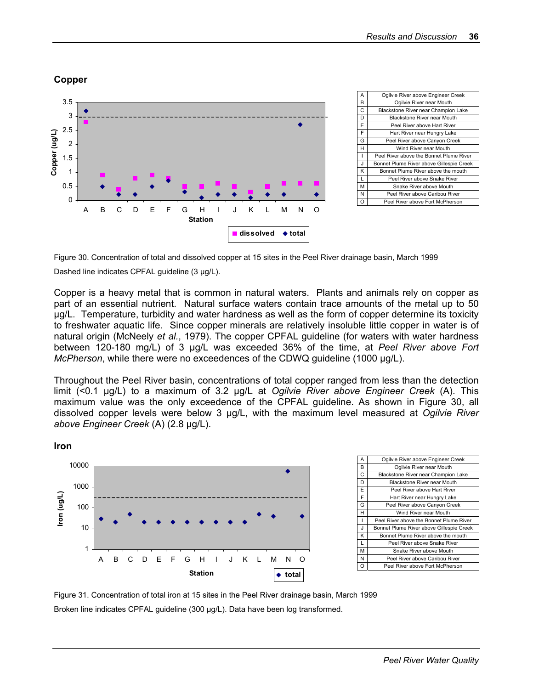#### **Copper**



| Α  | Ogilvie River above Engineer Creek       |
|----|------------------------------------------|
| В  | Ogilvie River near Mouth                 |
| C  | Blackstone River near Champion Lake      |
| D  | <b>Blackstone River near Mouth</b>       |
| E  | Peel River above Hart River              |
| F  | Hart River near Hungry Lake              |
| G  | Peel River above Canyon Creek            |
| н  | Wind River near Mouth                    |
| ı  | Peel River above the Bonnet Plume River  |
| J. | Bonnet Plume River above Gillespie Creek |
| Κ  | Bonnet Plume River above the mouth       |
| L  | Peel River above Snake River             |
| м  | Snake River above Mouth                  |
| N  | Peel River above Caribou River           |
| ი  | Peel River above Fort McPherson          |

Figure 30. Concentration of total and dissolved copper at 15 sites in the Peel River drainage basin, March 1999 Dashed line indicates CPFAL quideline (3 µg/L).

Copper is a heavy metal that is common in natural waters. Plants and animals rely on copper as part of an essential nutrient. Natural surface waters contain trace amounts of the metal up to 50 µg/L. Temperature, turbidity and water hardness as well as the form of copper determine its toxicity to freshwater aquatic life. Since copper minerals are relatively insoluble little copper in water is of natural origin (McNeely *et al.*, 1979). The copper CPFAL guideline (for waters with water hardness between 120-180 mg/L) of 3 µg/L was exceeded 36% of the time, at *Peel River above Fort McPherson*, while there were no exceedences of the CDWQ guideline (1000 µg/L).

Throughout the Peel River basin, concentrations of total copper ranged from less than the detection limit (<0.1 µg/L) to a maximum of 3.2 µg/L at *Ogilvie River above Engineer Creek* (A). This maximum value was the only exceedence of the CPFAL guideline. As shown in Figure 30, all dissolved copper levels were below 3 µg/L, with the maximum level measured at *Ogilvie River above Engineer Creek* (A) (2.8 µg/L).





Figure 31. Concentration of total iron at 15 sites in the Peel River drainage basin, March 1999 Broken line indicates CPFAL guideline (300 µg/L). Data have been log transformed.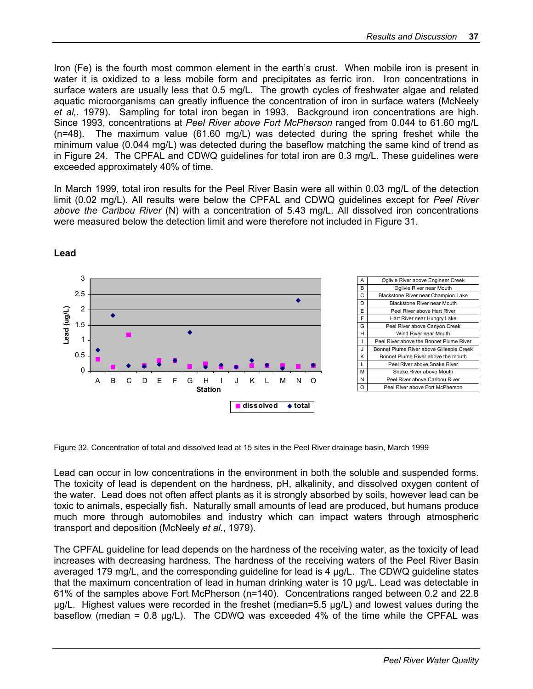Iron (Fe) is the fourth most common element in the earth's crust. When mobile iron is present in water it is oxidized to a less mobile form and precipitates as ferric iron. Iron concentrations in surface waters are usually less that 0.5 mg/L. The growth cycles of freshwater algae and related aquatic microorganisms can greatly influence the concentration of iron in surface waters (McNeely *et al,.* 1979). Sampling for total iron began in 1993. Background iron concentrations are high. Since 1993, concentrations at *Peel River above Fort McPherson* ranged from 0.044 to 61.60 mg/L (n=48). The maximum value (61.60 mg/L) was detected during the spring freshet while the minimum value (0.044 mg/L) was detected during the baseflow matching the same kind of trend as in Figure 24. The CPFAL and CDWQ guidelines for total iron are 0.3 mg/L. These guidelines were exceeded approximately 40% of time.

In March 1999, total iron results for the Peel River Basin were all within 0.03 mg/L of the detection limit (0.02 mg/L). All results were below the CPFAL and CDWQ guidelines except for *Peel River above the Caribou River* (N) with a concentration of 5.43 mg/L. All dissolved iron concentrations were measured below the detection limit and were therefore not included in Figure 31.



**Lead** 

Figure 32. Concentration of total and dissolved lead at 15 sites in the Peel River drainage basin, March 1999

Lead can occur in low concentrations in the environment in both the soluble and suspended forms. The toxicity of lead is dependent on the hardness, pH, alkalinity, and dissolved oxygen content of the water. Lead does not often affect plants as it is strongly absorbed by soils, however lead can be toxic to animals, especially fish. Naturally small amounts of lead are produced, but humans produce much more through automobiles and industry which can impact waters through atmospheric transport and deposition (McNeely *et al.*, 1979).

The CPFAL guideline for lead depends on the hardness of the receiving water, as the toxicity of lead increases with decreasing hardness. The hardness of the receiving waters of the Peel River Basin averaged 179 mg/L, and the corresponding guideline for lead is 4 µg/L. The CDWQ guideline states that the maximum concentration of lead in human drinking water is 10 µg/L. Lead was detectable in 61% of the samples above Fort McPherson (n=140). Concentrations ranged between 0.2 and 22.8 µg/L. Highest values were recorded in the freshet (median=5.5 µg/L) and lowest values during the baseflow (median =  $0.8 \mu g/L$ ). The CDWQ was exceeded 4% of the time while the CPFAL was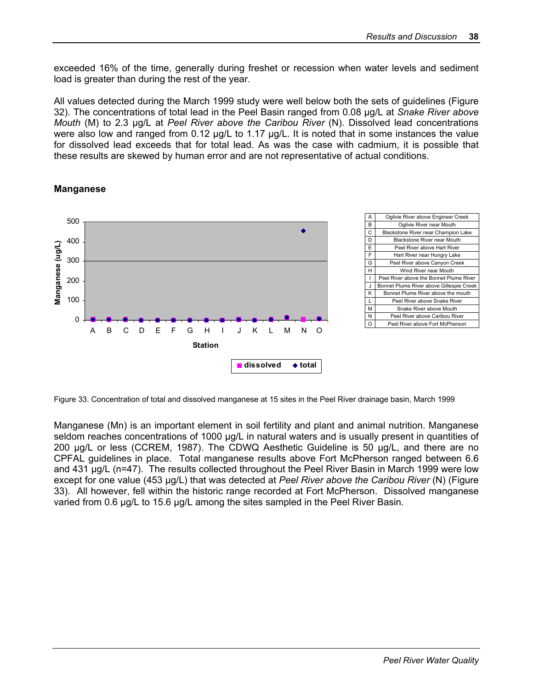exceeded 16% of the time, generally during freshet or recession when water levels and sediment load is greater than during the rest of the year.

All values detected during the March 1999 study were well below both the sets of guidelines (Figure 32). The concentrations of total lead in the Peel Basin ranged from 0.08 µg/L at *Snake River above Mouth* (M) to 2.3 µg/L at *Peel River above the Caribou River* (N). Dissolved lead concentrations were also low and ranged from 0.12 µg/L to 1.17 µg/L. It is noted that in some instances the value for dissolved lead exceeds that for total lead. As was the case with cadmium, it is possible that these results are skewed by human error and are not representative of actual conditions.

#### **Manganese**



Figure 33. Concentration of total and dissolved manganese at 15 sites in the Peel River drainage basin, March 1999

Manganese (Mn) is an important element in soil fertility and plant and animal nutrition. Manganese seldom reaches concentrations of 1000 µg/L in natural waters and is usually present in quantities of 200 µg/L or less (CCREM, 1987). The CDWQ Aesthetic Guideline is 50 µg/L, and there are no CPFAL guidelines in place. Total manganese results above Fort McPherson ranged between 6.6 and 431 µg/L (n=47). The results collected throughout the Peel River Basin in March 1999 were low except for one value (453 µg/L) that was detected at *Peel River above the Caribou River* (N) (Figure 33). All however, fell within the historic range recorded at Fort McPherson. Dissolved manganese varied from 0.6 µg/L to 15.6 µg/L among the sites sampled in the Peel River Basin.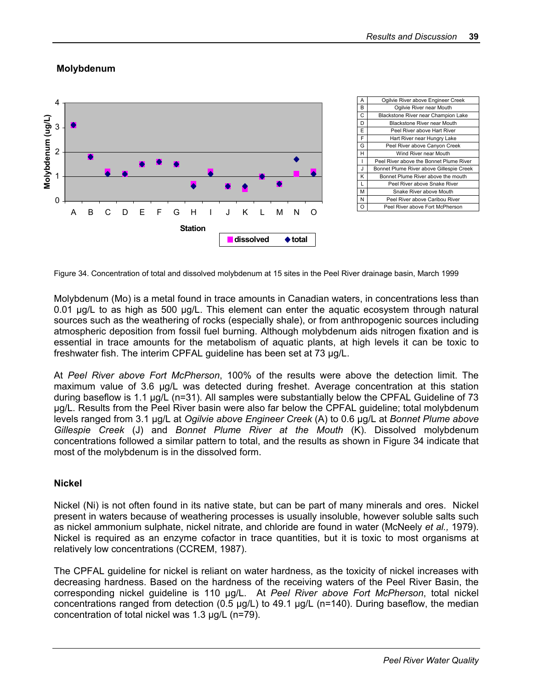#### **Molybdenum**



| A  | Ogilvie River above Engineer Creek       |
|----|------------------------------------------|
| B  | Ogilvie River near Mouth                 |
| C  | Blackstone River near Champion Lake      |
| D  | Blackstone River near Mouth              |
| E  | Peel River above Hart River              |
| F  | Hart River near Hungry Lake              |
| G  | Peel River above Canyon Creek            |
| н  | Wind River near Mouth                    |
| ı  | Peel River above the Bonnet Plume River  |
| J. | Bonnet Plume River above Gillespie Creek |
| Κ  | Bonnet Plume River above the mouth       |
| L  | Peel River above Snake River             |
| м  | Snake River above Mouth                  |
| N  | Peel River above Caribou River           |
| റ  | Peel River above Fort McPherson          |

Figure 34. Concentration of total and dissolved molybdenum at 15 sites in the Peel River drainage basin, March 1999

Molybdenum (Mo) is a metal found in trace amounts in Canadian waters, in concentrations less than 0.01 µg/L to as high as 500 µg/L. This element can enter the aquatic ecosystem through natural sources such as the weathering of rocks (especially shale), or from anthropogenic sources including atmospheric deposition from fossil fuel burning. Although molybdenum aids nitrogen fixation and is essential in trace amounts for the metabolism of aquatic plants, at high levels it can be toxic to freshwater fish. The interim CPFAL guideline has been set at 73 µg/L.

At *Peel River above Fort McPherson*, 100% of the results were above the detection limit. The maximum value of 3.6 µg/L was detected during freshet. Average concentration at this station during baseflow is 1.1 µg/L (n=31). All samples were substantially below the CPFAL Guideline of 73 ug/L. Results from the Peel River basin were also far below the CPFAL guideline; total molybdenum levels ranged from 3.1 µg/L at *Ogilvie above Engineer Creek* (A) to 0.6 µg/L at *Bonnet Plume above Gillespie Creek* (J) and *Bonnet Plume River at the Mouth* (K). Dissolved molybdenum concentrations followed a similar pattern to total, and the results as shown in Figure 34 indicate that most of the molybdenum is in the dissolved form.

#### **Nickel**

Nickel (Ni) is not often found in its native state, but can be part of many minerals and ores. Nickel present in waters because of weathering processes is usually insoluble, however soluble salts such as nickel ammonium sulphate, nickel nitrate, and chloride are found in water (McNeely *et al.,* 1979). Nickel is required as an enzyme cofactor in trace quantities, but it is toxic to most organisms at relatively low concentrations (CCREM, 1987).

The CPFAL guideline for nickel is reliant on water hardness, as the toxicity of nickel increases with decreasing hardness. Based on the hardness of the receiving waters of the Peel River Basin, the corresponding nickel guideline is 110 µg/L. At *Peel River above Fort McPherson*, total nickel concentrations ranged from detection (0.5  $\mu$ g/L) to 49.1  $\mu$ g/L (n=140). During baseflow, the median concentration of total nickel was 1.3 µg/L (n=79).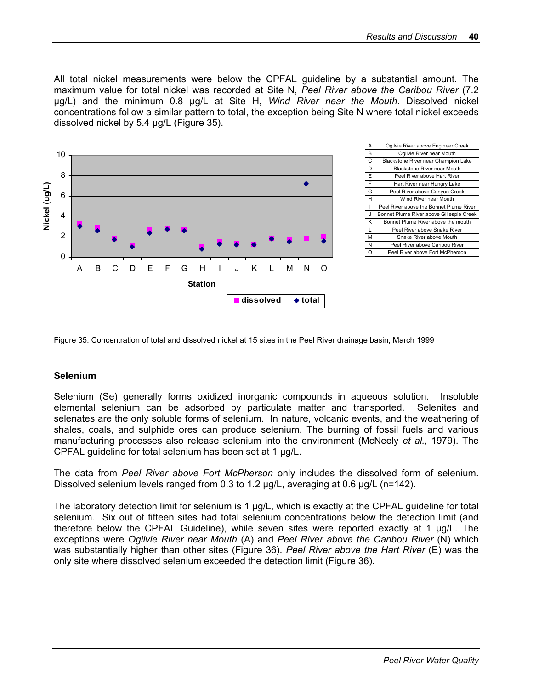All total nickel measurements were below the CPFAL guideline by a substantial amount. The maximum value for total nickel was recorded at Site N, *Peel River above the Caribou River* (7.2 µg/L) and the minimum 0.8 µg/L at Site H, *Wind River near the Mouth*. Dissolved nickel concentrations follow a similar pattern to total, the exception being Site N where total nickel exceeds dissolved nickel by 5.4 µg/L (Figure 35).



Figure 35. Concentration of total and dissolved nickel at 15 sites in the Peel River drainage basin, March 1999

#### **Selenium**

Selenium (Se) generally forms oxidized inorganic compounds in aqueous solution. Insoluble elemental selenium can be adsorbed by particulate matter and transported. Selenites and selenates are the only soluble forms of selenium. In nature, volcanic events, and the weathering of shales, coals, and sulphide ores can produce selenium. The burning of fossil fuels and various manufacturing processes also release selenium into the environment (McNeely *et al.*, 1979). The CPFAL guideline for total selenium has been set at 1 µg/L.

The data from *Peel River above Fort McPherson* only includes the dissolved form of selenium. Dissolved selenium levels ranged from 0.3 to 1.2  $\mu q/L$ , averaging at 0.6  $\mu q/L$  (n=142).

The laboratory detection limit for selenium is 1 µg/L, which is exactly at the CPFAL guideline for total selenium. Six out of fifteen sites had total selenium concentrations below the detection limit (and therefore below the CPFAL Guideline), while seven sites were reported exactly at 1 µg/L. The exceptions were *Ogilvie River near Mouth* (A) and *Peel River above the Caribou River* (N) which was substantially higher than other sites (Figure 36). *Peel River above the Hart River* (E) was the only site where dissolved selenium exceeded the detection limit (Figure 36).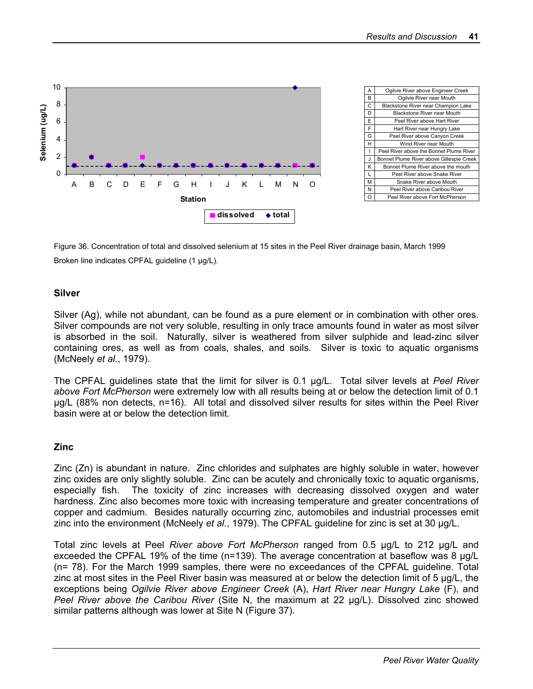

Figure 36. Concentration of total and dissolved selenium at 15 sites in the Peel River drainage basin, March 1999 Broken line indicates CPFAL guideline (1 µg/L).

#### **Silver**

Silver (Ag), while not abundant, can be found as a pure element or in combination with other ores. Silver compounds are not very soluble, resulting in only trace amounts found in water as most silver is absorbed in the soil. Naturally, silver is weathered from silver sulphide and lead-zinc silver containing ores, as well as from coals, shales, and soils. Silver is toxic to aquatic organisms (McNeely *et al.*, 1979).

The CPFAL guidelines state that the limit for silver is 0.1 µg/L. Total silver levels at *Peel River above Fort McPherson* were extremely low with all results being at or below the detection limit of 0.1 µg/L (88% non detects, n=16). All total and dissolved silver results for sites within the Peel River basin were at or below the detection limit.

#### **Zinc**

Zinc (Zn) is abundant in nature. Zinc chlorides and sulphates are highly soluble in water, however zinc oxides are only slightly soluble. Zinc can be acutely and chronically toxic to aquatic organisms, especially fish. The toxicity of zinc increases with decreasing dissolved oxygen and water hardness. Zinc also becomes more toxic with increasing temperature and greater concentrations of copper and cadmium. Besides naturally occurring zinc, automobiles and industrial processes emit zinc into the environment (McNeely *et al.*, 1979). The CPFAL guideline for zinc is set at 30 µg/L.

Total zinc levels at Peel *River above Fort McPherson* ranged from 0.5 µg/L to 212 µg/L and exceeded the CPFAL 19% of the time ( $n=139$ ). The average concentration at baseflow was 8  $\mu q/L$ (n= 78). For the March 1999 samples, there were no exceedances of the CPFAL guideline. Total zinc at most sites in the Peel River basin was measured at or below the detection limit of 5 µg/L, the exceptions being *Ogilvie River above Engineer Creek* (A), *Hart River near Hungry Lake* (F), and *Peel River above the Caribou River* (Site N, the maximum at 22 µg/L). Dissolved zinc showed similar patterns although was lower at Site N (Figure 37).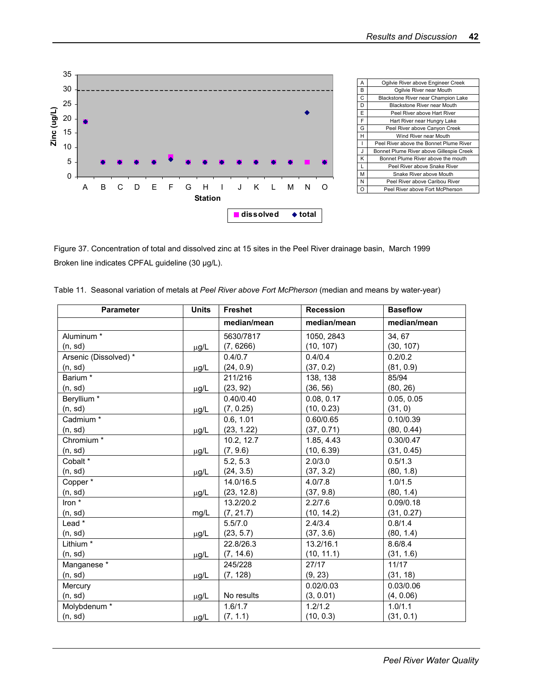

| A | Ogilvie River above Engineer Creek       |
|---|------------------------------------------|
| B | Ogilvie River near Mouth                 |
| C | Blackstone River near Champion Lake      |
| D | Blackstone River near Mouth              |
| E | Peel River above Hart River              |
| F | Hart River near Hungry Lake              |
| G | Peel River above Canyon Creek            |
| н | Wind River near Mouth                    |
| ı | Peel River above the Bonnet Plume River  |
| J | Bonnet Plume River above Gillespie Creek |
| κ | Bonnet Plume River above the mouth       |
| L | Peel River above Snake River             |
| M | Snake River above Mouth                  |
| N | Peel River above Caribou River           |
| റ | Peel River above Fort McPherson          |

Figure 37. Concentration of total and dissolved zinc at 15 sites in the Peel River drainage basin, March 1999 Broken line indicates CPFAL guideline (30 µg/L).

|  |  |  |  |  |  |  | Table 11. Seasonal variation of metals at Peel River above Fort McPherson (median and means by water-year) |  |
|--|--|--|--|--|--|--|------------------------------------------------------------------------------------------------------------|--|
|--|--|--|--|--|--|--|------------------------------------------------------------------------------------------------------------|--|

| <b>Parameter</b>      | <b>Units</b> | Freshet     | <b>Recession</b> | <b>Baseflow</b> |
|-----------------------|--------------|-------------|------------------|-----------------|
|                       |              | median/mean | median/mean      | median/mean     |
| Aluminum <sup>*</sup> |              | 5630/7817   | 1050, 2843       | 34, 67          |
| (n, sd)               | $\mu$ g/L    | (7, 6266)   | (10, 107)        | (30, 107)       |
| Arsenic (Dissolved) * |              | 0.4/0.7     | 0.4/0.4          | 0.2/0.2         |
| (n, sd)               | µg/L         | (24, 0.9)   | (37, 0.2)        | (81, 0.9)       |
| Barium *              |              | 211/216     | 138, 138         | 85/94           |
| (n, sd)               | $\mu$ g/L    | (23, 92)    | (36, 56)         | (80, 26)        |
| Beryllium *           |              | 0.40/0.40   | 0.08, 0.17       | 0.05, 0.05      |
| (n, sd)               | $\mu$ g/L    | (7, 0.25)   | (10, 0.23)       | (31, 0)         |
| Cadmium*              |              | 0.6, 1.01   | 0.60/0.65        | 0.10/0.39       |
| (n, sd)               | µg/L         | (23, 1.22)  | (37, 0.71)       | (80, 0.44)      |
| Chromium <sup>*</sup> |              | 10.2, 12.7  | 1.85, 4.43       | 0.30/0.47       |
| (n, sd)               | µg/L         | (7, 9.6)    | (10, 6.39)       | (31, 0.45)      |
| Cobalt *              |              | 5.2, 5.3    | 2.0/3.0          | 0.5/1.3         |
| (n, sd)               | $\mu$ g/L    | (24, 3.5)   | (37, 3.2)        | (80, 1.8)       |
| Copper*               |              | 14.0/16.5   | 4.0/7.8          | 1.0/1.5         |
| (n, sd)               | $\mu$ g/L    | (23, 12.8)  | (37, 9.8)        | (80, 1.4)       |
| Iron *                |              | 13.2/20.2   | 2.2/7.6          | 0.09/0.18       |
| (n, sd)               | mg/L         | (7, 21.7)   | (10, 14.2)       | (31, 0.27)      |
| Lead *                |              | 5.5/7.0     | 2.4/3.4          | 0.8/1.4         |
| (n, sd)               | µg/L         | (23, 5.7)   | (37, 3.6)        | (80, 1.4)       |
| Lithium *             |              | 22.8/26.3   | 13.2/16.1        | 8.6/8.4         |
| (n, sd)               | µg/L         | (7, 14.6)   | (10, 11.1)       | (31, 1.6)       |
| Manganese*            |              | 245/228     | 27/17            | 11/17           |
| (n, sd)               | $\mu$ g/L    | (7, 128)    | (9, 23)          | (31, 18)        |
| Mercury               |              |             | 0.02/0.03        | 0.03/0.06       |
| (n, sd)               | $\mu$ g/L    | No results  | (3, 0.01)        | (4, 0.06)       |
| Molybdenum*           |              | 1.6/1.7     | 1.2/1.2          | 1.0/1.1         |
| (n, sd)               | µg/L         | (7, 1.1)    | (10, 0.3)        | (31, 0.1)       |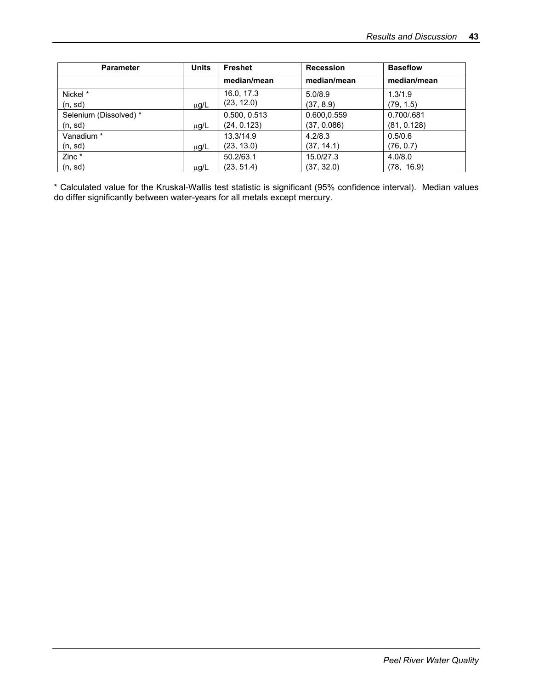| <b>Parameter</b>       | <b>Units</b> | <b>Freshet</b> | <b>Recession</b> | <b>Baseflow</b> |
|------------------------|--------------|----------------|------------------|-----------------|
|                        |              | median/mean    | median/mean      | median/mean     |
| Nickel *               |              | 16.0, 17.3     | 5.0/8.9          | 1.3/1.9         |
| (n, sd)                | $\mu$ g/L    | (23, 12.0)     | (37, 8.9)        | (79, 1.5)       |
| Selenium (Dissolved) * |              | 0.500, 0.513   | 0.600,0.559      | 0.700/.681      |
| (n, sd)                | μg/L         | (24, 0.123)    | (37, 0.086)      | (81, 0.128)     |
| Vanadium *             |              | 13.3/14.9      | 4.2/8.3          | 0.5/0.6         |
| (n, sd)                | μg/L         | (23, 13.0)     | (37, 14.1)       | (76, 0.7)       |
| Zinc *                 |              | 50.2/63.1      | 15.0/27.3        | 4.0/8.0         |
| (n, sd)                | µg/L         | (23, 51.4)     | (37, 32.0)       | (78, 16.9)      |

\* Calculated value for the Kruskal-Wallis test statistic is significant (95% confidence interval). Median values do differ significantly between water-years for all metals except mercury.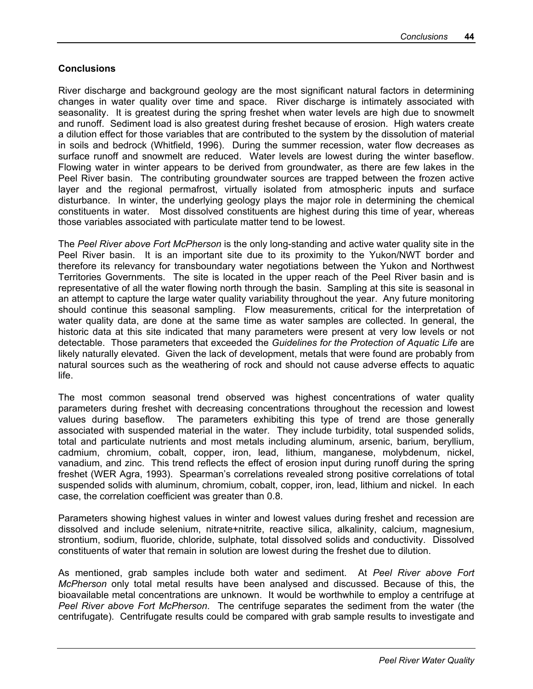#### **Conclusions**

River discharge and background geology are the most significant natural factors in determining changes in water quality over time and space. River discharge is intimately associated with seasonality. It is greatest during the spring freshet when water levels are high due to snowmelt and runoff. Sediment load is also greatest during freshet because of erosion. High waters create a dilution effect for those variables that are contributed to the system by the dissolution of material in soils and bedrock (Whitfield, 1996). During the summer recession, water flow decreases as surface runoff and snowmelt are reduced. Water levels are lowest during the winter baseflow. Flowing water in winter appears to be derived from groundwater, as there are few lakes in the Peel River basin. The contributing groundwater sources are trapped between the frozen active layer and the regional permafrost, virtually isolated from atmospheric inputs and surface disturbance. In winter, the underlying geology plays the major role in determining the chemical constituents in water. Most dissolved constituents are highest during this time of year, whereas those variables associated with particulate matter tend to be lowest.

The *Peel River above Fort McPherson* is the only long-standing and active water quality site in the Peel River basin. It is an important site due to its proximity to the Yukon/NWT border and therefore its relevancy for transboundary water negotiations between the Yukon and Northwest Territories Governments. The site is located in the upper reach of the Peel River basin and is representative of all the water flowing north through the basin. Sampling at this site is seasonal in an attempt to capture the large water quality variability throughout the year. Any future monitoring should continue this seasonal sampling. Flow measurements, critical for the interpretation of water quality data, are done at the same time as water samples are collected. In general, the historic data at this site indicated that many parameters were present at very low levels or not detectable. Those parameters that exceeded the *Guidelines for the Protection of Aquatic Life* are likely naturally elevated. Given the lack of development, metals that were found are probably from natural sources such as the weathering of rock and should not cause adverse effects to aquatic life.

The most common seasonal trend observed was highest concentrations of water quality parameters during freshet with decreasing concentrations throughout the recession and lowest values during baseflow. The parameters exhibiting this type of trend are those generally associated with suspended material in the water. They include turbidity, total suspended solids, total and particulate nutrients and most metals including aluminum, arsenic, barium, beryllium, cadmium, chromium, cobalt, copper, iron, lead, lithium, manganese, molybdenum, nickel, vanadium, and zinc. This trend reflects the effect of erosion input during runoff during the spring freshet (WER Agra, 1993). Spearman's correlations revealed strong positive correlations of total suspended solids with aluminum, chromium, cobalt, copper, iron, lead, lithium and nickel. In each case, the correlation coefficient was greater than 0.8.

Parameters showing highest values in winter and lowest values during freshet and recession are dissolved and include selenium, nitrate+nitrite, reactive silica, alkalinity, calcium, magnesium, strontium, sodium, fluoride, chloride, sulphate, total dissolved solids and conductivity. Dissolved constituents of water that remain in solution are lowest during the freshet due to dilution.

As mentioned, grab samples include both water and sediment. At *Peel River above Fort McPherson* only total metal results have been analysed and discussed. Because of this, the bioavailable metal concentrations are unknown. It would be worthwhile to employ a centrifuge at *Peel River above Fort McPherson*. The centrifuge separates the sediment from the water (the centrifugate). Centrifugate results could be compared with grab sample results to investigate and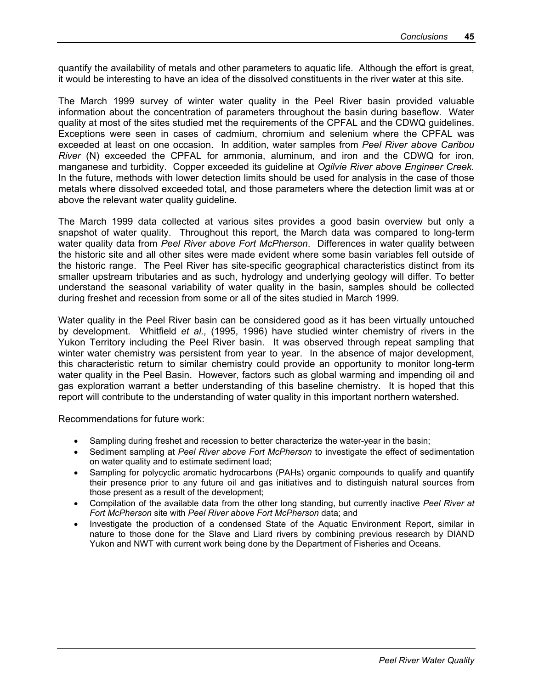quantify the availability of metals and other parameters to aquatic life. Although the effort is great, it would be interesting to have an idea of the dissolved constituents in the river water at this site.

The March 1999 survey of winter water quality in the Peel River basin provided valuable information about the concentration of parameters throughout the basin during baseflow. Water quality at most of the sites studied met the requirements of the CPFAL and the CDWQ guidelines. Exceptions were seen in cases of cadmium, chromium and selenium where the CPFAL was exceeded at least on one occasion. In addition, water samples from *Peel River above Caribou River* (N) exceeded the CPFAL for ammonia, aluminum, and iron and the CDWQ for iron, manganese and turbidity. Copper exceeded its guideline at *Ogilvie River above Engineer Creek.* In the future, methods with lower detection limits should be used for analysis in the case of those metals where dissolved exceeded total, and those parameters where the detection limit was at or above the relevant water quality guideline.

The March 1999 data collected at various sites provides a good basin overview but only a snapshot of water quality. Throughout this report, the March data was compared to long-term water quality data from *Peel River above Fort McPherson*. Differences in water quality between the historic site and all other sites were made evident where some basin variables fell outside of the historic range. The Peel River has site-specific geographical characteristics distinct from its smaller upstream tributaries and as such, hydrology and underlying geology will differ. To better understand the seasonal variability of water quality in the basin, samples should be collected during freshet and recession from some or all of the sites studied in March 1999.

Water quality in the Peel River basin can be considered good as it has been virtually untouched by development. Whitfield *et al.,* (1995, 1996) have studied winter chemistry of rivers in the Yukon Territory including the Peel River basin. It was observed through repeat sampling that winter water chemistry was persistent from year to year. In the absence of major development, this characteristic return to similar chemistry could provide an opportunity to monitor long-term water quality in the Peel Basin. However, factors such as global warming and impending oil and gas exploration warrant a better understanding of this baseline chemistry. It is hoped that this report will contribute to the understanding of water quality in this important northern watershed.

Recommendations for future work:

- Sampling during freshet and recession to better characterize the water-year in the basin;
- Sediment sampling at *Peel River above Fort McPherson* to investigate the effect of sedimentation on water quality and to estimate sediment load;
- Sampling for polycyclic aromatic hydrocarbons (PAHs) organic compounds to qualify and quantify their presence prior to any future oil and gas initiatives and to distinguish natural sources from those present as a result of the development;
- Compilation of the available data from the other long standing, but currently inactive *Peel River at Fort McPherson* site with *Peel River above Fort McPherson* data; and
- Investigate the production of a condensed State of the Aquatic Environment Report, similar in nature to those done for the Slave and Liard rivers by combining previous research by DIAND Yukon and NWT with current work being done by the Department of Fisheries and Oceans.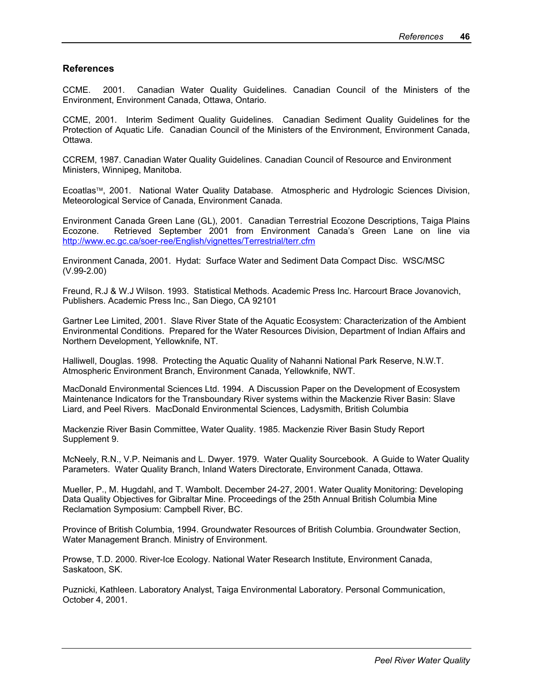#### **References**

CCME. 2001. Canadian Water Quality Guidelines. Canadian Council of the Ministers of the Environment, Environment Canada, Ottawa, Ontario.

CCME, 2001. Interim Sediment Quality Guidelines. Canadian Sediment Quality Guidelines for the Protection of Aquatic Life. Canadian Council of the Ministers of the Environment, Environment Canada, Ottawa.

CCREM, 1987. Canadian Water Quality Guidelines. Canadian Council of Resource and Environment Ministers, Winnipeg, Manitoba.

Ecoatlas<sup>™</sup>, 2001. National Water Quality Database. Atmospheric and Hydrologic Sciences Division, Meteorological Service of Canada, Environment Canada.

Environment Canada Green Lane (GL), 2001. Canadian Terrestrial Ecozone Descriptions, Taiga Plains Ecozone. Retrieved September 2001 from Environment Canada's Green Lane on line via http://www.ec.gc.ca/soer-ree/English/vignettes/Terrestrial/terr.cfm

Environment Canada, 2001. Hydat: Surface Water and Sediment Data Compact Disc. WSC/MSC (V.99-2.00)

Freund, R.J & W.J Wilson. 1993. Statistical Methods. Academic Press Inc. Harcourt Brace Jovanovich, Publishers. Academic Press Inc., San Diego, CA 92101

Gartner Lee Limited, 2001. Slave River State of the Aquatic Ecosystem: Characterization of the Ambient Environmental Conditions. Prepared for the Water Resources Division, Department of Indian Affairs and Northern Development, Yellowknife, NT.

Halliwell, Douglas. 1998. Protecting the Aquatic Quality of Nahanni National Park Reserve, N.W.T. Atmospheric Environment Branch, Environment Canada, Yellowknife, NWT.

MacDonald Environmental Sciences Ltd. 1994. A Discussion Paper on the Development of Ecosystem Maintenance Indicators for the Transboundary River systems within the Mackenzie River Basin: Slave Liard, and Peel Rivers. MacDonald Environmental Sciences, Ladysmith, British Columbia

Mackenzie River Basin Committee, Water Quality. 1985. Mackenzie River Basin Study Report Supplement 9.

McNeely, R.N., V.P. Neimanis and L. Dwyer. 1979. Water Quality Sourcebook. A Guide to Water Quality Parameters. Water Quality Branch, Inland Waters Directorate, Environment Canada, Ottawa.

Mueller, P., M. Hugdahl, and T. Wambolt. December 24-27, 2001. Water Quality Monitoring: Developing Data Quality Objectives for Gibraltar Mine. Proceedings of the 25th Annual British Columbia Mine Reclamation Symposium: Campbell River, BC.

Province of British Columbia, 1994. Groundwater Resources of British Columbia. Groundwater Section, Water Management Branch. Ministry of Environment.

Prowse, T.D. 2000. River-Ice Ecology. National Water Research Institute, Environment Canada, Saskatoon, SK.

Puznicki, Kathleen. Laboratory Analyst, Taiga Environmental Laboratory. Personal Communication, October 4, 2001.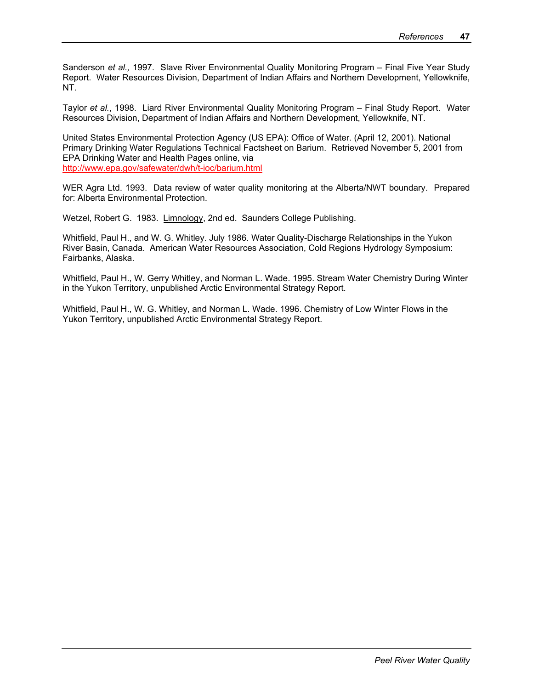Sanderson *et al.,* 1997. Slave River Environmental Quality Monitoring Program – Final Five Year Study Report. Water Resources Division, Department of Indian Affairs and Northern Development, Yellowknife, NT.

Taylor *et al.*, 1998. Liard River Environmental Quality Monitoring Program – Final Study Report. Water Resources Division, Department of Indian Affairs and Northern Development, Yellowknife, NT.

United States Environmental Protection Agency (US EPA): Office of Water. (April 12, 2001). National Primary Drinking Water Regulations Technical Factsheet on Barium. Retrieved November 5, 2001 from EPA Drinking Water and Health Pages online, via http://www.epa.gov/safewater/dwh/t-ioc/barium.html

WER Agra Ltd. 1993. Data review of water quality monitoring at the Alberta/NWT boundary. Prepared for: Alberta Environmental Protection.

Wetzel, Robert G. 1983. Limnology, 2nd ed. Saunders College Publishing.

Whitfield, Paul H., and W. G. Whitley. July 1986. Water Quality-Discharge Relationships in the Yukon River Basin, Canada. American Water Resources Association, Cold Regions Hydrology Symposium: Fairbanks, Alaska.

Whitfield, Paul H., W. Gerry Whitley, and Norman L. Wade. 1995. Stream Water Chemistry During Winter in the Yukon Territory, unpublished Arctic Environmental Strategy Report.

Whitfield, Paul H., W. G. Whitley, and Norman L. Wade. 1996. Chemistry of Low Winter Flows in the Yukon Territory, unpublished Arctic Environmental Strategy Report.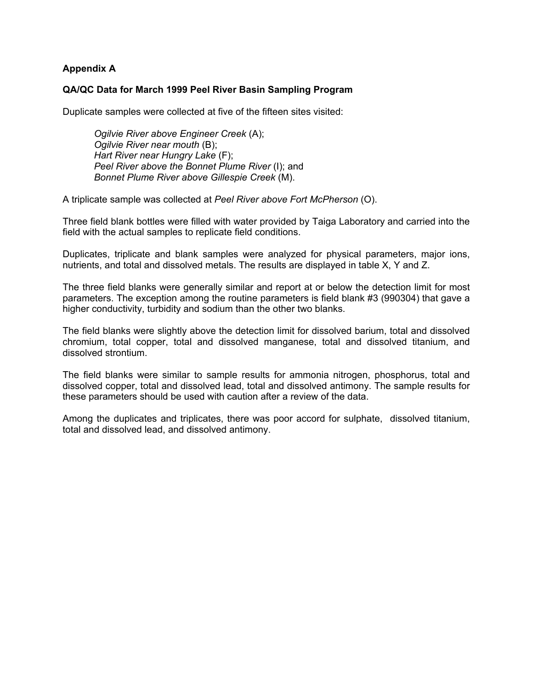#### **Appendix A**

#### **QA/QC Data for March 1999 Peel River Basin Sampling Program**

Duplicate samples were collected at five of the fifteen sites visited:

*Ogilvie River above Engineer Creek* (A); *Ogilvie River near mouth* (B); *Hart River near Hungry Lake* (F);  *Peel River above the Bonnet Plume River* (I); and *Bonnet Plume River above Gillespie Creek* (M).

A triplicate sample was collected at *Peel River above Fort McPherson* (O).

Three field blank bottles were filled with water provided by Taiga Laboratory and carried into the field with the actual samples to replicate field conditions.

Duplicates, triplicate and blank samples were analyzed for physical parameters, major ions, nutrients, and total and dissolved metals. The results are displayed in table X, Y and Z.

The three field blanks were generally similar and report at or below the detection limit for most parameters. The exception among the routine parameters is field blank #3 (990304) that gave a higher conductivity, turbidity and sodium than the other two blanks.

The field blanks were slightly above the detection limit for dissolved barium, total and dissolved chromium, total copper, total and dissolved manganese, total and dissolved titanium, and dissolved strontium.

The field blanks were similar to sample results for ammonia nitrogen, phosphorus, total and dissolved copper, total and dissolved lead, total and dissolved antimony. The sample results for these parameters should be used with caution after a review of the data.

Among the duplicates and triplicates, there was poor accord for sulphate, dissolved titanium, total and dissolved lead, and dissolved antimony.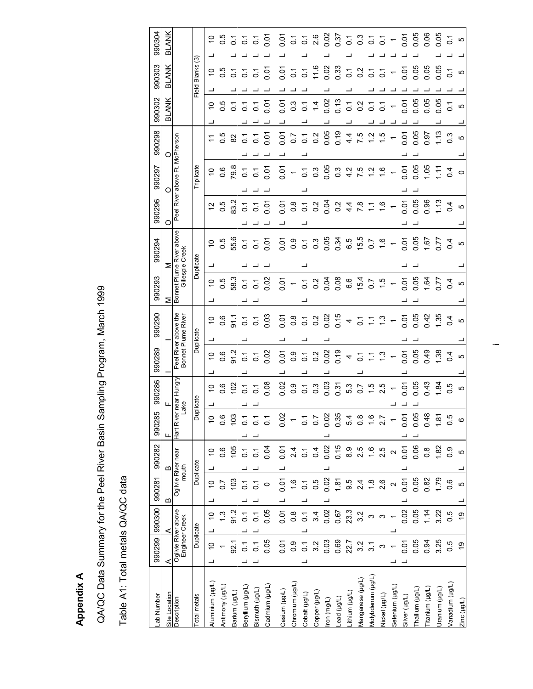QA/QC Data Summary for the Peel River Basin Sampling Program, March 1999 QA/QC Data Summary for the Peel River Basin Sampling Program, March 1999

**Appendix A** 

**Appendix A** 

Table A1: Total metals QA/QC data Table A1: Total metals QA/QC data

| -ab Number        | 990299           | 990300                                | 990281                  | 990282                      | 990285                   | 990286              | 990289                 | 990290                                     | 990293                   | 990294                                      | 990296           | 990297            | 990298         | 990302                   | 990303           | 990304         |
|-------------------|------------------|---------------------------------------|-------------------------|-----------------------------|--------------------------|---------------------|------------------------|--------------------------------------------|--------------------------|---------------------------------------------|------------------|-------------------|----------------|--------------------------|------------------|----------------|
| Site Location     | ⋖                | ⋖                                     | m                       | ≃                           |                          | щ                   |                        |                                            | ⋝                        | ⋝                                           | О                | O                 | O              | <b>BLANK</b>             | BLANK            | BLANK          |
| Description       |                  | Ogilvie River above<br>Engineer Creek |                         | Ogilvie River neau<br>mouth | Hart Rive                | near Hungry<br>Lake |                        | Peel River above the<br>Bonnet Plume River |                          | Bonnet Plume River above<br>Gillespie Creek | River<br>Peel    | above             | Ft. McPherson  |                          |                  |                |
| Total metals      |                  | Duplicate                             |                         | Duplicate                   | ŏ                        | plicate             |                        | Duplicate                                  |                          | Duplicate                                   |                  | <b>Triplicate</b> |                |                          | Field Blanks (3) |                |
| Numinium (µg/L)   | $\overline{C}$   | $\tilde{a}$                           | $\overline{C}$          | S                           | $\overline{C}$           | ٥,                  | $\tilde{a}$            | $\overline{0}$                             | $\tilde{C}$              | ő                                           | 57               | ő                 |                | ő                        | ő                | $\tilde{c}$    |
| Antimony (µg/L)   |                  | $\ddot{.}3$                           | 20                      | 0.6                         | 0.6                      | 0.6                 | $\frac{6}{1}$          | 0.6                                        | 0.5                      | 5 O                                         | 0.5              | 0.6               | 0.5            |                          | 0.5              | 0.5            |
| Barium (µg/L)     | 92.1             | 91.2                                  | $\frac{2}{3}$           | 105                         | $\frac{2}{3}$            | 102                 | 91.2                   | 91.1                                       | 58.3                     | 55.6                                        | 83.2             | 79.8              | 82             | $\overline{C}$           | $\overline{C}$   | $\overline{S}$ |
| Beryllium (µg/L)  | $\overline{c}$   | $\overline{0}$                        |                         | $\overline{C}$              | $\overline{C}$           | $\overline{c}$      | $\overline{c}$         | $\overline{C}$                             | $\overline{C}$           |                                             | $\overline{c}$   | $\overline{0}$ .  | $\overline{C}$ | $\overline{c}$           | $\overline{c}$   | 5              |
| Bismuth (µg/L)    | 5                | $\tilde{\circ}$                       |                         | $\overline{C}$              | $\overline{O}$           | $\overline{C}$      | $\overline{C}$         | $\overline{c}$                             | $\overline{C}$           | $\frac{7}{9}$ $\frac{7}{9}$                 | $\overline{c}$   | $\overline{c}$    | 2              | 5                        | $\overline{c}$   | $\overline{C}$ |
| Cadmium (µg/L)    | 0.05             | 0.05                                  | $\circ$                 | 0.04                        | $\overline{O}$           | 0.08                | 0.02                   | 0.03                                       | 0.02                     | $\overline{5}$                              | 0.01             | 0.01              | 0.07           | 0.07                     | 0.01             | $\overline{5}$ |
| Cesium (µg/L)     | 0.01             | 50.01                                 | 0.01                    | 0.01                        | $\frac{02}{10}$          | 0.02                | 0.01                   | 0.01                                       | 0.01                     | 0.01                                        | 0.01             |                   | 0.01           | 0.07                     | 0.01             | ρö<br>Ο        |
| Chromium (µg/L)   | 0.9              | 0.8                                   | 1.6                     | 2.4                         | $\overline{\phantom{0}}$ | 0.9                 | $\frac{0}{2}$          | 0.8                                        | $\overline{\phantom{a}}$ | 0.9                                         | $0.\overline{8}$ | $-50$             | 50             | $0.\overline{3}$         | $\overline{0}$ . |                |
| Cobalt (µg/L)     | $\overline{0}$   | $\overline{0}$ .                      | $\overline{C}$          | $\overline{C}$              | $\overline{C}$           | $\overline{O}$      | $\overline{c}$         |                                            | $\overline{O}$           | $0.\overline{3}$                            | $\overline{C}$   | $\overline{c}$    | $\overline{O}$ | $\overline{O}$           | $\overline{C}$   |                |
| Copper (µg/L)     | 3.2              | 3.4                                   | 0.5                     | 0.4                         | $\overline{0.7}$         | 0.3                 | $\frac{2}{3}$          | $0.7$<br>$0.2$                             | 0.2                      |                                             | $\frac{2}{3}$    | $0.\overline{3}$  | $\frac{2}{3}$  | $\dot{4}$                | 11.6             |                |
| ron (mg/L)        | 0.03             | 0.02                                  | 0.02                    | 0.02                        | 0.02                     | $0.03$<br>$0.31$    |                        |                                            | 0.08                     | 0.05                                        | 0.04             | 0.05              | 0.05           | 0.02                     | 0.02             |                |
| ead (µg/L)        | 0.69             | 0.67                                  | 1.81                    | 0.15                        | 0.35                     |                     | $0.9$<br>$0.79$<br>$4$ | $0.02$<br>$0.15$                           |                          | 0.34                                        | 0.2              | $0.\overline{3}$  | 0.19           | 0.13                     | 0.33             |                |
| Lithium (µg/L)    | 22.7             | 23.3                                  | 9.5                     | 8.9                         | 5.4                      | 5.3                 |                        | $\overline{\mathcal{A}}$                   | 6.6                      | 6.5                                         | 4.4              | $47.7$<br>$7.7$   | 4.4            | $\overline{O}$ .         | $\overline{C}$   |                |
| Vlanganese (µg/L) | 3.2              | 3.2                                   | 2.4                     | 2.5                         | $\frac{8}{2}$            | $-1.5$              | $\overline{c}$         |                                            | 15.4                     | 15.5                                        | 7.8              |                   | rö.            | $\frac{2}{3}$            | $\frac{2}{3}$    | $5355 -$       |
| Molybdenum (µg/L) | $\overline{3}$ . | ω                                     | $\frac{8}{1}$           | $\frac{6}{1}$               | 1.6                      |                     | $\mathbb{Z}$           | $\frac{7}{6}$ $\frac{7}{6}$                | $\overline{0.7}$         | $\overline{0}$                              | $\mathbb{Z}$     |                   | Ņ              | $\overline{c}$           | $\overline{O}$   |                |
| Nickel (µg/L)     |                  | S                                     | 2.6                     | 2.5                         | 2.7                      | 2.5                 | $\frac{3}{2}$          | $\frac{3}{2}$                              | $\ddot{1}$ .5            | $\frac{6}{1}$                               | $\frac{6}{1}$    | $\frac{6}{1}$     | rù.            | $\overline{c}$           | $\overline{O}$   |                |
| Selenium (µg/L)   |                  |                                       | $\overline{\mathsf{C}}$ | $\mathbf{\Omega}$           |                          |                     |                        |                                            |                          | $\leftarrow$                                |                  |                   |                | $\overline{\phantom{0}}$ |                  |                |
| Silver (µg/L)     | 0.01             | 0.02                                  | 0.07                    | 0.01                        | 0.07                     | 0.05                | 0.01                   | 0.01                                       | 0.05<br>0.05             | 0.05                                        | 0.05             | 0.07              | 0.01           | 0.01                     | 0.01             | 0.05<br>0.05   |
| [hallium (µg/L)   | 0.05             | 0.05                                  | 0.05                    | 0.06                        | 0.05                     |                     | 0.05                   | 0.05                                       |                          |                                             |                  | 0.05              | 0.05           | 0.05                     | 0.05             |                |
| Titanium (µg/L)   | 0.94             | 1.14                                  | 0.82                    | $0.\overline{8}$            | 0.48                     | 0.43                | 0.49                   | 0.42                                       | 1.64                     | 1.67                                        | 0.96             | 1.05              | 0.97           | 0.05                     | 0.05             | 0.06           |
| Jranium (µg/L)    | 3.25             | 3.22                                  | 1.79                    | 1.82                        | 1.81                     | 1.84                | 1.38                   | 1.35                                       | 0.77                     | 17.0                                        | 1.13             | 든                 | 1.13           | 0.05                     | 0.05             | 0.05           |
| /anadium (µg/L)   | 0.5              | 0.5                                   | $0.\overline{6}$        | 0.9                         | 0.5                      | 0.5                 | $\overline{0}$         | 0.4                                        | 0.4                      | 0.4                                         | 0.4              | 0.4               | $\frac{3}{2}$  | $\overline{C}$           | $\overline{C}$   | $\overline{C}$ |
| Zinc (µg/L)       | é,               | ó,                                    | ယ                       | 5                           | $\circ$                  | LO                  | Ю                      | Ю                                          | Ю                        | LO                                          | <b>ι</b> Ω       | $\circ$           | Ю              | Ю                        | Ю                | LO             |

 $\cdot$   $-$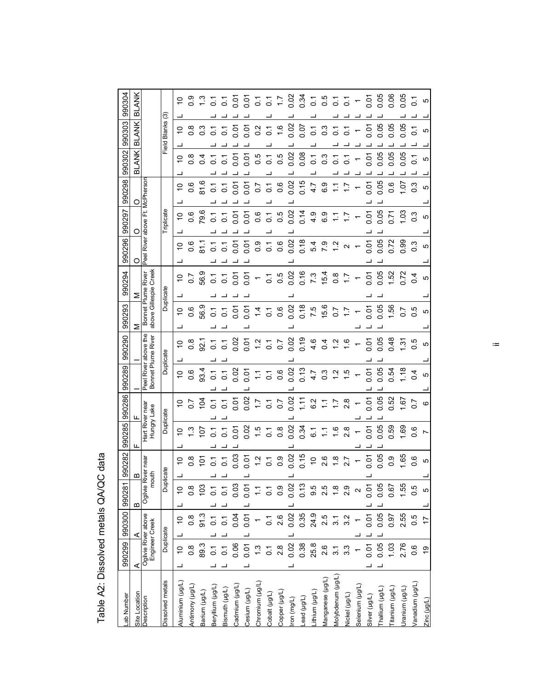| 990304               | BLANK           |                                       | ල               | $\tilde{c}$      | $\frac{0.9}{2}$  | ္က              | $\overline{c}$   | 2                           | $\overline{5}$ |                              |                                                |                              | 0.5<br>0.5<br>0.00<br>0.00              |            | 0.34                                         |                | $0.55$<br>$0.55$               |                  |                 |                         | 0.07            | 0.05           | 0.06            | $\frac{5}{20}$ | $\overline{c}$   | LO             |
|----------------------|-----------------|---------------------------------------|-----------------|------------------|------------------|-----------------|------------------|-----------------------------|----------------|------------------------------|------------------------------------------------|------------------------------|-----------------------------------------|------------|----------------------------------------------|----------------|--------------------------------|------------------|-----------------|-------------------------|-----------------|----------------|-----------------|----------------|------------------|----------------|
|                      | <b>ANK</b><br>ᅙ |                                       | Field Blanks    | 0                | $0.\overline{8}$ |                 |                  | 5                           | 0.07           | 0.01                         | 0.2                                            | $\overline{O}$               | $\frac{6}{1}$                           | 0.02       | 0.07                                         | $\overline{O}$ | $0.\overline{3}$               | $\overline{c}$   | 5               |                         |                 | $0.07$<br>0.05 | 0.05            | 0.05           | $\overline{c}$   | LO             |
| 990302 990303        | <b>ANK</b><br>ळ |                                       |                 | ő                | $\frac{8}{2}$    | 0.4             | $\overline{C}$   | <u>은</u>                    | 0.01           | 0.01                         | 0.5                                            | $\overline{C}$               | 0.5                                     | 0.02       | 0.08                                         | $\overline{c}$ | 0.3                            | 5                | 5               |                         | 0.01            | 0.05           | 0.05            | 0.05           |                  | မာ             |
| 990298               |                 | McPhersor                             |                 | $\overline{C}$   | °0               | 81.6            | $\overline{C}$   | $\overline{c}$              | 0.07           | 0.01                         | $\overline{0.7}$                               | $\overline{C}$               | 0.6                                     | 0.02       | 0.15                                         | 4.7            | 6.9                            | $\tilde{=}$      | $\overline{11}$ |                         | 50.01           | 0.05           | 0.6             | 10.1           | $\frac{3}{2}$    | Ю              |
| 990297               |                 | ť<br>above                            | Triplicate      |                  | $\frac{5}{9}$    | 79.6            | $\overline{c}$   | $\overline{C}$              | 0.01           | 0.01                         | 0.6                                            | $\overline{c}$               | 0.5                                     | 0.02       | 0.14                                         |                | $40.9$<br>$-7$<br>$-7$<br>$-7$ |                  |                 |                         | $\frac{5}{9}$   | 0.05           | 0.71            | $\frac{3}{2}$  | $\frac{3}{2}$    | Ю              |
| 990296               | O               | River<br>Peel                         |                 | $\tilde{c}$      | 0.6              | $\frac{1}{8}$   | $\overline{C}$   | $\overline{C}$              | 0.07           | 0.01                         | 0.9                                            | $\frac{7}{0.6}$              |                                         | 0.02       | 0.18                                         |                |                                |                  |                 |                         | ិ<br>០.១<br>០.១ |                | 0.72            | 0.99           | $\frac{3}{2}$    | Ю              |
| 990294               |                 | River                                 |                 | ő                | $\overline{0.7}$ | 56.9            | $\overline{0}$ . | $\overline{c}$              |                | $\frac{5}{25}$ $\frac{5}{1}$ |                                                |                              | $\begin{array}{c} 7 \\ 0.5 \end{array}$ | 0.02       | $0.16$<br>7.3                                |                | 15.4                           | $0.\overline{8}$ | $\ddot{ }$ :    |                         |                 | 0.05           | 1.52            | 0.72           | 0.4              | Ю              |
| 990293               | Σ               | bove Gillespie Creek<br>Bonnet Plume  | Duplicate       | $\overline{C}$   | 0.6              | 56.9            | $\overline{0}$ . | $\overline{C}$              | 5.01           | 0.07                         | 1.4                                            |                              | 0.6                                     | 0.02       | 0.18                                         | 7.5            | 15.6                           | $\sim$           | $\overline{11}$ |                         | 0.01            | 0.05           | 56              | $0.5$<br>$0.5$ |                  | ယ              |
| 990290               |                 | the<br>above                          |                 | $\overline{C}$   | $\frac{8}{2}$    |                 |                  |                             |                |                              |                                                |                              | $3000000000000000$                      |            |                                              | 4.6            | 0.4                            | 1.2              | $\overline{6}$  |                         | 0.07            | 0.05           | 0.48            | $\frac{5}{1}$  | $\overline{0}$ . | ယ              |
| 990289               |                 | Bonnet Plume River<br>River<br>Peel   | Duplicate       | $\overline{C}$   | 0.6              | 93.4            | $\overline{C}$   | $\overline{C}$              |                | 0.57                         |                                                | $0.7$<br>$0.6$               |                                         |            | $0.02$<br>0.13<br>4.7                        |                | 3<br>0.2<br>1                  |                  | ယ္              |                         | 0.01            | 0.05           | 0.54            | $\frac{8}{10}$ | 0.4              | Ю              |
| 990286               |                 |                                       |                 |                  | 552              |                 |                  | $\frac{7}{5}$ $\frac{7}{5}$ |                | <u>ត ខ្លួ</u>                |                                                |                              | $7.7$<br>0.70<br>0.0                    |            |                                              | $1.7$ 6.2 1    |                                | $\ddot{ }$ :     | 2.8             |                         | 0.07            | 0.05           | 0.52            | $-1.67$        | $\overline{0.7}$ | $\circ$        |
| 990282 990285        |                 | Hart River near<br>Hungry Lake        | Duplicate       | $\overline{C}$   | $\frac{3}{2}$    | $\frac{107}{2}$ | 5                | 2                           | 5<br>0. O      | 0.02                         |                                                | $\frac{15}{10}$ 5 8          |                                         | 0.02       | 0.34                                         | 6.1            | $\sum$                         | $\frac{6}{1}$    | $\frac{8}{2}$   |                         | <b>PO.0</b>     | 0.05           | 0.59            | 1.69           | $0.\overline{6}$ |                |
|                      | m               | liver near<br>»uth                    | icate           | $\overline{C}$   | $0.\overline{8}$ | $\overline{5}$  | $\overline{c}$   | 5                           | 0.03           | 0.01                         | $\frac{2}{1}$                                  | $\overline{C}$               | $\overline{0}$ .                        | 0.02       | 0.15                                         | $\overline{C}$ | 2.6                            | $\frac{8}{1}$    | 2.7             |                         | 0.01            | 0.05           | 0.9             | 1.65           | 0.6              | 5              |
|                      | ≃               | Ogilvie R<br>g                        | pupl            | $\overline{0}$   | 0.8              | $\frac{2}{3}$   | $\overline{0}$ . | $\overline{0}$ .            | 0.03           | 0.07                         |                                                |                              | $\frac{6}{10}$                          | 0.02       | 0.13                                         |                |                                |                  | 2.9             | $\overline{\mathsf{N}}$ | 0.07            | 0.05           | 0.67            | 1.55           | 0.5              | Ю              |
| 990299 990300 990281 | ⋖               |                                       |                 | $\overline{C}$   | $\frac{8}{2}$    | 91.3            |                  | $\frac{1}{6}$ $\frac{1}{6}$ | 0.04           |                              | $\begin{bmatrix} 1 & 0 \\ 0 & 1 \end{bmatrix}$ | $\frac{1}{0}$ $\frac{6}{10}$ |                                         |            | $0.35$<br>$0.35$<br>$0.35$<br>$0.5$<br>$0.5$ |                |                                | $\overline{3}$   | 3.2             |                         | 0.01            | 0.05           | 0.97            | 2.55           | 0.5              | $\overline{1}$ |
|                      | ⋖               | Ogilvie River above<br>Engineer Creek | Duplicate       | $\overline{C}$   | $\frac{8}{10}$   | 89.3            | 5                |                             | 0.06           | 0.01                         | $\ddot{.}$                                     | $\overline{c}$               | 2.8                                     | 0.02       | 0.38                                         | 25.8           | 2.6                            | $\overline{3}$ . | 3.3             |                         | 0.01            | 0.05           | 1.03            | 2.76           | 0.6              | $\frac{6}{5}$  |
| ab Number            | Site Location   | Jescription                           | issolved metals | Aluminium (µg/L) | Antimony (µg/L)  | sarium (µg/L)   | Jeryllium (µg/L  | sismuth (µg/L)              | Cadmium (µg/L) | Casium (µg/L)                | Chromium (µg/L)                                | Cobalt (µg/L)                | Copper (µg/L)                           | ron (mg/L) | -ead (µg/L)                                  | ithium (µg/L)  | Manganese (µg/L)               | (ug/L)           | lickel (µg/L)   | Selenium (µg/L)         | Silver (µg/L)   | hallium (µg/L) | "itanium (µg/L) | Iranium (µg/L  | (J/6rl) unipeus/ | Zinc (µg/L)    |

Table A2: Dissolved metals QA/QC data Table A2: Dissolved metals QA/QC data

 $\equiv$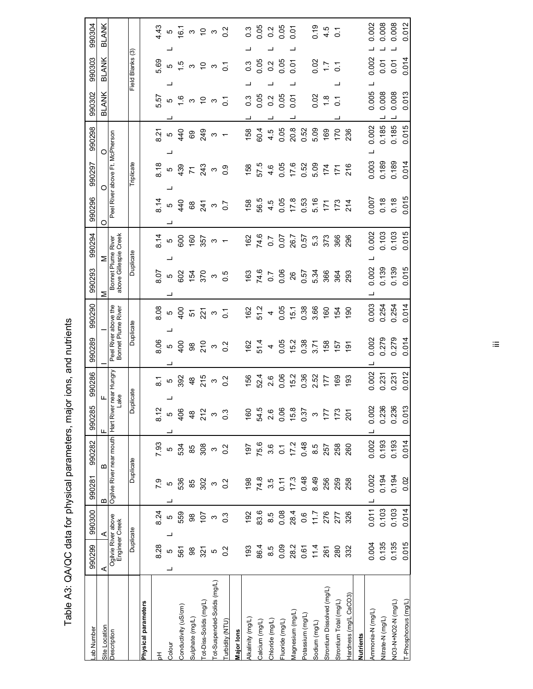| . and A3: OA/OC data for physical parameters, major ions, and nutrient |
|------------------------------------------------------------------------|
|                                                                        |
|                                                                        |
|                                                                        |
|                                                                        |
|                                                                        |
|                                                                        |
|                                                                        |
|                                                                        |
| Tahle /                                                                |

| ab Number                     | 990299                                | 990300           | 990281                   | 990282                | 990285            | 990286                                         | 990289                                     | 990290          | 990293                                      | 990294         | 990296           | 990297                         | 990298         | 990302                      | 990303             | 990304           |
|-------------------------------|---------------------------------------|------------------|--------------------------|-----------------------|-------------------|------------------------------------------------|--------------------------------------------|-----------------|---------------------------------------------|----------------|------------------|--------------------------------|----------------|-----------------------------|--------------------|------------------|
| Site Location                 | ⋖                                     | ⋖                | ≃                        | Б                     | Щ                 | щ                                              |                                            |                 | Σ<br>Σ                                      |                | О                | O                              | $\circ$        | BLANK                       | <b>BLANK</b>       | BLANK            |
| Description                   | Ogilvie River above<br>Engineer Creek |                  | Ogilvie River near mouth |                       | ake<br>Hart River | near Hungry                                    | Peel River above the<br>Bonnet Plume River |                 | above Gillespie Creek<br>Bonnet Plume River |                |                  | Peel River above Ft. McPherson |                |                             |                    |                  |
|                               | Duplicate                             |                  | Duplicate                |                       | ā                 | plicate                                        | Duplicate                                  |                 | Duplicate                                   |                |                  | Triplicate                     |                | Field                       | ල<br><b>Blanks</b> |                  |
| Physical parameters           |                                       |                  |                          |                       |                   |                                                |                                            |                 |                                             |                |                  |                                |                |                             |                    |                  |
| 동                             | 8.28                                  | 8.24             | <b>6`/</b>               | 7.93                  | 8.12              |                                                | 8.06                                       | 8.08            | 8.07                                        | 8.14           | 8.14             | 8.18                           | 8.21           | 5.57                        | 5.69               | 4.43             |
| Colour                        | LO                                    | ဖ<br>┙           | 5                        | LO                    | ယ                 | 5<br>8<br>9<br>9<br>9<br>9<br>9<br>9<br>9<br>1 | 5                                          | 5               |                                             | LO.            |                  | LO.                            |                | 5                           | 5                  | 5                |
| Conductivity (uS/cm)          | 561                                   | 559              | 536                      | 534                   | 406               |                                                | $rac{1}{4}$                                | $rac{1}{2}$     | <sub>ნ</sub> შ                              | 600            | $5^{40}$         | 439                            | r 40           | $\frac{6}{1}$               | $\overline{5}$     | 67               |
| Sulphate (mg/L)               | $_{\rm 98}$                           | 86               | 85                       | 85                    | $\frac{8}{4}$     | $\frac{8}{4}$                                  | 86                                         | 51              | 154                                         | 160            | $^{\rm 63}$      | $\overline{7}$                 | 89             |                             | S                  | ო                |
| ot-Diss-Solids (mg/L)         | 321                                   | 107              | 302                      | 308                   | 212               | 215                                            | 210                                        |                 | $\frac{5}{3}$                               | 357            | 241              | 243                            | 249            | $\omega$ $\approx$ $\omega$ | ട്ട പ              | $\frac{1}{2}$    |
| ot-Suspended-Solids (mg/L)    | $\mathfrak{S}$                        | ო                | $\infty$                 | $\infty$              | $\infty$          | $\infty$                                       | ო                                          | $\frac{5}{2}$ ຕ |                                             | S              | $\infty$         | S                              | ო              |                             |                    |                  |
| urbidity (NTU)                | 0.2                                   | $0.\overline{3}$ | 0.2                      | 0.2                   | $0.\overline{3}$  | $\overline{0.2}$                               | 0.2                                        | $\overline{C}$  | $\overline{0}$ .                            |                | $\overline{0.7}$ | 0.9                            | $\overline{ }$ | $\overline{c}$              | $\overline{c}$     | $\frac{2}{5}$    |
| Major lons                    |                                       |                  |                          |                       |                   |                                                |                                            |                 |                                             |                |                  |                                |                |                             |                    |                  |
| Alkalinity (mg/L)             | 193                                   | 192              | 198                      | 197                   | 160               | 156                                            | 162                                        | 162             | 163                                         | 162            | 158              | 158                            | 158            | $0.\overline{3}$            | $0.\overline{3}$   | $0.\overline{3}$ |
| Calcium (mg/L)                | 86.4                                  | 83.6             | 74.8                     | 75.6                  | 54.5              | 52.4                                           | 51.4                                       | 51.2            | 74.6                                        | 74.6           | 56.5             | 57.5                           | 60.4           | 0.05                        | 0.05               | 0.05             |
| Chloride (mg/L)               | 8.5                                   | 8.5              | 3.5                      | 3.6                   | 2.6               | 2.6                                            | $\overline{\mathcal{A}}$                   | 4               | $\overline{0.7}$                            | $\overline{C}$ | 4.5              | 4.6                            | 4.5            | $\frac{2}{3}$               | 0.2                | 0.2              |
| Fluoride (mg/L)               | 0.09                                  | 0.08             | $0.11$<br>17.3           | $\overline{\text{o}}$ | 0.06              | 0.06                                           | 0.05                                       | 0.05            | 0.06                                        | 0.07           | 0.05             | 0.05                           | 0.05           | 0.05                        | 0.05               | 0.05             |
| Magnesium (mg/L)              | 28.2                                  | 28.4             |                          | 17.2                  | 15.8              | 15.2                                           | 15.2                                       | 15.1            | 26                                          | 26.7           | 17.8             | 17.6                           | 20.8           | 0.01                        | 0.01               | 0.01             |
| -otassium (mg/L)              | 0.61                                  | 0.6              | 0.48                     | 0.48                  | 0.37              | 0.36                                           | 0.38                                       | 0.38            | 0.57                                        | 0.57           | 0.53             | 0.52                           | 0.52           |                             |                    |                  |
| Sodium (mg/L)                 | 11.4                                  | 7.11             | 8.49                     | 8.5                   | $\infty$          | 2.52                                           | 3.71                                       | 3.66            | 5.34                                        | 5.3            | 5.16             | 5.09                           | 5.09           | 0.02                        | 0.02               | 0.19             |
| Strontium Dissolved (mg/L)    | 261                                   | 276              | 256                      | 257                   | 177               | 177                                            | 158                                        | 160             | 366                                         | 373            | 171              | 174                            | 169            | $\frac{8}{1}$               | $\angle$           | 4.5              |
| Strontium Total (mg/L)        | 280                                   | 277              | 259                      | 258                   | 173               | 169                                            | 157                                        | 154             | 364                                         | 366            | $173$<br>214     | 171                            | 170            | $\overline{0}$              | $\overline{C}$     | $\overline{c}$   |
| Hardness (mg/L CaCO3)         | 332                                   | 326              | 258                      | 260                   | 201               | 193                                            | $\overline{191}$                           | 190             | 293                                         | 296            |                  | 216                            | 236            |                             |                    |                  |
| Nutrients                     |                                       |                  |                          |                       |                   |                                                |                                            |                 |                                             |                |                  |                                |                |                             |                    |                  |
| Ammonia-N (mg/L)              | 0.004                                 | 0.011            | 0.002                    | 0.002                 | 0.002             | 0.002                                          | 0.002                                      | 0.003           | 0.002                                       | 0.002          | 0.007            | 0.003                          | 0.002          | 0.005                       | 0.002              | 0.002            |
| Nitrate-N (mg/L)              | 0.135                                 | 0.103            | 0.194                    | 0.193                 | 0.236             | 0.231                                          | 0.279                                      | 0.254           | 0.139                                       | 0.103          | 0.18             | 0.189                          | 0.185          | 0.008                       | 0.01               | 0.008            |
| NO3-N+NO2-N <sub>(mg/L)</sub> | 0.135                                 | 0.103            | 0.194                    | 0.193                 | 0.236             | 0.231                                          | 0.279                                      | 0.254           | 0.139                                       | 0.103          | 0.18             | 0.189                          | 0.185          | 0.008                       | 0.01               | 0.008            |
| T-Phosphorous (mg/L)          | 0.015                                 | 0.014            | 0.02                     | 0.014                 | 0.013             | 0.012                                          | 0.014                                      | 0.014           | 0.015                                       | 0.015          | 0.015            | 0.014                          | 0.015          | 0.013                       | 0.014              | 0.012            |

 $\equiv$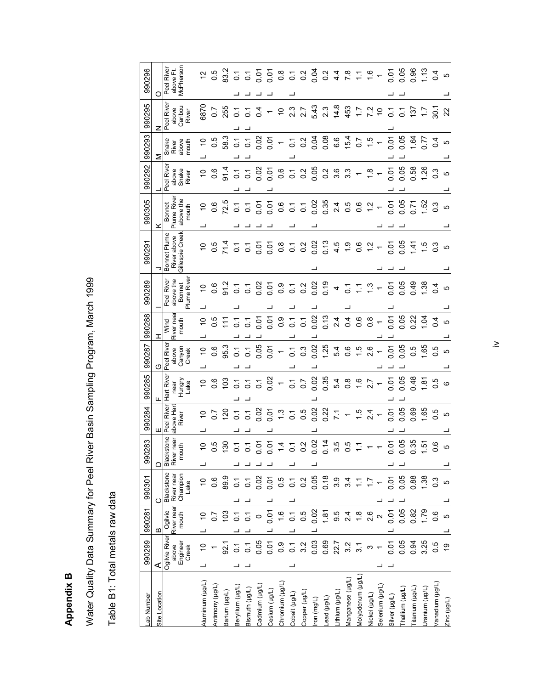Appendix B **Appendix B** 

Water Quality Data Summary for Peel River Basin Sampling Program, March 1999 Water Quality Data Summary for Peel River Basin Sampling Program, March 1999

Table B1: Total metals raw data Table B1: Total metals raw data

| $\Box$<br>990301<br>$\circ$<br>990281<br>$\mathbf{a}$<br>990299<br>⋖                                                                |  | 990283 | 990284 | 990285                      | 990287<br>(ŋ             | 990288              | 990289                                    | 990291                         | 990305                      | 990292                          | 990293<br>⋝                 | 990295<br>z                     | O         | 990296           |
|-------------------------------------------------------------------------------------------------------------------------------------|--|--------|--------|-----------------------------|--------------------------|---------------------|-------------------------------------------|--------------------------------|-----------------------------|---------------------------------|-----------------------------|---------------------------------|-----------|------------------|
| Hart River<br>Peel River<br>Blackstone<br>Blackstone<br>Ogilvie<br>Ogilvie River                                                    |  |        |        |                             | Peel River               | Wind                | Peel River                                | Bonnet Plume                   | Bonnet<br>Plume River       | eel River                       | Snake<br>River              | Peel River                      |           | Peel River       |
| above Har<br>River<br>near<br>mouth<br>River<br>Champion<br>River near<br>Lake<br>River near<br>mouth<br>Engineer<br>above<br>Creek |  |        |        | Hungry<br>Lake<br>near      | Canyon<br>above<br>Creek | River near<br>mouth | Plume River<br>above the<br><b>Bonnet</b> | Gillespie Creek<br>River above | above the<br>mouth          | above<br>Snake<br>River         | above<br>mouth              | Caribou<br>River<br>above       | above Ft. | <b>McPherson</b> |
| $\overline{C}$<br>$\tilde{a}$<br>$\overline{\phantom{0}}$<br>S                                                                      |  |        |        | $\overline{C}$              | $\tilde{0}$              | $\overline{C}$      | $\overline{C}$                            | $\tilde{c}$                    | $\overline{C}$              | $\tilde{c}$                     | ő                           | 6870                            |           | 57               |
| $\frac{6}{10}$<br>0.6<br>2.O                                                                                                        |  |        |        | 0.6                         | 0.6                      |                     | 0.6                                       |                                | 0.6                         | 0.6                             | 0.5                         | $\overline{0}$ .                |           | 0.5              |
| $\frac{25}{120}$<br>80<br>89.9<br>103<br>92.1                                                                                       |  |        |        | $\frac{2}{3}$               | 95.3                     | 0.5                 | 91.2                                      | 71.4                           | 72.5                        | 91.4                            | 58.3                        | 255                             |           | 83.2             |
| $\overline{O}$<br>$\overline{c}$<br>$\overline{c}$<br>2                                                                             |  |        |        |                             | $\overline{c}$           | $\overline{c}$      | $\overline{c}$                            | $\overline{O}$                 |                             | $\overline{C}$                  |                             |                                 |           | $\overline{O}$   |
| $\overline{0}$ .<br>$\overline{c}$<br>$\overline{C}$                                                                                |  |        |        | $\frac{7}{9}$ $\frac{7}{9}$ | 5                        | $\overline{C}$      | $\overline{C}$                            | $\overline{O}$                 | $\frac{7}{0}$ $\frac{7}{0}$ | $\overline{C}$                  | $\frac{1}{2}$ $\frac{1}{2}$ | 5 년<br>이 이                      |           | $\overline{c}$   |
| 0.02<br>$\frac{1}{2}$ $\frac{1}{2}$ $\frac{1}{2}$ $\frac{1}{2}$<br>0.02<br>$\circ$<br>0.05                                          |  |        |        | $\overline{c}$              | 0.05                     | δ.<br>Ο             | 0.02                                      |                                | ភូ ភូ                       | 0.02                            |                             | 0.4                             |           | 5.01             |
| 0.01<br>Š<br>0.01<br>0.01<br>0.01                                                                                                   |  |        |        | 0.02                        | 0.01                     | 0.01                | 0.07                                      | 5<br>2<br>2<br>2<br>2          |                             | 0.01                            |                             | $\leftarrow$                    |           | 0.01             |
| $\frac{3}{2}$<br>$\overline{4}$<br>0.5<br>0.7<br>0.9                                                                                |  |        |        | $\overline{\phantom{a}}$    | $\overline{\phantom{0}}$ | 0.9                 | $\frac{0.9}{2}$                           | $0.\overline{8}$               |                             |                                 | $0.05 - 5.02$               | $\tilde{0}$                     |           |                  |
| $\overline{C}$<br>$\overline{C}$<br>$\overline{C}$                                                                                  |  |        |        | $\overline{C}$              | $\overline{c}$           | $\overline{c}$      | $\overline{C}$                            | $\overline{0}$ .               | 0.500                       | $0.70$<br>$0.20$                |                             | 2.3                             |           | $0.70$<br>$0.20$ |
| $0.5$<br>$0.5$<br>0.2<br>0.5<br>3.2                                                                                                 |  |        |        | $\overline{0.7}$            | $0.\overline{3}$         | $\overline{C}$      | $\frac{2}{3}$                             | 0.2                            | $\overline{C}$              |                                 |                             | 2.7                             |           |                  |
| $0.02$<br>0.22<br>$0.7$ $0.2$<br>0<br>0.05<br>0.02<br>0.03                                                                          |  |        |        | 0.02                        | 0.02                     | 0.73                | $0.02$<br>0.19                            | 0.02                           | $0.02$<br>0.35              | 0.05                            | 0.08                        | 5.43                            |           | 0.04             |
| $\circ$<br>0.18<br>1.81<br>0.69                                                                                                     |  |        |        | 0.35                        | 1.25                     |                     |                                           | 0.13                           |                             |                                 |                             | 2.3                             |           | 0.2              |
| $0.74$<br>$0.5$<br>$0.5$<br>3.9<br>22.7                                                                                             |  |        |        | 5.4                         | 5.4                      | 2.4                 | 4                                         | 4.5                            | 2.4                         | 2<br>0<br>0<br>0<br>0<br>0<br>0 | 6.6                         | 14.8                            |           | $4\cdot$         |
| $\frac{1}{2}$ + $\frac{1}{2}$ + $\frac{1}{2}$ + $\frac{1}{2}$ + $\frac{1}{2}$<br>3.4<br>3.2                                         |  |        |        | $0.8$<br>$-1.6$             | $0.5$<br>$-1.5$          |                     |                                           | $\ddot{ }$ .                   | 5<br>0<br>0<br>0<br>1<br>2  |                                 | $15.7$<br>0.7<br>1.5        | 453                             |           |                  |
| $\overline{\phantom{a}}$<br>들<br>$\overline{3}$                                                                                     |  |        |        |                             |                          | 0.6                 | 2.78                                      | 0.6                            |                             |                                 |                             | $7.2$<br>$7.2$                  |           | $7.76 -$         |
| 11<br>2.6                                                                                                                           |  |        |        | 2.7                         | 2.6                      | 0.8                 |                                           | $\frac{1}{2}$                  |                             | $\frac{8}{1}$                   |                             |                                 |           |                  |
| $\mathbf{\Omega}$                                                                                                                   |  |        |        | $\leftarrow$                |                          |                     |                                           | $\leftarrow$                   |                             | $\leftarrow$                    |                             |                                 |           |                  |
| ξ<br>0<br>0.01<br>0.01<br>5<br>0.01                                                                                                 |  |        |        |                             | ិ<br>០.១<br>០.១          |                     |                                           | 0.05                           |                             | 0.01                            |                             |                                 |           | 0.01             |
| 0.05<br>0.05<br>80.<br>0<br>0.05<br>0.05<br>0.05                                                                                    |  |        |        | 0.05                        |                          | <u>ក្ខុ ខ្លួ</u>    | 0.05<br>0.05                              |                                | 0.05<br>0.05                | 0.05                            | 0.05                        | $\frac{5}{10}$ 5 $\frac{1}{10}$ |           | 0.05             |
| 0.69<br>35<br>0<br>0.88<br>0.82<br>0.94                                                                                             |  |        |        | 0.48                        | 0.5                      |                     | 0.49                                      | 1.41                           | $5 - 0$                     | 0.58                            | 1.64                        |                                 |           | 0.96             |
| 1.65<br>5<br>1.38<br>1.79<br>3.25                                                                                                   |  |        |        | 1.81                        | 1.65                     | $\overline{a}$      | 1.38                                      | 1.5                            | 1.52                        | 1.26                            | 17.0                        |                                 |           | $\frac{3}{2}$    |
| 0.5<br><u>ဖ</u><br>$\frac{3}{2}$<br>$\frac{6}{2}$<br><b>9.0</b>                                                                     |  |        |        | $\frac{5}{2}$               | $\overline{0}$ .         | 0.4                 | 0.4                                       | $\degree$                      | 0.3                         | 0.3                             | 0.4                         | $\frac{17}{28}$ &               |           | 0.4              |
| LO<br>5<br>ယ<br>ဖ<br>6Ļ                                                                                                             |  |        |        | $\circ$                     | LO                       | ശ                   | ഥ                                         | ഥ                              | ഹ                           | ശ                               | Ю                           |                                 |           | LO               |

 $\geq$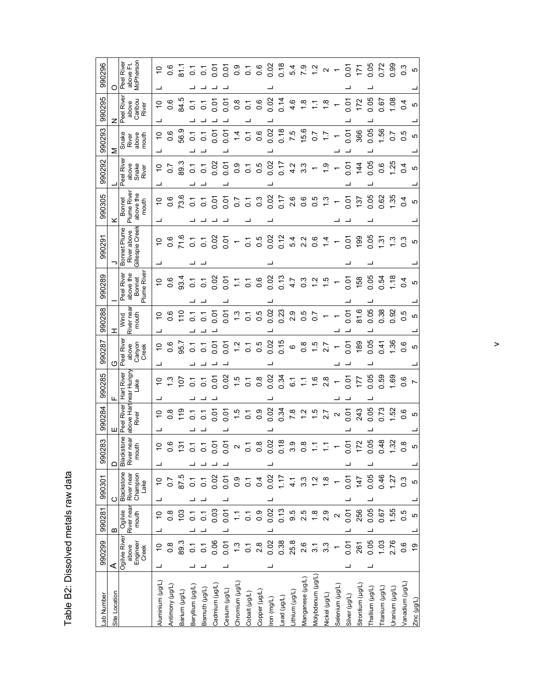| ì<br>ì<br>ัส<br>$\frac{1}{3}$ |
|-------------------------------|
| - 22                          |
| Š<br>i                        |
|                               |
| $\frac{1}{2}$                 |

| 990299                                                                                                                                                                      | 990281 | 990301 | 990283 | 990284                            | 990285                          |   | 990287                                | 990288                     | 990289                                          | 90291                                    |                                            | 990305                                               | 990292                              | 990293                           | 990295                                  |   | 990296                                                                                                                                                                                                                                                                                                                    |
|-----------------------------------------------------------------------------------------------------------------------------------------------------------------------------|--------|--------|--------|-----------------------------------|---------------------------------|---|---------------------------------------|----------------------------|-------------------------------------------------|------------------------------------------|--------------------------------------------|------------------------------------------------------|-------------------------------------|----------------------------------|-----------------------------------------|---|---------------------------------------------------------------------------------------------------------------------------------------------------------------------------------------------------------------------------------------------------------------------------------------------------------------------------|
| ш<br>≏<br>ပ<br>$\mathbf{a}$<br>⋖                                                                                                                                            |        |        |        |                                   |                                 | O |                                       | Ξ                          |                                                 |                                          |                                            |                                                      |                                     | Σ                                | z                                       | O |                                                                                                                                                                                                                                                                                                                           |
| ione<br>ear<br>mouth<br>Blackst<br>River n<br>Blackstone<br>Champion<br>River near<br>Lake<br>River near<br>Ogilvie<br>mouth<br>Ogilvie River<br>Engineer<br>Creek<br>above |        |        |        | Peel River<br>above Hart<br>River | ear Hungry<br>Hart River<br>ake |   | Peel Rive<br>above<br>Canyon<br>Creek | River nea<br>Wind<br>mouth | Plume Rive<br>above the<br>Peel River<br>Bonnet | Bonnet Plume<br>River above<br>Gillespie | Creek                                      | ume Rive<br>above the<br><b>Bonnet</b><br>mouth<br>ᇟ | eel Rive<br>above<br>Snake<br>River | Snake<br>above<br>mouth<br>River | Peel River<br>Caribou<br>River<br>above |   | McPherson<br>Peel River<br>above Ft.                                                                                                                                                                                                                                                                                      |
| $\circ$<br>$\overline{ }$<br>$\frac{1}{2}$<br>$\tilde{c}$<br>$\frac{1}{2}$<br>┙                                                                                             |        |        |        | $\tilde{0}$                       | $\overline{C}$                  |   | ő                                     | S                          | ő                                               |                                          | 0                                          | ő                                                    | $\overline{C}$                      | S                                | $\overset{\circ}{\mathcal{L}}$          |   | ő                                                                                                                                                                                                                                                                                                                         |
| $\circ$<br>0<br>8.O<br>$\frac{8}{2}$                                                                                                                                        |        |        |        | $\frac{8}{2}$                     | ុះ ក្ន                          |   | 0.6                                   | 0.6                        | 0.6                                             |                                          | 0.6                                        | 0.6                                                  | 50                                  | 0.6                              | 0.6                                     |   |                                                                                                                                                                                                                                                                                                                           |
| 87.5<br>103<br>89.3                                                                                                                                                         |        |        |        | 119                               |                                 |   | 95.7                                  | $\frac{1}{10}$             | 93.4                                            |                                          | 71.6                                       | 73.6                                                 | 89.3                                | 56.9                             | 84.5                                    |   | $\begin{array}{cccccccccc} 6 & 7 & 7 & 7 & 5 & 5 & 5 & 9 & 7 & 6 & 8 & 7 & 8 \\ 7 & 8 & 7 & 7 & 5 & 5 & 5 & 5 & 5 & 5 & 6 & 5 & 6 & 7 \\ 8 & 8 & 7 & 8 & 7 & 8 & 8 & 8 & 7 & 8 \\ 9 & 9 & 9 & 9 & 9 & 9 & 9 & 8 & 7 & 8 \\ 10 & 9 & 9 & 9 & 9 & 9 & 9 & 8 & 7 \\ 11 & 9 & 9 & 9 & 9 & 9 & 9 & 8 & 7 \\ 13 & 9 & 9 & 9 & $ |
| $\circ$<br>$\overline{C}$<br>$\overline{C}$<br>$\overline{0}$ .                                                                                                             |        |        |        | $\overline{c}$                    | $\overline{C}$                  |   | $\overline{0}$ .                      | $\overline{C}$             | $\overline{c}$                                  |                                          | $\overline{C}$                             | $\overline{C}$                                       | $\overline{0}$                      | $\overline{C}$                   | $\overline{0}$ .                        |   |                                                                                                                                                                                                                                                                                                                           |
| 0<br>$\tilde{c}$<br>$\overline{c}$<br>្ត                                                                                                                                    |        |        |        | 5                                 | $\overline{c}$                  |   | $\overline{c}$                        | $\overline{C}$             | $\overline{C}$                                  |                                          | $\overline{C}$                             | $\overline{C}$                                       | $\overline{c}$                      | $\overline{c}$                   | $\overline{c}$                          |   |                                                                                                                                                                                                                                                                                                                           |
| $\circ$<br>0.02<br>0.03<br>0.06                                                                                                                                             |        |        |        | 0.01                              | 0.01                            |   | ទី ទី                                 | 0.01<br>0.01               | 0.02                                            |                                          | 0.02                                       | o o<br>O                                             | 0.02                                | 0.01                             | 0.07                                    |   |                                                                                                                                                                                                                                                                                                                           |
| $\dot{\circ}$<br>0.01<br>0.01<br>0.01                                                                                                                                       |        |        |        | 0.01                              | 0.02                            |   |                                       |                            | 0.01                                            |                                          | 0.01                                       |                                                      | $\overline{0}$ .01                  | 0.01                             | 0.07                                    |   |                                                                                                                                                                                                                                                                                                                           |
| $\frac{0}{2}$<br>Σ<br>1.3                                                                                                                                                   |        |        |        | rù.                               | $\ddot{5}$                      |   | $1.2$<br>0.1                          | $\frac{3}{1.3}$            | $\mathbb{Z}$                                    |                                          |                                            | 0.7                                                  | $\frac{0}{2}$                       | $\frac{4}{4}$                    | $0.\overline{8}$                        |   |                                                                                                                                                                                                                                                                                                                           |
| ö<br>$\overline{C}$<br>$\overline{C}$<br>$\overline{C}$                                                                                                                     |        |        |        | $\frac{6}{10}$                    | $\frac{5}{9}$ $\frac{8}{9}$     |   |                                       |                            | $\frac{1}{2}$ 0.6                               |                                          | $\overline{C}$                             | $\overline{c}$                                       | $\overline{O}$                      | 0.6                              | $\overline{\text{o}}$                   |   |                                                                                                                                                                                                                                                                                                                           |
| œ<br>$\circ$<br>0.4<br>$0.\overline{9}$<br>2.8                                                                                                                              |        |        |        |                                   |                                 |   |                                       |                            |                                                 |                                          | 0.5                                        | 0.3                                                  | 0.5                                 |                                  | 0.6                                     |   |                                                                                                                                                                                                                                                                                                                           |
| 0.02<br>0.02<br>0.02<br>0.02                                                                                                                                                |        |        |        | 0.34                              | 0.34                            |   |                                       | 0.5<br>0.02<br>0.23        | 0.02                                            |                                          | 0.02                                       | $0.02$<br>$0.17$                                     | 0.02                                | 0.02                             | 0.02                                    |   |                                                                                                                                                                                                                                                                                                                           |
| 0.18<br>1.17<br>0.13<br>0.38                                                                                                                                                |        |        |        |                                   |                                 |   | $0.5$ $0.75$ $0.0$                    |                            | 0.13                                            |                                          | 0.12                                       |                                                      | 7.0                                 | 0.18                             | 0.14                                    |   |                                                                                                                                                                                                                                                                                                                           |
| <u> တု</u><br>ო<br>্য<br>ব<br>9.5<br>25.8                                                                                                                                   |        |        |        | $7.8$<br>$1.2$                    | 6.1                             |   |                                       | 0.5<br>2.5<br>0.7          | 4.7                                             |                                          | 5.4                                        | 2.6                                                  | 4.2                                 | 7.5                              | $4.\overline{6}$                        |   |                                                                                                                                                                                                                                                                                                                           |
| $\infty$<br>$\circ$<br>3.3<br>2.5<br>2.6                                                                                                                                    |        |        |        |                                   |                                 |   |                                       |                            | $0.\overline{3}$                                | $\mathbf{a}$                             | Ņ                                          | 0.5<br>0.0                                           | $3.\overline{3}$                    | 15.6                             | $\frac{8}{10}$                          |   |                                                                                                                                                                                                                                                                                                                           |
| $\overline{\mathbf{C}}$<br>$\frac{8}{1}$<br>$\frac{1}{3}$                                                                                                                   |        |        |        | $\frac{15}{1}$                    | $7.68$<br>$7.88$                |   | $0.57$<br>$0.50$                      |                            | $\frac{2}{3}$                                   |                                          | $0.\overline{6}$                           |                                                      |                                     | $\sim$                           | ↽.                                      |   |                                                                                                                                                                                                                                                                                                                           |
| œ<br>2.9<br>3.3                                                                                                                                                             |        |        |        | 2.7                               |                                 |   |                                       |                            | 1.5                                             |                                          | 4                                          | $\frac{3}{2}$                                        | $\frac{5}{1}$                       | $\ddot{ }$ :                     | $\frac{8}{1}$                           |   | 5 7 2 9 7<br>1 9 7 9 7                                                                                                                                                                                                                                                                                                    |
|                                                                                                                                                                             |        |        |        | $\frac{2}{10}$                    |                                 |   |                                       |                            |                                                 |                                          |                                            |                                                      |                                     |                                  |                                         |   |                                                                                                                                                                                                                                                                                                                           |
| 5<br>ö<br>50.07<br>0.01<br>0.01                                                                                                                                             |        |        |        |                                   | $-5.0$                          |   | $-5.89$                               | $0.01$<br>81.6             | 0.01                                            |                                          | <b>0.01</b>                                | $-5$                                                 | 0.01                                | $\overline{5}$                   | 0.07                                    |   |                                                                                                                                                                                                                                                                                                                           |
| 2<br>≓<br>147<br>256<br>261                                                                                                                                                 |        |        |        | 243                               | 77                              |   |                                       |                            | 58                                              |                                          | 8                                          | 137                                                  | 144                                 | 366                              | 172                                     |   | $\frac{1}{25}$                                                                                                                                                                                                                                                                                                            |
| 80<br>$\ddot{\circ}$<br>0.05<br>0.05<br>0.05                                                                                                                                |        |        |        |                                   | 0.05                            |   | 0.05                                  | 0.05                       | 0.05                                            |                                          | 0.05                                       | 0.05                                                 | 0.05                                | 0.05                             | 0.05                                    |   | 0.05<br>0.72                                                                                                                                                                                                                                                                                                              |
| $0.48$<br>1.32<br>0.46<br>0.67<br>1.03                                                                                                                                      |        |        |        |                                   | 0.59                            |   | 0.41                                  | 0.38                       | 0.54                                            |                                          | 1.31                                       | 0.62                                                 | 0.6                                 | 1.56                             | 0.67                                    |   |                                                                                                                                                                                                                                                                                                                           |
| 1.27<br>1.55<br>2.76                                                                                                                                                        |        |        |        | 0.82<br>0.73<br>1.52              | 0.50                            |   | 1.36                                  | 0.92                       | 1.18                                            |                                          | $\begin{array}{c} 2.5 \\ -0.5 \end{array}$ | 1.35                                                 | 1.25                                | $0.5$<br>$0.5$                   | 1.08                                    |   | 0.99                                                                                                                                                                                                                                                                                                                      |
| $\infty$<br>$\circ$<br>$0.\overline{3}$<br>0.5<br>0.6                                                                                                                       |        |        |        | 0.6                               | 0.6                             |   | 0.6                                   | 0.5                        | 0.4                                             |                                          |                                            | $\overline{0}$                                       | 0.4                                 |                                  | 0.4                                     |   | 0.3                                                                                                                                                                                                                                                                                                                       |
| 5<br>5<br><u>ღ</u>                                                                                                                                                          |        |        |        | LO                                | $\overline{ }$                  |   | S                                     | S                          | Ю                                               |                                          | LO.                                        | Ю                                                    | LO.                                 | Ю                                | ယ                                       |   | LO                                                                                                                                                                                                                                                                                                                        |

 $\geq$